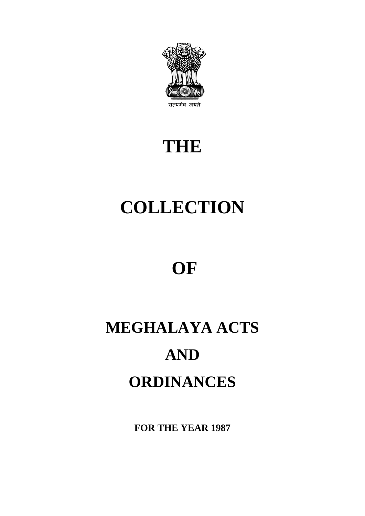

## **THE**

# **COLLECTION**

## **OF**

# **MEGHALAYA ACTS AND ORDINANCES**

**FOR THE YEAR 1987**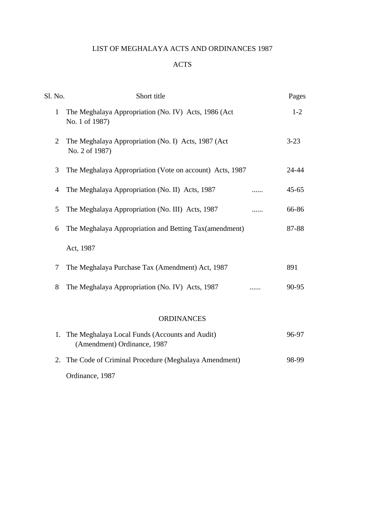### LIST OF MEGHALAYA ACTS AND ORDINANCES 1987

#### ACTS

| The Meghalaya Appropriation (No. IV) Acts, 1986 (Act)<br>1<br>No. 1 of 1987)<br>The Meghalaya Appropriation (No. I) Acts, 1987 (Act<br>2<br>No. 2 of 1987)<br>3<br>The Meghalaya Appropriation (Vote on account) Acts, 1987<br>The Meghalaya Appropriation (No. II) Acts, 1987<br>$\overline{4}$<br>The Meghalaya Appropriation (No. III) Acts, 1987<br>5<br>.<br>The Meghalaya Appropriation and Betting Tax(amendment)<br>6<br>Act, 1987<br>The Meghalaya Purchase Tax (Amendment) Act, 1987<br>7<br>The Meghalaya Appropriation (No. IV) Acts, 1987<br>8<br><b>ORDINANCES</b><br>1. The Meghalaya Local Funds (Accounts and Audit)<br>(Amendment) Ordinance, 1987<br>2. The Code of Criminal Procedure (Meghalaya Amendment) | Pages     |
|---------------------------------------------------------------------------------------------------------------------------------------------------------------------------------------------------------------------------------------------------------------------------------------------------------------------------------------------------------------------------------------------------------------------------------------------------------------------------------------------------------------------------------------------------------------------------------------------------------------------------------------------------------------------------------------------------------------------------------|-----------|
|                                                                                                                                                                                                                                                                                                                                                                                                                                                                                                                                                                                                                                                                                                                                 | $1 - 2$   |
|                                                                                                                                                                                                                                                                                                                                                                                                                                                                                                                                                                                                                                                                                                                                 | $3 - 23$  |
|                                                                                                                                                                                                                                                                                                                                                                                                                                                                                                                                                                                                                                                                                                                                 | 24-44     |
|                                                                                                                                                                                                                                                                                                                                                                                                                                                                                                                                                                                                                                                                                                                                 | $45 - 65$ |
|                                                                                                                                                                                                                                                                                                                                                                                                                                                                                                                                                                                                                                                                                                                                 | 66-86     |
|                                                                                                                                                                                                                                                                                                                                                                                                                                                                                                                                                                                                                                                                                                                                 | 87-88     |
|                                                                                                                                                                                                                                                                                                                                                                                                                                                                                                                                                                                                                                                                                                                                 |           |
|                                                                                                                                                                                                                                                                                                                                                                                                                                                                                                                                                                                                                                                                                                                                 | 891       |
|                                                                                                                                                                                                                                                                                                                                                                                                                                                                                                                                                                                                                                                                                                                                 | 90-95     |
|                                                                                                                                                                                                                                                                                                                                                                                                                                                                                                                                                                                                                                                                                                                                 |           |
|                                                                                                                                                                                                                                                                                                                                                                                                                                                                                                                                                                                                                                                                                                                                 | 96-97     |
|                                                                                                                                                                                                                                                                                                                                                                                                                                                                                                                                                                                                                                                                                                                                 | 98-99     |

Ordinance, 1987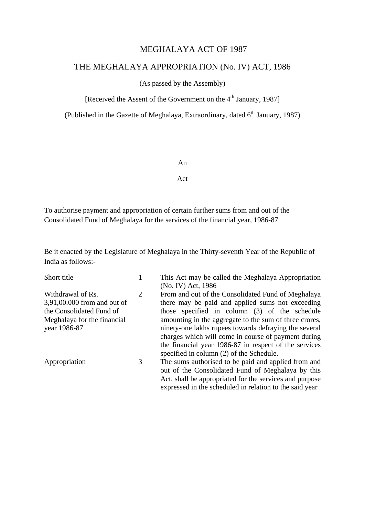#### MEGHALAYA ACT OF 1987

### THE MEGHALAYA APPROPRIATION (No. IV) ACT, 1986

#### (As passed by the Assembly)

[Received the Assent of the Government on the 4<sup>th</sup> January, 1987]

(Published in the Gazette of Meghalaya, Extraordinary, dated  $6<sup>th</sup>$  January, 1987)

#### An

#### Act

To authorise payment and appropriation of certain further sums from and out of the Consolidated Fund of Meghalaya for the services of the financial year, 1986-87

Be it enacted by the Legislature of Meghalaya in the Thirty-seventh Year of the Republic of India as follows:-

| Short title                 |                                                       | This Act may be called the Meghalaya Appropriation      |  |  |
|-----------------------------|-------------------------------------------------------|---------------------------------------------------------|--|--|
|                             |                                                       | (No. IV) Act, 1986                                      |  |  |
| Withdrawal of Rs.           | 2                                                     | From and out of the Consolidated Fund of Meghalaya      |  |  |
| 3,91,00.000 from and out of |                                                       | there may be paid and applied sums not exceeding        |  |  |
| the Consolidated Fund of    |                                                       | those specified in column (3) of the schedule           |  |  |
| Meghalaya for the financial |                                                       | amounting in the aggregate to the sum of three crores,  |  |  |
| year 1986-87                | ninety-one lakhs rupees towards defraying the several |                                                         |  |  |
|                             |                                                       | charges which will come in course of payment during     |  |  |
|                             |                                                       | the financial year 1986-87 in respect of the services   |  |  |
|                             |                                                       | specified in column (2) of the Schedule.                |  |  |
| Appropriation               | 3                                                     | The sums authorised to be paid and applied from and     |  |  |
|                             |                                                       | out of the Consolidated Fund of Meghalaya by this       |  |  |
|                             |                                                       | Act, shall be appropriated for the services and purpose |  |  |
|                             |                                                       | expressed in the scheduled in relation to the said year |  |  |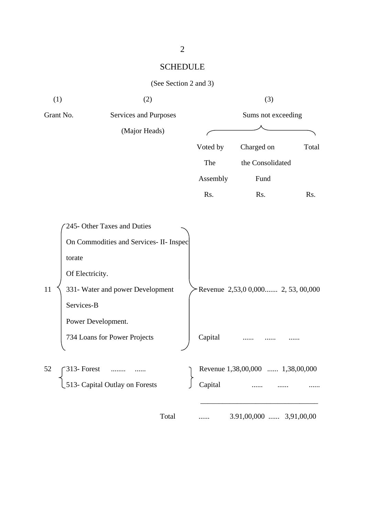## SCHEDULE

|  | (See Section 2 and 3) |  |  |  |
|--|-----------------------|--|--|--|
|--|-----------------------|--|--|--|

| (1)       | (2)                                                                                                                                                                         |          | (3)                                 |       |
|-----------|-----------------------------------------------------------------------------------------------------------------------------------------------------------------------------|----------|-------------------------------------|-------|
| Grant No. | Services and Purposes                                                                                                                                                       |          | Sums not exceeding                  |       |
|           | (Major Heads)                                                                                                                                                               |          |                                     |       |
|           |                                                                                                                                                                             | Voted by | Charged on                          | Total |
|           |                                                                                                                                                                             | The      | the Consolidated                    |       |
|           |                                                                                                                                                                             | Assembly | Fund                                |       |
|           |                                                                                                                                                                             | Rs.      | Rs.                                 | Rs.   |
|           |                                                                                                                                                                             |          |                                     |       |
| 11        | 245- Other Taxes and Duties<br>On Commodities and Services- II- Inspec<br>torate<br>Of Electricity.<br>331- Water and power Development<br>Services-B<br>Power Development. |          | Revenue $2,53,00,000$ $2,53,00,000$ |       |
|           | 734 Loans for Power Projects                                                                                                                                                | Capital  |                                     |       |
| 52        | $313$ - Forest<br>513- Capital Outlay on Forests                                                                                                                            | Capital  | Revenue 1,38,00,000  1,38,00,000    |       |
|           | Total                                                                                                                                                                       |          | $3.91,00,000$ $3,91,00,00$          |       |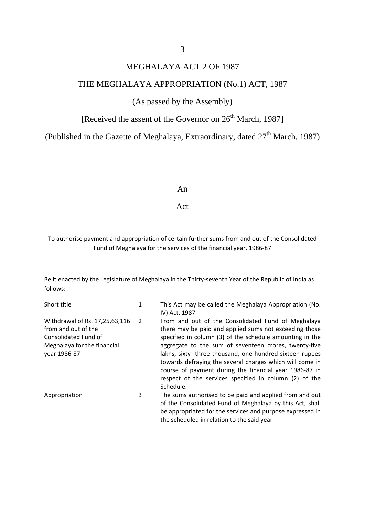### MEGHALAYA ACT 2 OF 1987

#### THE MEGHALAYA APPROPRIATION (No.1) ACT, 1987

#### (As passed by the Assembly)

[Received the assent of the Governor on  $26<sup>th</sup>$  March, 1987]

(Published in the Gazette of Meghalaya, Extraordinary, dated  $27<sup>th</sup>$  March, 1987)

#### An

#### Act

#### To authorise payment and appropriation of certain further sums from and out of the Consolidated Fund of Meghalaya for the services of the financial year, 1986-87

Be it enacted by the Legislature of Meghalaya in the Thirty-seventh Year of the Republic of India as follows:-

| Short title                                                                                                                  | 1 | This Act may be called the Meghalaya Appropriation (No.<br>IV) Act, 1987                                                                                                                                                                                                                                                                                                                                                                                                                  |
|------------------------------------------------------------------------------------------------------------------------------|---|-------------------------------------------------------------------------------------------------------------------------------------------------------------------------------------------------------------------------------------------------------------------------------------------------------------------------------------------------------------------------------------------------------------------------------------------------------------------------------------------|
| Withdrawal of Rs. 17,25,63,116<br>from and out of the<br>Consolidated Fund of<br>Meghalaya for the financial<br>year 1986-87 | 2 | From and out of the Consolidated Fund of Meghalaya<br>there may be paid and applied sums not exceeding those<br>specified in column (3) of the schedule amounting in the<br>aggregate to the sum of seventeen crores, twenty-five<br>lakhs, sixty-three thousand, one hundred sixteen rupees<br>towards defraying the several charges which will come in<br>course of payment during the financial year 1986-87 in<br>respect of the services specified in column (2) of the<br>Schedule. |
| Appropriation                                                                                                                | 3 | The sums authorised to be paid and applied from and out<br>of the Consolidated Fund of Meghalaya by this Act, shall<br>be appropriated for the services and purpose expressed in<br>the scheduled in relation to the said year                                                                                                                                                                                                                                                            |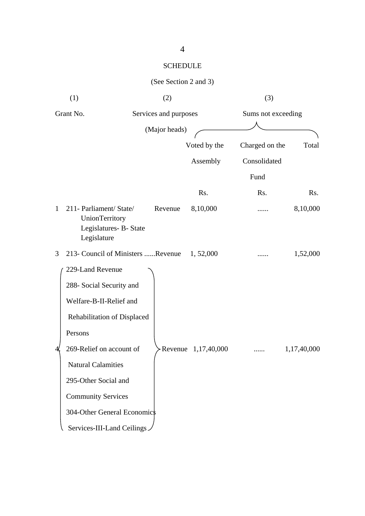## SCHEDULE

## (See Section 2 and 3)

| (1)                                                                                                                                                                                                                                                                                          | (2)                               |              | (3)                |             |
|----------------------------------------------------------------------------------------------------------------------------------------------------------------------------------------------------------------------------------------------------------------------------------------------|-----------------------------------|--------------|--------------------|-------------|
| Grant No.                                                                                                                                                                                                                                                                                    | Services and purposes             |              | Sums not exceeding |             |
|                                                                                                                                                                                                                                                                                              | (Major heads)                     |              |                    |             |
|                                                                                                                                                                                                                                                                                              |                                   | Voted by the | Charged on the     | Total       |
|                                                                                                                                                                                                                                                                                              |                                   | Assembly     | Consolidated       |             |
|                                                                                                                                                                                                                                                                                              |                                   |              | Fund               |             |
|                                                                                                                                                                                                                                                                                              |                                   | Rs.          | Rs.                | Rs.         |
| 211- Parliament/ State/<br>1<br>UnionTerritory<br>Legislatures- B- State<br>Legislature                                                                                                                                                                                                      | Revenue                           | 8,10,000     |                    | 8,10,000    |
| 3                                                                                                                                                                                                                                                                                            | 213- Council of Ministers Revenue | 1,52,000     |                    | 1,52,000    |
| 229-Land Revenue<br>288- Social Security and<br>Welfare-B-II-Relief and<br>Rehabilitation of Displaced<br>Persons<br>269-Relief on account of<br><b>Natural Calamities</b><br>295-Other Social and<br><b>Community Services</b><br>304-Other General Economics<br>Services-III-Land Ceilings | - Revenue                         | 1,17,40,000  |                    | 1,17,40,000 |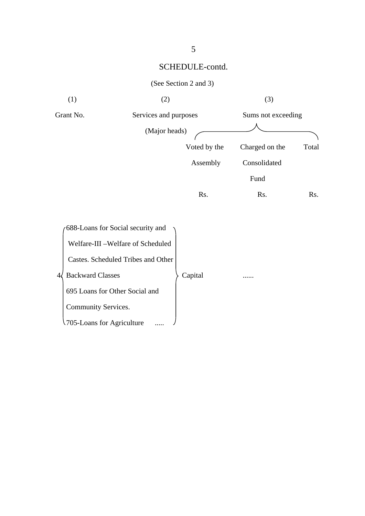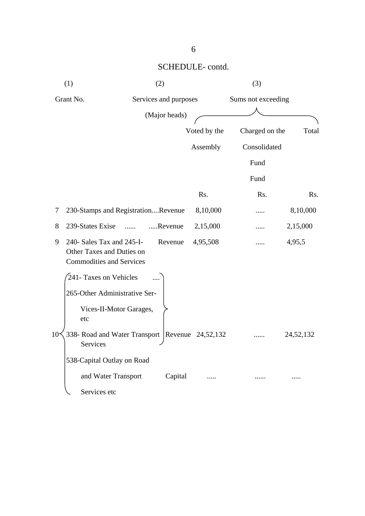| (1)                                                                                            | (2)                                               |               |              | (3)            |                    |  |
|------------------------------------------------------------------------------------------------|---------------------------------------------------|---------------|--------------|----------------|--------------------|--|
| Grant No.                                                                                      | Services and purposes                             |               |              |                | Sums not exceeding |  |
|                                                                                                |                                                   | (Major heads) |              |                |                    |  |
|                                                                                                |                                                   |               | Voted by the | Charged on the | Total              |  |
|                                                                                                |                                                   |               | Assembly     | Consolidated   |                    |  |
|                                                                                                |                                                   |               |              | Fund           |                    |  |
|                                                                                                |                                                   |               |              | Fund           |                    |  |
|                                                                                                |                                                   |               | Rs.          | Rs.            | Rs.                |  |
| 7                                                                                              | 230-Stamps and RegistrationRevenue                |               | 8,10,000     |                | 8,10,000           |  |
| 8<br>239-States Exise                                                                          |                                                   | Revenue       | 2,15,000     | .              | 2,15,000           |  |
| 240- Sales Tax and 245-I-<br>9<br>Other Taxes and Duties on<br><b>Commodities and Services</b> |                                                   | Revenue       | 4,95,508     |                | 4,95,5             |  |
| 241- Taxes on Vehicles                                                                         |                                                   |               |              |                |                    |  |
|                                                                                                | 265-Other Administrative Ser-                     |               |              |                |                    |  |
| etc                                                                                            | Vices-II-Motor Garages,                           |               |              |                |                    |  |
| $10 -$<br>Services                                                                             | 338- Road and Water Transport   Revenue 24,52,132 |               |              |                | 24,52,132          |  |
|                                                                                                | 538-Capital Outlay on Road                        |               |              |                |                    |  |
|                                                                                                | and Water Transport                               | Capital       |              |                |                    |  |
| Services etc                                                                                   |                                                   |               |              |                |                    |  |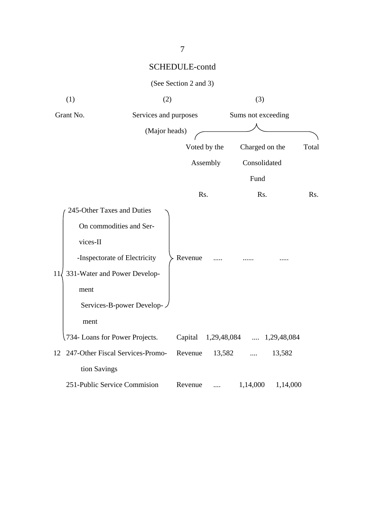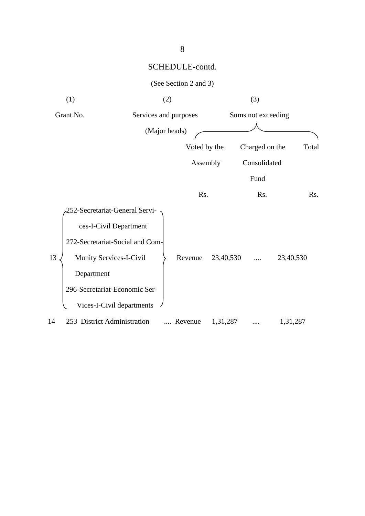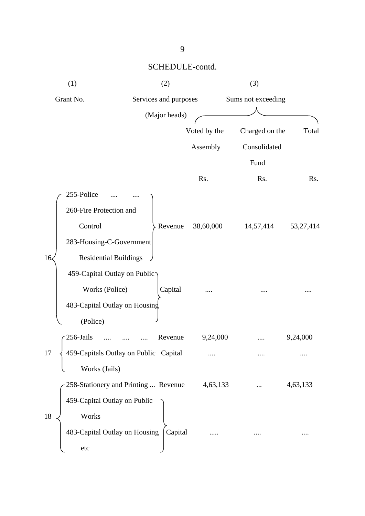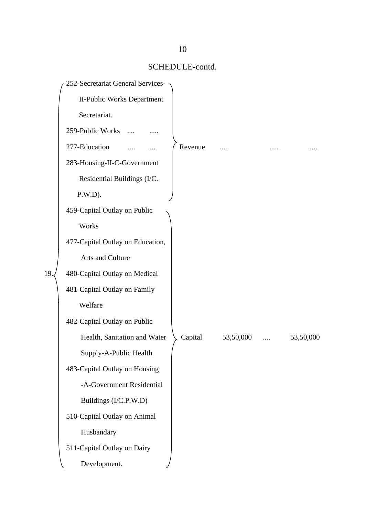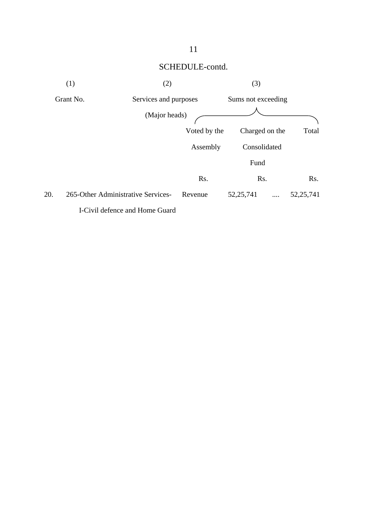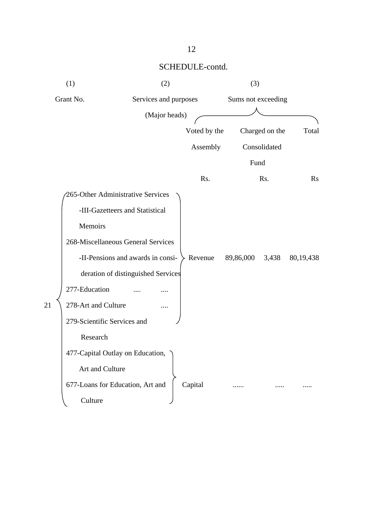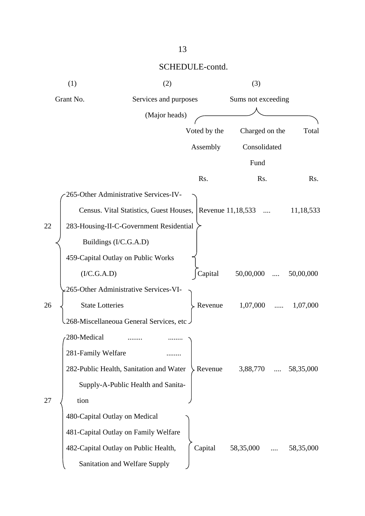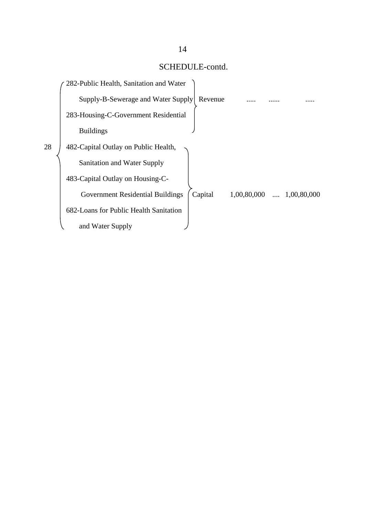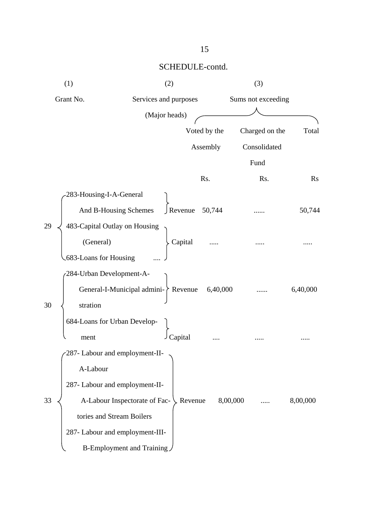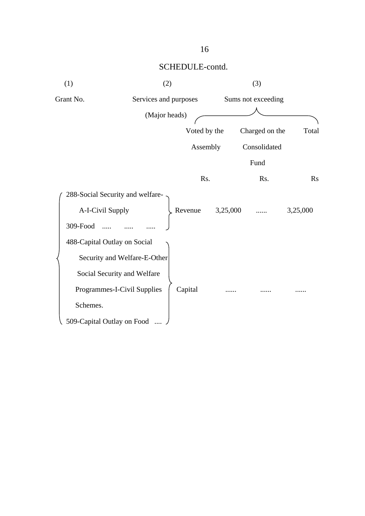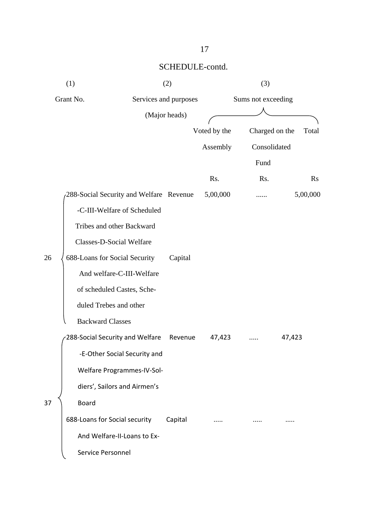|    | (1)                           |                                         | (2)                   | (3)                |                |                |
|----|-------------------------------|-----------------------------------------|-----------------------|--------------------|----------------|----------------|
|    | Grant No.                     |                                         | Services and purposes | Sums not exceeding |                |                |
|    |                               |                                         | (Major heads)         |                    |                |                |
|    |                               |                                         |                       | Voted by the       | Charged on the | Total          |
|    |                               |                                         |                       | Assembly           | Consolidated   |                |
|    |                               |                                         |                       |                    | Fund           |                |
|    |                               |                                         |                       | Rs.                | Rs.            | $\mathbf{R}$ s |
|    |                               | 288-Social Security and Welfare Revenue |                       | 5,00,000           |                | 5,00,000       |
|    |                               | -C-III-Welfare of Scheduled             |                       |                    |                |                |
|    |                               | Tribes and other Backward               |                       |                    |                |                |
|    |                               | Classes-D-Social Welfare                |                       |                    |                |                |
| 26 | 688-Loans for Social Security |                                         | Capital               |                    |                |                |
|    |                               | And welfare-C-III-Welfare               |                       |                    |                |                |
|    |                               | of scheduled Castes, Sche-              |                       |                    |                |                |
|    | duled Trebes and other        |                                         |                       |                    |                |                |
|    | <b>Backward Classes</b>       |                                         |                       |                    |                |                |
|    |                               | 288-Social Security and Welfare         | Revenue               | 47,423             |                | 47,423         |
|    |                               | -E-Other Social Security and            |                       |                    |                |                |
|    |                               | Welfare Programmes-IV-Sol-              |                       |                    |                |                |
|    |                               | diers', Sailors and Airmen's            |                       |                    |                |                |
| 37 | <b>Board</b>                  |                                         |                       |                    |                |                |
|    | 688-Loans for Social security |                                         | Capital               |                    |                |                |
|    |                               | And Welfare-II-Loans to Ex-             |                       |                    |                |                |
|    | Service Personnel             |                                         |                       |                    |                |                |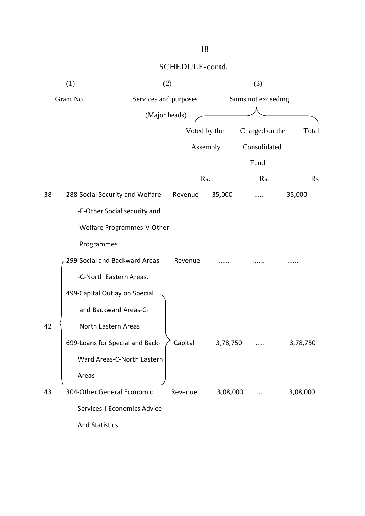| Total     |
|-----------|
|           |
|           |
| <b>Rs</b> |
| 35,000    |
|           |
|           |
|           |
|           |
|           |
|           |
|           |
|           |
| 3,78,750  |
|           |
|           |
| 3,08,000  |
|           |
|           |
|           |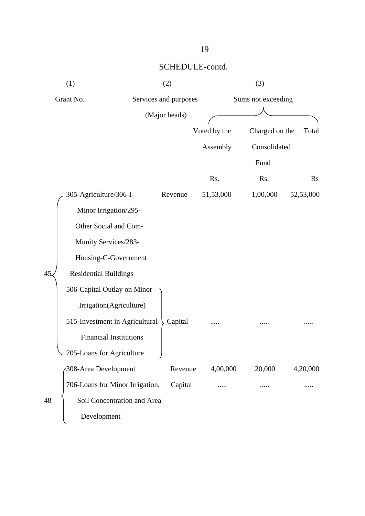| (1)<br>(2) |                                 |                       |              | (3)                |                |
|------------|---------------------------------|-----------------------|--------------|--------------------|----------------|
| Grant No.  |                                 | Services and purposes |              | Sums not exceeding |                |
|            |                                 | (Major heads)         |              |                    |                |
|            |                                 |                       | Voted by the | Charged on the     | Total          |
|            |                                 |                       | Assembly     | Consolidated       |                |
|            |                                 |                       |              | Fund               |                |
|            |                                 |                       | Rs.          | Rs.                | $\mathbf{R}$ s |
|            | 305-Agriculture/306-I-          | Revenue               | 51,53,000    | 1,00,000           | 52,53,000      |
|            | Minor Irrigation/295-           |                       |              |                    |                |
|            | Other Social and Com-           |                       |              |                    |                |
|            | Munity Services/283-            |                       |              |                    |                |
|            | Housing-C-Government            |                       |              |                    |                |
| 45.        | <b>Residential Buildings</b>    |                       |              |                    |                |
|            | 506-Capital Outlay on Minor     |                       |              |                    |                |
|            | Irrigation(Agriculture)         |                       |              |                    |                |
|            | 515-Investment in Agricultural  | Capital               |              |                    |                |
|            | <b>Financial Institutions</b>   |                       |              |                    |                |
|            | 705-Loans for Agriculture       |                       |              |                    |                |
|            | 308-Area Development            | Revenue               | 4,00,000     | 20,000             | 4,20,000       |
|            | 706-Loans for Minor Irrigation, | Capital               |              |                    |                |
| 48         | Soil Concentration and Area     |                       |              |                    |                |
|            | Development                     |                       |              |                    |                |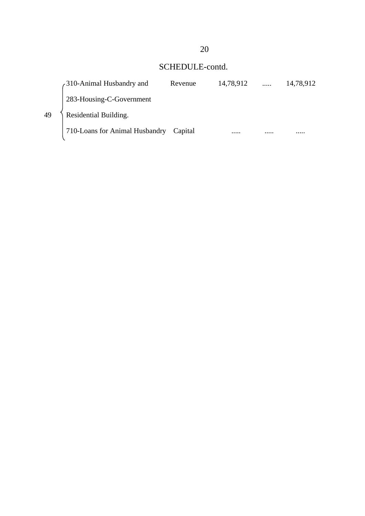|    | 310-Animal Husbandry and       | Revenue | 14,78,912 |   | 14,78,912 |
|----|--------------------------------|---------|-----------|---|-----------|
|    | 283-Housing-C-Government       |         |           |   |           |
| 49 | Residential Building.          |         |           |   |           |
|    | 710-Loans for Animal Husbandry | Capital |           | . | .         |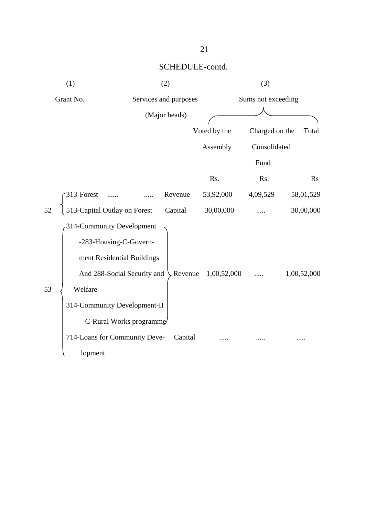| (1)                                | (2)                           |                |              | (3)                |             |
|------------------------------------|-------------------------------|----------------|--------------|--------------------|-------------|
| Grant No.                          | Services and purposes         |                |              | Sums not exceeding |             |
|                                    | (Major heads)                 |                |              |                    |             |
|                                    |                               |                | Voted by the | Charged on the     | Total       |
|                                    |                               |                | Assembly     | Consolidated       |             |
|                                    |                               |                |              | Fund               |             |
|                                    |                               |                | Rs.          | Rs.                | <b>Rs</b>   |
| 313-Forest                         |                               | Revenue        | 53,92,000    | 4,09,529           | 58,01,529   |
| 513-Capital Outlay on Forest<br>52 |                               | Capital        | 30,00,000    |                    | 30,00,000   |
| 314-Community Development          |                               |                |              |                    |             |
|                                    | -283-Housing-C-Govern-        |                |              |                    |             |
|                                    | ment Residential Buildings    |                |              |                    |             |
|                                    | And 288-Social Security and   | $\sim$ Revenue | 1,00,52,000  |                    | 1,00,52,000 |
| 53<br>Welfare                      |                               |                |              |                    |             |
|                                    | 314-Community Development-II  |                |              |                    |             |
|                                    | -C-Rural Works programme      |                |              |                    |             |
|                                    | 714-Loans for Community Deve- | Capital        |              |                    |             |
| lopment                            |                               |                |              |                    |             |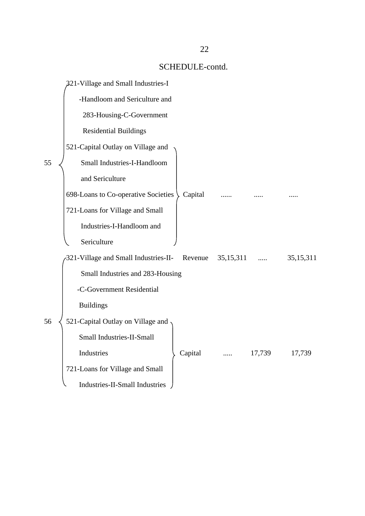|    | 321-Village and Small Industries-I    |         |             |        |             |
|----|---------------------------------------|---------|-------------|--------|-------------|
|    | -Handloom and Sericulture and         |         |             |        |             |
|    | 283-Housing-C-Government              |         |             |        |             |
|    | <b>Residential Buildings</b>          |         |             |        |             |
|    | 521-Capital Outlay on Village and     |         |             |        |             |
| 55 | Small Industries-I-Handloom           |         |             |        |             |
|    | and Sericulture                       |         |             |        |             |
|    | 698-Loans to Co-operative Societies   | Capital |             |        |             |
|    | 721-Loans for Village and Small       |         |             |        |             |
|    | Industries-I-Handloom and             |         |             |        |             |
|    | Sericulture                           |         |             |        |             |
|    | 321-Village and Small Industries-II-  | Revenue | 35, 15, 311 |        | 35, 15, 311 |
|    | Small Industries and 283-Housing      |         |             |        |             |
|    | -C-Government Residential             |         |             |        |             |
|    | <b>Buildings</b>                      |         |             |        |             |
| 56 | 521-Capital Outlay on Village and     |         |             |        |             |
|    | Small Industries-II-Small             |         |             |        |             |
|    | Industries                            | Capital |             | 17,739 | 17,739      |
|    | 721-Loans for Village and Small       |         |             |        |             |
|    | <b>Industries-II-Small Industries</b> |         |             |        |             |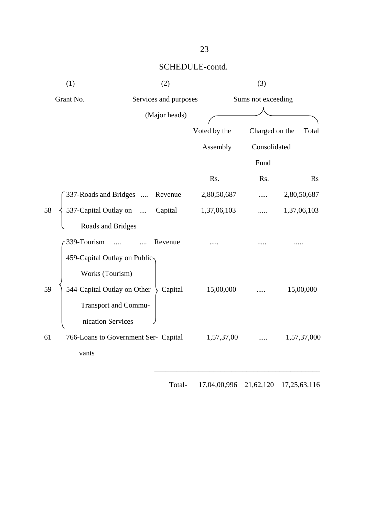| (1)                                        | (2)                   |              | (3)                |             |
|--------------------------------------------|-----------------------|--------------|--------------------|-------------|
| Grant No.                                  | Services and purposes |              | Sums not exceeding |             |
|                                            | (Major heads)         |              |                    |             |
|                                            |                       | Voted by the | Charged on the     | Total       |
|                                            |                       | Assembly     | Consolidated       |             |
|                                            |                       |              | Fund               |             |
|                                            |                       | Rs.          | Rs.                | <b>Rs</b>   |
| 337-Roads and Bridges                      | Revenue               | 2,80,50,687  |                    | 2,80,50,687 |
| 537-Capital Outlay on<br>58                | Capital               | 1,37,06,103  |                    | 1,37,06,103 |
| Roads and Bridges                          |                       |              |                    |             |
| 339-Tourism                                | Revenue               |              |                    |             |
| 459-Capital Outlay on Public               |                       |              |                    |             |
| Works (Tourism)                            |                       |              |                    |             |
| 544-Capital Outlay on Other<br>59          | Capital               | 15,00,000    |                    | 15,00,000   |
| <b>Transport and Commu-</b>                |                       |              |                    |             |
| nication Services                          |                       |              |                    |             |
| 61<br>766-Loans to Government Ser- Capital |                       | 1,57,37,00   |                    | 1,57,37,000 |
| vants                                      |                       |              |                    |             |
|                                            |                       |              |                    |             |

Total- 17,04,00,996 21,62,120 17,25,63,116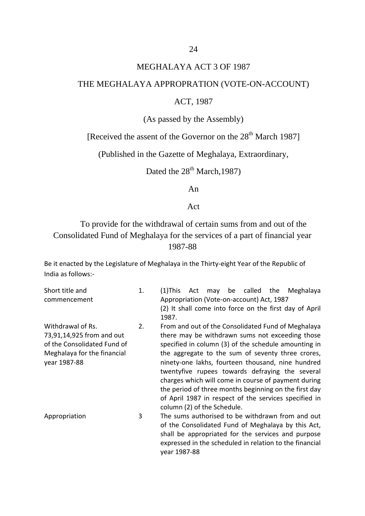#### MEGHALAYA ACT 3 OF 1987

#### THE MEGHALAYA APPROPRATION (VOTE-ON-ACCOUNT)

#### ACT, 1987

(As passed by the Assembly)

[Received the assent of the Governor on the  $28<sup>th</sup>$  March 1987]

(Published in the Gazette of Meghalaya, Extraordinary,

Dated the  $28<sup>th</sup>$  March, 1987)

An

#### Act

To provide for the withdrawal of certain sums from and out of the Consolidated Fund of Meghalaya for the services of a part of financial year 1987-88

Be it enacted by the Legislature of Meghalaya in the Thirty-eight Year of the Republic of India as follows:-

Short title and commencement 1. (1)This Act may be called the Meghalaya Appropriation (Vote-on-account) Act, 1987 (2) It shall come into force on the first day of April 1987. Withdrawal of Rs. 73,91,14,925 from and out of the Consolidated Fund of Meghalaya for the financial year 1987-88 2. From and out of the Consolidated Fund of Meghalaya there may be withdrawn sums not exceeding those specified in column (3) of the schedule amounting in the aggregate to the sum of seventy three crores, ninety-one lakhs, fourteen thousand, nine hundred twentyfive rupees towards defraying the several charges which will come in course of payment during the period of three months beginning on the first day of April 1987 in respect of the services specified in column (2) of the Schedule. Appropriation 3 The sums authorised to be withdrawn from and out of the Consolidated Fund of Meghalaya by this Act, shall be appropriated for the services and purpose

year 1987-88

expressed in the scheduled in relation to the financial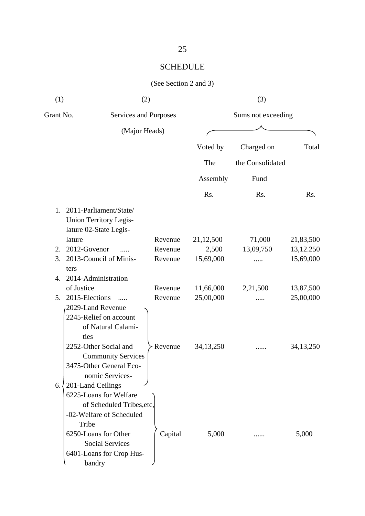## SCHEDULE

#### (See Section 2 and 3)

| (1)       | (2)                                                                                                                                                                                                                                                 | (3)                   |             |                    |             |  |  |
|-----------|-----------------------------------------------------------------------------------------------------------------------------------------------------------------------------------------------------------------------------------------------------|-----------------------|-------------|--------------------|-------------|--|--|
| Grant No. |                                                                                                                                                                                                                                                     | Services and Purposes |             | Sums not exceeding |             |  |  |
|           | (Major Heads)                                                                                                                                                                                                                                       |                       |             |                    |             |  |  |
|           |                                                                                                                                                                                                                                                     |                       | Voted by    | Charged on         | Total       |  |  |
|           |                                                                                                                                                                                                                                                     |                       | The         | the Consolidated   |             |  |  |
|           |                                                                                                                                                                                                                                                     |                       | Assembly    | Fund               |             |  |  |
|           |                                                                                                                                                                                                                                                     |                       | Rs.         | Rs.                | Rs.         |  |  |
| 1.        | 2011-Parliament/State/<br>Union Territory Legis-<br>lature 02-State Legis-                                                                                                                                                                          |                       |             |                    |             |  |  |
|           | lature                                                                                                                                                                                                                                              | Revenue               | 21,12,500   | 71,000             | 21,83,500   |  |  |
| 2.        | 2012-Govenor                                                                                                                                                                                                                                        | Revenue               | 2,500       | 13,09,750          | 13,12.250   |  |  |
| 3.        | 2013-Council of Minis-<br>ters                                                                                                                                                                                                                      | Revenue               | 15,69,000   |                    | 15,69,000   |  |  |
| 4.        | 2014-Administration                                                                                                                                                                                                                                 |                       |             |                    |             |  |  |
|           | of Justice                                                                                                                                                                                                                                          | Revenue               | 11,66,000   | 2,21,500           | 13,87,500   |  |  |
| 5.        | 2015-Elections                                                                                                                                                                                                                                      | Revenue               | 25,00,000   |                    | 25,00,000   |  |  |
|           | 2029-Land Revenue<br>2245-Relief on account<br>of Natural Calami-<br>ties<br>2252-Other Social and<br><b>Community Services</b>                                                                                                                     | Revenue               | 34, 13, 250 |                    | 34, 13, 250 |  |  |
| 6.1       | 3475-Other General Eco-<br>nomic Services-<br>201-Land Ceilings<br>6225-Loans for Welfare<br>of Scheduled Tribes, etc,<br>-02-Welfare of Scheduled<br>Tribe<br>6250-Loans for Other<br><b>Social Services</b><br>6401-Loans for Crop Hus-<br>bandry | Capital               | 5,000       |                    | 5,000       |  |  |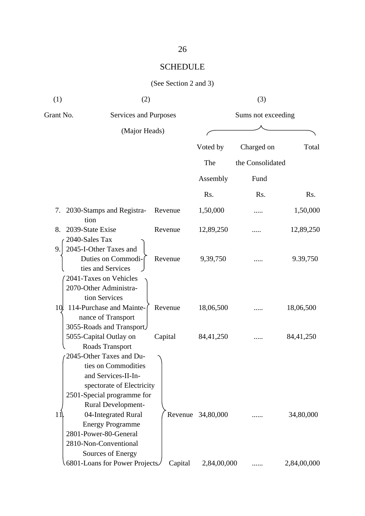## SCHEDULE

## (See Section 2 and 3)

| (1)       | (2)                                                                                                                                                                                                        |         |                    | (3)              |             |  |
|-----------|------------------------------------------------------------------------------------------------------------------------------------------------------------------------------------------------------------|---------|--------------------|------------------|-------------|--|
| Grant No. | Services and Purposes                                                                                                                                                                                      |         | Sums not exceeding |                  |             |  |
|           | (Major Heads)                                                                                                                                                                                              |         |                    |                  |             |  |
|           |                                                                                                                                                                                                            |         | Voted by           | Charged on       | Total       |  |
|           |                                                                                                                                                                                                            |         | The                | the Consolidated |             |  |
|           |                                                                                                                                                                                                            |         | Assembly           | Fund             |             |  |
|           |                                                                                                                                                                                                            |         | Rs.                | Rs.              | Rs.         |  |
| 7.        | 2030-Stamps and Registra-<br>tion                                                                                                                                                                          | Revenue | 1,50,000           | .                | 1,50,000    |  |
| 8.        | 2039-State Exise                                                                                                                                                                                           | Revenue | 12,89,250          |                  | 12,89,250   |  |
| 9.        | 2040-Sales Tax<br>2045-I-Other Taxes and<br>Duties on Commodi-<br>ties and Services<br>2041-Taxes on Vehicles<br>2070-Other Administra-                                                                    | Revenue | 9,39,750           |                  | 9.39,750    |  |
| 10.       | tion Services<br>114-Purchase and Mainte-<br>nance of Transport                                                                                                                                            | Revenue | 18,06,500          |                  | 18,06,500   |  |
|           | 3055-Roads and Transport<br>5055-Capital Outlay on<br>Roads Transport<br>2045-Other Taxes and Du-<br>ties on Commodities<br>and Services-II-In-<br>spectorate of Electricity<br>2501-Special programme for | Capital | 84,41,250          |                  | 84,41,250   |  |
| 11        | Rural Development-<br>04-Integrated Rural<br><b>Energy Programme</b><br>2801-Power-80-General<br>2810-Non-Conventional<br>Sources of Energy                                                                | Revenue | 34,80,000          |                  | 34,80,000   |  |
|           | 6801-Loans for Power Projects                                                                                                                                                                              | Capital | 2,84,00,000        |                  | 2,84,00,000 |  |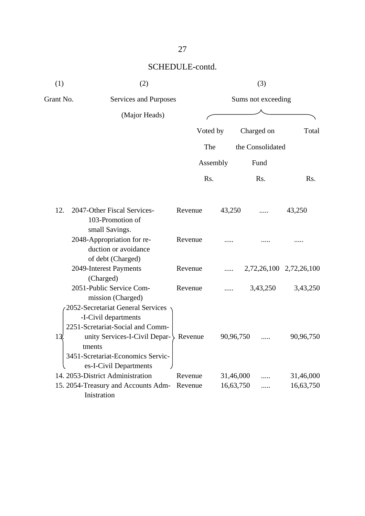| (1)             | (2)                                                                                                                                                |         |                    |           | (3)              |                         |  |
|-----------------|----------------------------------------------------------------------------------------------------------------------------------------------------|---------|--------------------|-----------|------------------|-------------------------|--|
| Grant No.       | Services and Purposes                                                                                                                              |         | Sums not exceeding |           |                  |                         |  |
|                 | (Major Heads)                                                                                                                                      |         |                    |           |                  |                         |  |
|                 |                                                                                                                                                    |         | Voted by           |           | Charged on       | Total                   |  |
|                 |                                                                                                                                                    |         | The                |           | the Consolidated |                         |  |
|                 |                                                                                                                                                    |         | Assembly           |           | Fund             |                         |  |
|                 |                                                                                                                                                    |         | Rs.                |           | R <sub>s</sub> . | Rs.                     |  |
| 12.             | 2047-Other Fiscal Services-<br>103-Promotion of                                                                                                    | Revenue | 43,250             |           |                  | 43,250                  |  |
|                 | small Savings.<br>2048-Appropriation for re-<br>duction or avoidance<br>of debt (Charged)                                                          | Revenue |                    |           |                  |                         |  |
|                 | 2049-Interest Payments<br>(Charged)                                                                                                                | Revenue |                    |           |                  | 2,72,26,100 2,72,26,100 |  |
|                 | 2051-Public Service Com-<br>mission (Charged)<br>2052-Secretariat General Services                                                                 | Revenue |                    |           | 3,43,250         | 3,43,250                |  |
| 13 <sub>l</sub> | -I-Civil departments<br>2251-Scretariat-Social and Comm-<br>unity Services-I-Civil Depar- > Revenue<br>tments<br>3451-Scretariat-Economics Servic- |         |                    | 90,96,750 |                  | 90,96,750               |  |
|                 | es-I-Civil Departments<br>14. 2053-District Administration                                                                                         | Revenue |                    | 31,46,000 |                  | 31,46,000               |  |
|                 | 15. 2054-Treasury and Accounts Adm-<br>Inistration                                                                                                 | Revenue |                    | 16,63,750 |                  | 16,63,750               |  |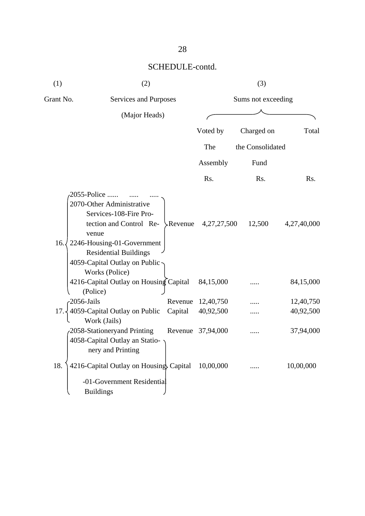| (1)                | (2)                                                                                                                                                                                                                      |                    |                        | (3)                |                        |  |  |
|--------------------|--------------------------------------------------------------------------------------------------------------------------------------------------------------------------------------------------------------------------|--------------------|------------------------|--------------------|------------------------|--|--|
| Grant No.          | Services and Purposes                                                                                                                                                                                                    |                    |                        | Sums not exceeding |                        |  |  |
|                    | (Major Heads)                                                                                                                                                                                                            |                    |                        |                    |                        |  |  |
|                    |                                                                                                                                                                                                                          |                    | Voted by               | Charged on         | Total                  |  |  |
|                    |                                                                                                                                                                                                                          |                    | The                    | the Consolidated   |                        |  |  |
|                    |                                                                                                                                                                                                                          |                    | Assembly               | Fund               |                        |  |  |
|                    |                                                                                                                                                                                                                          |                    | Rs.                    | Rs.                | Rs.                    |  |  |
| 16.7               | 2055-Police<br>2070-Other Administrative<br>Services-108-Fire Pro-<br>tection and Control Re-<br>venue<br>2246-Housing-01-Government<br><b>Residential Buildings</b><br>4059-Capital Outlay on Public-<br>Works (Police) |                    | Revenue $4,27,27,500$  | 12,500             | 4,27,40,000            |  |  |
|                    | 4216-Capital Outlay on Housing Capital<br>(Police)                                                                                                                                                                       |                    | 84,15,000              |                    | 84,15,000              |  |  |
| 2056-Jails<br>17.3 | 4059-Capital Outlay on Public<br>Work (Jails)                                                                                                                                                                            | Revenue<br>Capital | 12,40,750<br>40,92,500 |                    | 12,40,750<br>40,92,500 |  |  |
|                    | 2058-Stationeryand Printing<br>4058-Capital Outlay an Statio-<br>nery and Printing                                                                                                                                       |                    | Revenue 37,94,000      |                    | 37,94,000              |  |  |
| 18.                | 4216-Capital Outlay on Housing Capital<br>-01-Government Residential<br><b>Buildings</b>                                                                                                                                 |                    | 10,00,000              |                    | 10,00,000              |  |  |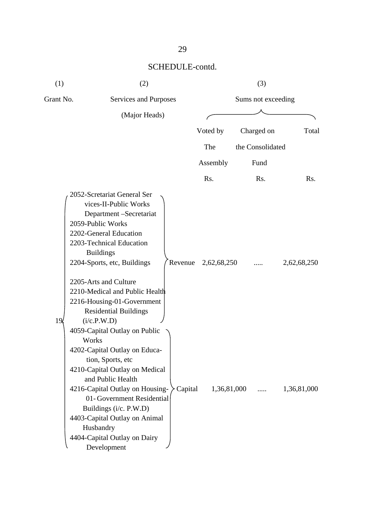| (1)             | (2)                                                                                                                                                                                                                                                                                                                                                   |                        | (3)                |                  |
|-----------------|-------------------------------------------------------------------------------------------------------------------------------------------------------------------------------------------------------------------------------------------------------------------------------------------------------------------------------------------------------|------------------------|--------------------|------------------|
| Grant No.       | Services and Purposes                                                                                                                                                                                                                                                                                                                                 |                        | Sums not exceeding |                  |
|                 | (Major Heads)                                                                                                                                                                                                                                                                                                                                         |                        |                    |                  |
|                 |                                                                                                                                                                                                                                                                                                                                                       | Voted by               | Charged on         | Total            |
|                 |                                                                                                                                                                                                                                                                                                                                                       | The                    | the Consolidated   |                  |
|                 |                                                                                                                                                                                                                                                                                                                                                       | Assembly               | Fund               |                  |
|                 |                                                                                                                                                                                                                                                                                                                                                       | Rs.                    | Rs.                | R <sub>s</sub> . |
| 19 <sub>l</sub> | 2052-Scretariat General Ser<br>vices-II-Public Works<br>Department -Secretariat<br>2059-Public Works<br>2202-General Education<br>2203-Technical Education<br><b>Buildings</b><br>2204-Sports, etc, Buildings<br>2205-Arts and Culture<br>2210-Medical and Public Health<br>2216-Housing-01-Government<br><b>Residential Buildings</b><br>(i/c.P.W.D) | Revenue<br>2,62,68,250 |                    | 2,62,68,250      |
| Works           | 4059-Capital Outlay on Public<br>4202-Capital Outlay on Educa-<br>tion, Sports, etc<br>4210-Capital Outlay on Medical<br>and Public Health<br>4216-Capital Outlay on Housing-<br>01-Government Residential<br>Buildings (i/c. P.W.D)<br>4403-Capital Outlay on Animal<br>Husbandry<br>4404-Capital Outlay on Dairy<br>Development                     | Capital                | $1,36,81,000$      | 1,36,81,000      |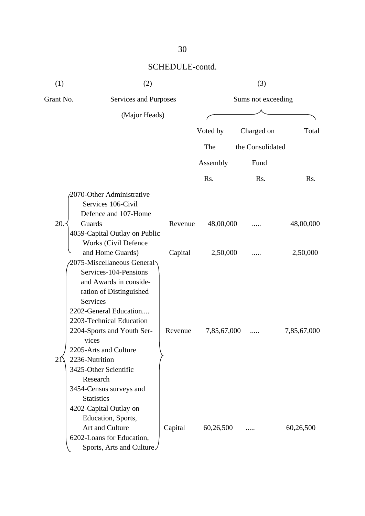| (1)       | (2)                                                                                                                                                                                                                                                                                                   |                    |             | (3)              |             |  |
|-----------|-------------------------------------------------------------------------------------------------------------------------------------------------------------------------------------------------------------------------------------------------------------------------------------------------------|--------------------|-------------|------------------|-------------|--|
| Grant No. | Services and Purposes                                                                                                                                                                                                                                                                                 | Sums not exceeding |             |                  |             |  |
|           | (Major Heads)                                                                                                                                                                                                                                                                                         |                    |             |                  |             |  |
|           |                                                                                                                                                                                                                                                                                                       |                    | Voted by    | Charged on       | Total       |  |
|           |                                                                                                                                                                                                                                                                                                       |                    | The         | the Consolidated |             |  |
|           |                                                                                                                                                                                                                                                                                                       |                    | Assembly    | Fund             |             |  |
|           |                                                                                                                                                                                                                                                                                                       |                    | Rs.         | Rs.              | Rs.         |  |
| 20.       | 2070-Other Administrative<br>Services 106-Civil<br>Defence and 107-Home<br>Guards<br>4059-Capital Outlay on Public                                                                                                                                                                                    | Revenue            | 48,00,000   |                  | 48,00,000   |  |
|           | Works (Civil Defence<br>and Home Guards)<br>2075-Miscellaneous General                                                                                                                                                                                                                                | Capital            | 2,50,000    |                  | 2,50,000    |  |
| 21        | Services-104-Pensions<br>and Awards in conside-<br>ration of Distinguished<br><b>Services</b><br>2202-General Education<br>2203-Technical Education<br>2204-Sports and Youth Ser-<br>vices<br>2205-Arts and Culture<br>2236-Nutrition<br>3425-Other Scientific<br>Research<br>3454-Census surveys and | Revenue            | 7,85,67,000 |                  | 7,85,67,000 |  |
|           | <b>Statistics</b><br>4202-Capital Outlay on<br>Education, Sports,<br>Art and Culture<br>6202-Loans for Education,<br>Sports, Arts and Culture                                                                                                                                                         | Capital            | 60,26,500   |                  | 60,26,500   |  |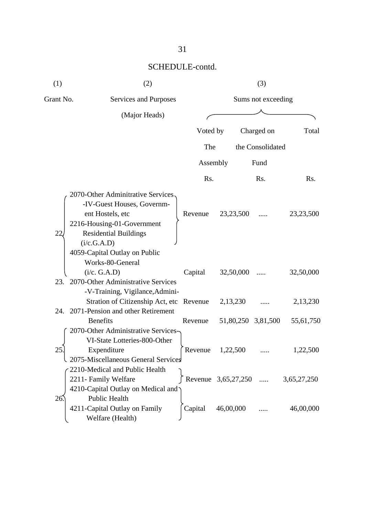| (1)       | (2)                                                                                                                                                                                                                                                                              |                    |                                | (3)                |                          |
|-----------|----------------------------------------------------------------------------------------------------------------------------------------------------------------------------------------------------------------------------------------------------------------------------------|--------------------|--------------------------------|--------------------|--------------------------|
| Grant No. | Services and Purposes                                                                                                                                                                                                                                                            |                    |                                | Sums not exceeding |                          |
|           | (Major Heads)                                                                                                                                                                                                                                                                    |                    |                                |                    |                          |
|           |                                                                                                                                                                                                                                                                                  | Voted by           |                                | Charged on         | Total                    |
|           |                                                                                                                                                                                                                                                                                  | The                |                                | the Consolidated   |                          |
|           |                                                                                                                                                                                                                                                                                  | Assembly           |                                | Fund               |                          |
|           |                                                                                                                                                                                                                                                                                  | Rs.                |                                | Rs.                | Rs.                      |
| 22        | 2070-Other Adminitrative Services.<br>-IV-Guest Houses, Governm-<br>ent Hostels, etc<br>2216-Housing-01-Government<br><b>Residential Buildings</b><br>(i/c.G.A.D)<br>4059-Capital Outlay on Public<br>Works-80-General<br>(i/c. G.A.D)<br>23. 2070-Other Administrative Services | Revenue<br>Capital | 23, 23, 500<br>32,50,000       |                    | 23, 23, 500<br>32,50,000 |
|           | -V-Training, Vigilance, Admini-<br>Stration of Citizenship Act, etc Revenue<br>24. 2071-Pension and other Retirement                                                                                                                                                             |                    | 2,13,230                       |                    | 2,13,230                 |
| 25        | <b>Benefits</b><br>2070-Other Administrative Services-<br>VI-State Lotteries-800-Other<br>Expenditure<br>2075-Miscellaneous General Services                                                                                                                                     | Revenue<br>Revenue | 51,80,250 3,81,500<br>1,22,500 |                    | 55,61,750<br>1,22,500    |
|           | 2210-Medical and Public Health<br>2211- Family Welfare<br>4210-Capital Outlay on Medical and<br>Public Health                                                                                                                                                                    |                    | Revenue 3,65,27,250            |                    | 3,65,27,250              |
| 26.       | 4211-Capital Outlay on Family<br>Welfare (Health)                                                                                                                                                                                                                                | Capital            | 46,00,000                      |                    | 46,00,000                |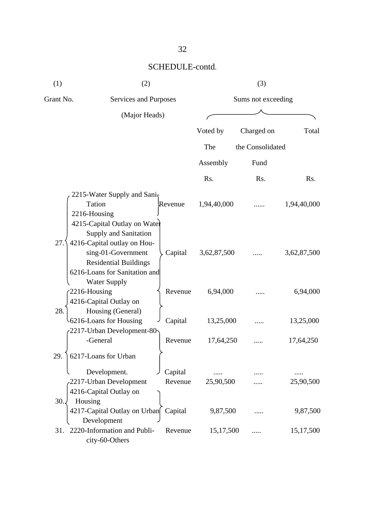| (1)       | (2)                                                                                                                               |                    | (3)                |                  |             |  |
|-----------|-----------------------------------------------------------------------------------------------------------------------------------|--------------------|--------------------|------------------|-------------|--|
| Grant No. | Services and Purposes                                                                                                             |                    | Sums not exceeding |                  |             |  |
|           | (Major Heads)                                                                                                                     |                    |                    |                  |             |  |
|           |                                                                                                                                   |                    | Voted by           | Charged on       | Total       |  |
|           |                                                                                                                                   |                    | The                | the Consolidated |             |  |
|           |                                                                                                                                   |                    | Assembly           | Fund             |             |  |
|           |                                                                                                                                   |                    | Rs.                | Rs.              | Rs.         |  |
|           | 2215-Water Supply and Sani <sub>5</sub><br>Tation<br>2216-Housing<br>4215-Capital Outlay on Water<br><b>Supply and Sanitation</b> | Revenue            | 1,94,40,000        |                  | 1,94,40,000 |  |
| 27.       | 4216-Capital outlay on Hou-<br>sing-01-Government<br><b>Residential Buildings</b><br>6216-Loans for Sanitation and                | Capital            | 3,62,87,500        |                  | 3,62,87,500 |  |
| 28.       | <b>Water Supply</b><br>2216-Housing<br>4216-Capital Outlay on<br>Housing (General)                                                | Revenue            | 6,94,000           |                  | 6,94,000    |  |
|           | 6216-Loans for Housing                                                                                                            | Capital            | 13,25,000          |                  | 13,25,000   |  |
|           | 2217-Urban Development-80<br>-General                                                                                             | Revenue            | 17,64,250          |                  | 17,64,250   |  |
| 29.       | 6217-Loans for Urban<br>Development.<br>2217-Urban Development                                                                    | Capital<br>Revenue | 25,90,500          |                  | 25,90,500   |  |
| 30.       | 4216-Capital Outlay on<br>Housing<br>4217-Capital Outlay on Urban                                                                 | Capital            | 9,87,500           |                  | 9,87,500    |  |
| 31.       | Development<br>2220-Information and Publi-<br>city-60-Others                                                                      | Revenue            | 15,17,500          |                  | 15,17,500   |  |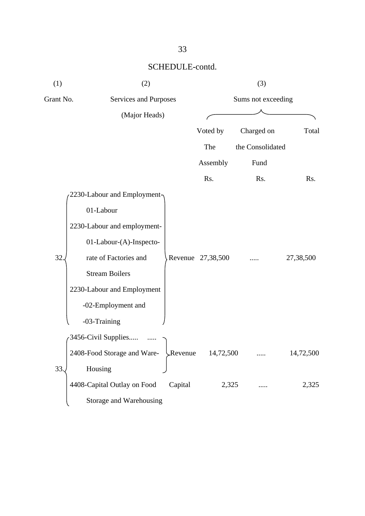| Total     |
|-----------|
|           |
|           |
| Rs.       |
|           |
|           |
|           |
|           |
| 27,38,500 |
|           |
|           |
|           |
|           |
|           |
| 14,72,500 |
|           |
| 2,325     |
|           |
|           |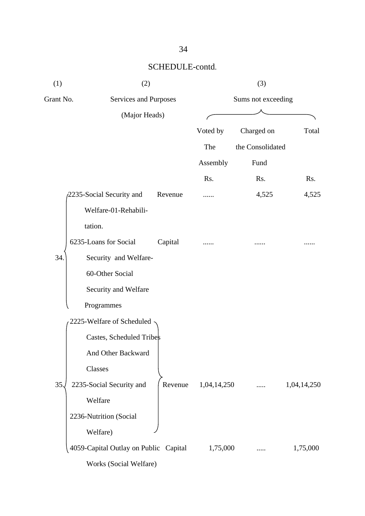| (1)       | (2)                                   |         | (3)                |                  |             |  |
|-----------|---------------------------------------|---------|--------------------|------------------|-------------|--|
| Grant No. | Services and Purposes                 |         | Sums not exceeding |                  |             |  |
|           | (Major Heads)                         |         |                    |                  |             |  |
|           |                                       |         | Voted by           | Charged on       | Total       |  |
|           |                                       |         | The                | the Consolidated |             |  |
|           |                                       |         | Assembly           | Fund             |             |  |
|           |                                       |         | Rs.                | Rs.              | Rs.         |  |
|           | 2235-Social Security and              | Revenue |                    | 4,525            | 4,525       |  |
|           | Welfare-01-Rehabili-                  |         |                    |                  |             |  |
|           | tation.                               |         |                    |                  |             |  |
|           | 6235-Loans for Social                 | Capital |                    |                  |             |  |
| 34.       | Security and Welfare-                 |         |                    |                  |             |  |
|           | 60-Other Social                       |         |                    |                  |             |  |
|           | Security and Welfare                  |         |                    |                  |             |  |
|           | Programmes                            |         |                    |                  |             |  |
|           | 2225-Welfare of Scheduled             |         |                    |                  |             |  |
|           | Castes, Scheduled Tribes              |         |                    |                  |             |  |
|           | And Other Backward                    |         |                    |                  |             |  |
|           | Classes                               |         |                    |                  |             |  |
| 35.       | 2235-Social Security and              | Revenue | 1,04,14,250        |                  | 1,04,14,250 |  |
|           | Welfare                               |         |                    |                  |             |  |
|           | 2236-Nutrition (Social                |         |                    |                  |             |  |
|           | Welfare)                              |         |                    |                  |             |  |
|           | 4059-Capital Outlay on Public Capital |         | 1,75,000           |                  | 1,75,000    |  |
|           | Works (Social Welfare)                |         |                    |                  |             |  |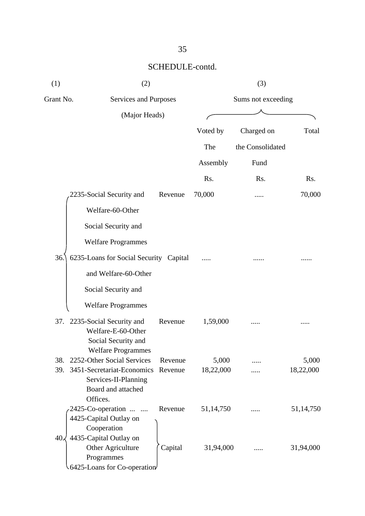| (1)       | (2)                                                     |         | (3)                |                  |           |  |
|-----------|---------------------------------------------------------|---------|--------------------|------------------|-----------|--|
| Grant No. | Services and Purposes                                   |         | Sums not exceeding |                  |           |  |
|           | (Major Heads)                                           |         |                    |                  |           |  |
|           |                                                         |         | Voted by           | Charged on       | Total     |  |
|           |                                                         |         | The                | the Consolidated |           |  |
|           |                                                         |         | Assembly           | Fund             |           |  |
|           |                                                         |         | Rs.                | Rs.              | Rs.       |  |
|           |                                                         |         |                    |                  |           |  |
|           | 2235-Social Security and                                | Revenue | 70,000             |                  | 70,000    |  |
|           | Welfare-60-Other                                        |         |                    |                  |           |  |
|           | Social Security and                                     |         |                    |                  |           |  |
|           | <b>Welfare Programmes</b>                               |         |                    |                  |           |  |
| 36.       | 6235-Loans for Social Security Capital                  |         |                    |                  |           |  |
|           | and Welfare-60-Other                                    |         |                    |                  |           |  |
|           |                                                         |         |                    |                  |           |  |
|           | Social Security and                                     |         |                    |                  |           |  |
|           | <b>Welfare Programmes</b>                               |         |                    |                  |           |  |
|           | 37. 2235-Social Security and                            | Revenue | 1,59,000           |                  |           |  |
|           | Welfare-E-60-Other                                      |         |                    |                  |           |  |
|           | Social Security and                                     |         |                    |                  |           |  |
| 38.       | <b>Welfare Programmes</b><br>2252-Other Social Services | Revenue | 5,000              |                  | 5,000     |  |
| 39.       | 3451-Secretariat-Economics                              | Revenue | 18,22,000          |                  | 18,22,000 |  |
|           | Services-II-Planning                                    |         |                    |                  |           |  |
|           | Board and attached                                      |         |                    |                  |           |  |
|           | Offices.                                                |         |                    |                  |           |  |
|           | 2425-Co-operation                                       | Revenue | 51,14,750          |                  | 51,14,750 |  |
|           | 4425-Capital Outlay on                                  |         |                    |                  |           |  |
|           | Cooperation                                             |         |                    |                  |           |  |
| 40.       | 4435-Capital Outlay on                                  |         |                    |                  |           |  |
|           | Other Agriculture                                       | Capital | 31,94,000          |                  | 31,94,000 |  |
|           | Programmes                                              |         |                    |                  |           |  |
|           | 6425-Loans for Co-operation                             |         |                    |                  |           |  |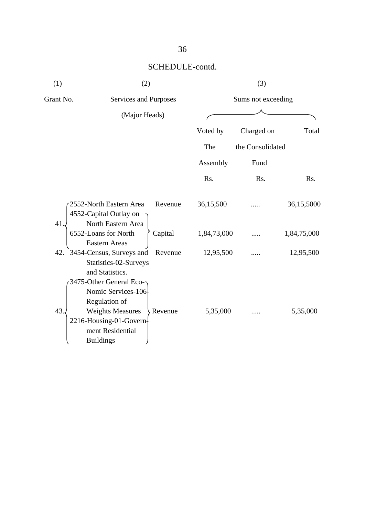| (1)<br>(2) |                                                                                                                                                                         | (3)         |                    |             |  |
|------------|-------------------------------------------------------------------------------------------------------------------------------------------------------------------------|-------------|--------------------|-------------|--|
| Grant No.  | Services and Purposes                                                                                                                                                   |             | Sums not exceeding |             |  |
|            | (Major Heads)                                                                                                                                                           |             |                    |             |  |
|            |                                                                                                                                                                         | Voted by    | Charged on         | Total       |  |
|            |                                                                                                                                                                         | The         | the Consolidated   |             |  |
|            |                                                                                                                                                                         | Assembly    | Fund               |             |  |
|            |                                                                                                                                                                         | Rs.         | Rs.                | Rs.         |  |
| 41.        | 2552-North Eastern Area<br>Revenue<br>4552-Capital Outlay on                                                                                                            | 36,15,500   |                    | 36,15,5000  |  |
|            | North Eastern Area<br>6552-Loans for North<br>Capital<br><b>Eastern Areas</b>                                                                                           | 1,84,73,000 |                    | 1,84,75,000 |  |
|            | 42. 3454-Census, Surveys and<br>Revenue<br>Statistics-02-Surveys<br>and Statistics.                                                                                     | 12,95,500   |                    | 12,95,500   |  |
| 43.        | 3475-Other General Eco-<br>Nomic Services-106<br>Regulation of<br><b>Weights Measures</b><br>Revenue<br>2216-Housing-01-Govern-<br>ment Residential<br><b>Buildings</b> | 5,35,000    |                    | 5,35,000    |  |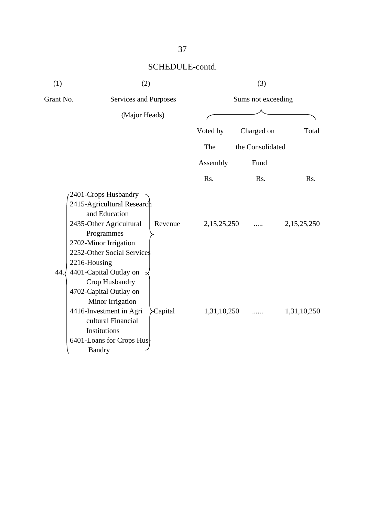| (1)          | (2)                                                                                                                                                                                                             | (3)         |                    |             |
|--------------|-----------------------------------------------------------------------------------------------------------------------------------------------------------------------------------------------------------------|-------------|--------------------|-------------|
| Grant No.    | Services and Purposes                                                                                                                                                                                           |             | Sums not exceeding |             |
|              | (Major Heads)                                                                                                                                                                                                   |             |                    |             |
|              |                                                                                                                                                                                                                 | Voted by    | Charged on         | Total       |
|              |                                                                                                                                                                                                                 | The         | the Consolidated   |             |
|              |                                                                                                                                                                                                                 | Assembly    | Fund               |             |
|              |                                                                                                                                                                                                                 | Rs.         | Rs.                | Rs.         |
| 2216-Housing | 2401-Crops Husbandry<br>2415-Agricultural Research<br>and Education<br>2435-Other Agricultural<br>Revenue<br>Programmes<br>2702-Minor Irrigation<br>2252-Other Social Services                                  | 2,15,25,250 |                    | 2,15,25,250 |
| 44.          | 4401-Capital Outlay on<br>Crop Husbandry<br>4702-Capital Outlay on<br>Minor Irrigation<br>4416-Investment in Agri<br>Capital<br>cultural Financial<br>Institutions<br>6401-Loans for Crops Hus<br><b>Bandry</b> | 1,31,10,250 |                    | 1,31,10,250 |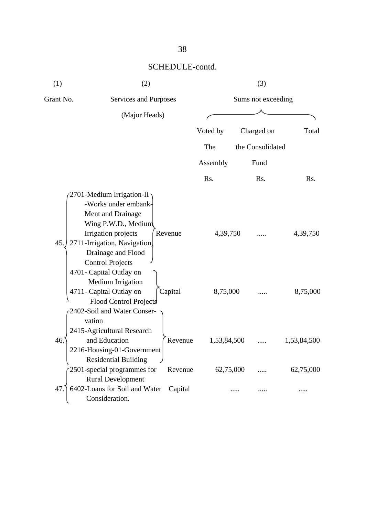| (1)       | (2)                                                                                                                                                                                                                                                                                                                                                 |                    | (3)                  |                    |                      |  |
|-----------|-----------------------------------------------------------------------------------------------------------------------------------------------------------------------------------------------------------------------------------------------------------------------------------------------------------------------------------------------------|--------------------|----------------------|--------------------|----------------------|--|
| Grant No. | <b>Services and Purposes</b>                                                                                                                                                                                                                                                                                                                        |                    |                      | Sums not exceeding |                      |  |
|           | (Major Heads)                                                                                                                                                                                                                                                                                                                                       |                    |                      |                    |                      |  |
|           |                                                                                                                                                                                                                                                                                                                                                     |                    | Voted by             | Charged on         | Total                |  |
|           |                                                                                                                                                                                                                                                                                                                                                     |                    | The                  | the Consolidated   |                      |  |
|           |                                                                                                                                                                                                                                                                                                                                                     |                    | Assembly             | Fund               |                      |  |
|           |                                                                                                                                                                                                                                                                                                                                                     |                    | Rs.                  | Rs.                | Rs.                  |  |
| 45.       | 2701-Medium Irrigation-II<br>-Works under embank-<br>Ment and Drainage<br>Wing P.W.D., Medium<br>Irrigation projects<br>2711-Irrigation, Navigation,<br>Drainage and Flood<br><b>Control Projects</b><br>4701- Capital Outlay on<br>Medium Irrigation<br>4711- Capital Outlay on<br>Flood Control Projects<br>2402-Soil and Water Conser-<br>vation | Revenue<br>Capital | 4,39,750<br>8,75,000 |                    | 4,39,750<br>8,75,000 |  |
| 46.       | 2415-Agricultural Research<br>and Education<br>2216-Housing-01-Government                                                                                                                                                                                                                                                                           | Revenue            | 1,53,84,500          |                    | 1,53,84,500          |  |
|           | <b>Residential Building</b><br>2501-special programmes for<br><b>Rural Development</b>                                                                                                                                                                                                                                                              | Revenue            | 62,75,000            |                    | 62,75,000            |  |
| 47.       | 6402-Loans for Soil and Water<br>Consideration.                                                                                                                                                                                                                                                                                                     | Capital            |                      |                    |                      |  |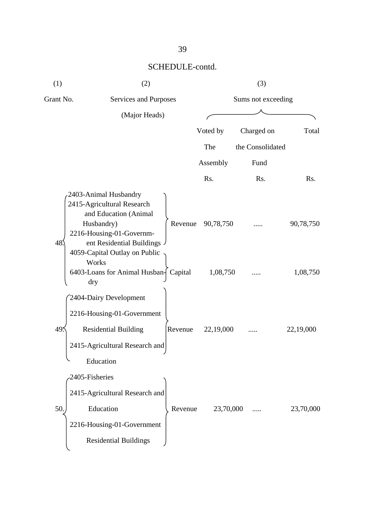| (1)       | (2)                                                                                                                                                                                             |         | (3)                |                  |           |  |
|-----------|-------------------------------------------------------------------------------------------------------------------------------------------------------------------------------------------------|---------|--------------------|------------------|-----------|--|
| Grant No. | Services and Purposes                                                                                                                                                                           |         | Sums not exceeding |                  |           |  |
|           | (Major Heads)                                                                                                                                                                                   |         |                    |                  |           |  |
|           |                                                                                                                                                                                                 |         | Voted by           | Charged on       | Total     |  |
|           |                                                                                                                                                                                                 |         | The                | the Consolidated |           |  |
|           |                                                                                                                                                                                                 |         | Assembly           | Fund             |           |  |
|           |                                                                                                                                                                                                 |         | Rs.                | Rs.              | Rs.       |  |
| 48        | 2403-Animal Husbandry<br>2415-Agricultural Research<br>and Education (Animal<br>Husbandry)<br>2216-Housing-01-Governm-<br>ent Residential Buildings .<br>4059-Capital Outlay on Public<br>Works | Revenue | 90,78,750          |                  | 90,78,750 |  |
|           | 6403-Loans for Animal Husban- Capital<br>dry                                                                                                                                                    |         | 1,08,750           |                  | 1,08,750  |  |
| 49.       | 2404-Dairy Development<br>2216-Housing-01-Government<br><b>Residential Building</b><br>2415-Agricultural Research and<br>Education                                                              | Revenue | 22,19,000          |                  | 22,19,000 |  |
| 50        | 2405-Fisheries<br>2415-Agricultural Research and<br>Education<br>2216-Housing-01-Government<br><b>Residential Buildings</b>                                                                     | Revenue | 23,70,000          |                  | 23,70,000 |  |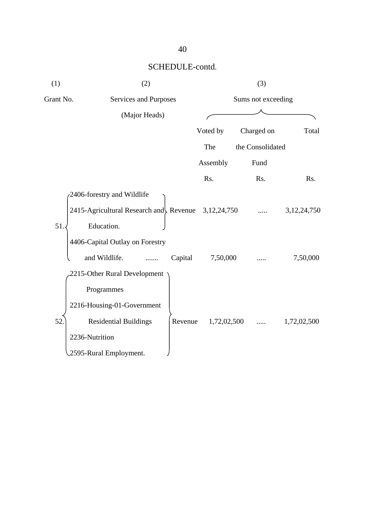| (1)       | (2)                                                  |             | (3)                |                |  |  |
|-----------|------------------------------------------------------|-------------|--------------------|----------------|--|--|
| Grant No. | Services and Purposes                                |             | Sums not exceeding |                |  |  |
|           | (Major Heads)                                        |             |                    |                |  |  |
|           |                                                      | Voted by    | Charged on         | Total          |  |  |
|           |                                                      | The         | the Consolidated   |                |  |  |
|           |                                                      | Assembly    | Fund               |                |  |  |
|           |                                                      | Rs.         | Rs.                | Rs.            |  |  |
|           | 2406-forestry and Wildlife                           |             |                    |                |  |  |
|           | 2415-Agricultural Research and Revenue $3,12,24,750$ |             |                    | 3, 12, 24, 750 |  |  |
| 51.       | Education.                                           |             |                    |                |  |  |
|           | 4406-Capital Outlay on Forestry                      |             |                    |                |  |  |
|           | and Wildlife.<br>Capital                             | 7,50,000    |                    | 7,50,000       |  |  |
|           | 2215-Other Rural Development                         |             |                    |                |  |  |
|           | Programmes                                           |             |                    |                |  |  |
|           | 2216-Housing-01-Government                           |             |                    |                |  |  |
| 52.       | <b>Residential Buildings</b><br>Revenue              | 1,72,02,500 | $\cdots$           | 1,72,02,500    |  |  |
|           | 2236-Nutrition                                       |             |                    |                |  |  |
|           | 2595-Rural Employment.                               |             |                    |                |  |  |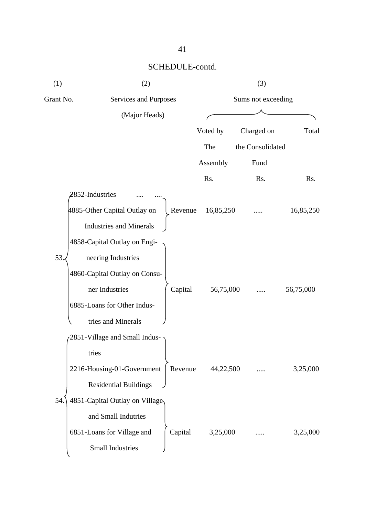| (1)       | (2)                                     | (3)                |                  |           |  |
|-----------|-----------------------------------------|--------------------|------------------|-----------|--|
| Grant No. | Services and Purposes                   | Sums not exceeding |                  |           |  |
|           | (Major Heads)                           |                    |                  |           |  |
|           |                                         | Voted by           | Charged on       | Total     |  |
|           |                                         | The                | the Consolidated |           |  |
|           |                                         | Assembly           | Fund             |           |  |
|           |                                         | Rs.                | Rs.              | Rs.       |  |
|           | 2852-Industries                         |                    |                  |           |  |
|           | 4885-Other Capital Outlay on<br>Revenue | 16,85,250          |                  | 16,85,250 |  |
|           | <b>Industries and Minerals</b>          |                    |                  |           |  |
|           | 4858-Capital Outlay on Engi-            |                    |                  |           |  |
| 53.       | neering Industries                      |                    |                  |           |  |
|           | 4860-Capital Outlay on Consu-           |                    |                  |           |  |
|           | ner Industries<br>Capital               | 56,75,000          |                  | 56,75,000 |  |
|           | 6885-Loans for Other Indus-             |                    |                  |           |  |
|           | tries and Minerals                      |                    |                  |           |  |
|           | 2851-Village and Small Indus-           |                    |                  |           |  |
|           | tries                                   |                    |                  |           |  |
|           | 2216-Housing-01-Government<br>Revenue   | 44,22,500          |                  | 3,25,000  |  |
|           | <b>Residential Buildings</b>            |                    |                  |           |  |
| 54.       | 4851-Capital Outlay on Village          |                    |                  |           |  |
|           | and Small Indutries                     |                    |                  |           |  |
|           | Capital<br>6851-Loans for Village and   | 3,25,000           |                  | 3,25,000  |  |
|           | <b>Small Industries</b>                 |                    |                  |           |  |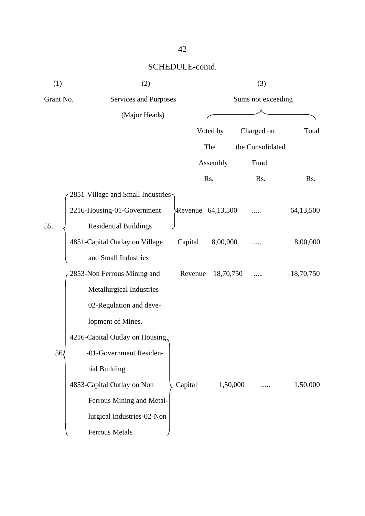| (1)       | (2)                               |         | (3)                |                  |           |  |
|-----------|-----------------------------------|---------|--------------------|------------------|-----------|--|
| Grant No. | Services and Purposes             |         | Sums not exceeding |                  |           |  |
|           | (Major Heads)                     |         |                    |                  |           |  |
|           |                                   |         | Voted by           | Charged on       | Total     |  |
|           |                                   |         | The                | the Consolidated |           |  |
|           |                                   |         | Assembly           | Fund             |           |  |
|           |                                   |         | Rs.                | Rs.              | Rs.       |  |
|           | 2851-Village and Small Industries |         |                    |                  |           |  |
|           | 2216-Housing-01-Government        |         | Revenue 64,13,500  |                  | 64,13,500 |  |
| 55.       | <b>Residential Buildings</b>      |         |                    |                  |           |  |
|           | 4851-Capital Outlay on Village    | Capital | 8,00,000           |                  | 8,00,000  |  |
|           | and Small Industries              |         |                    |                  |           |  |
|           | 2853-Non Ferrous Mining and       | Revenue | 18,70,750          |                  | 18,70,750 |  |
|           | Metallurgical Industries-         |         |                    |                  |           |  |
|           | 02-Regulation and deve-           |         |                    |                  |           |  |
|           | lopment of Mines.                 |         |                    |                  |           |  |
|           | 4216-Capital Outlay on Housing.   |         |                    |                  |           |  |
| 56        | -01-Government Residen-           |         |                    |                  |           |  |
|           | tial Building                     |         |                    |                  |           |  |
|           | 4853-Capital Outlay on Non        | Capital | 1,50,000           |                  | 1,50,000  |  |
|           | Ferrous Mining and Metal-         |         |                    |                  |           |  |
|           | lurgical Industries-02-Non        |         |                    |                  |           |  |
|           | Ferrous Metals                    |         |                    |                  |           |  |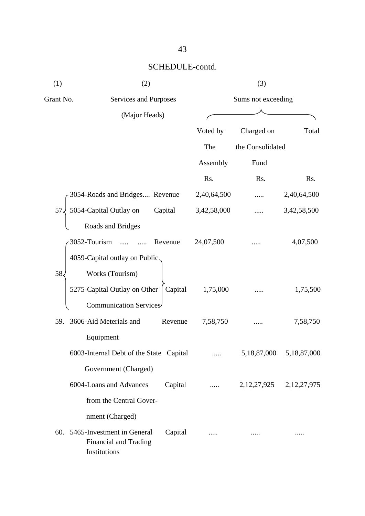| (1)          | (2)                                                                                       | (3)                |                               |             |  |
|--------------|-------------------------------------------------------------------------------------------|--------------------|-------------------------------|-------------|--|
| Grant No.    | Services and Purposes                                                                     | Sums not exceeding |                               |             |  |
|              | (Major Heads)                                                                             |                    |                               |             |  |
|              |                                                                                           | Voted by           | Charged on                    | Total       |  |
|              |                                                                                           | The                | the Consolidated              |             |  |
|              |                                                                                           | Assembly           | Fund                          |             |  |
|              |                                                                                           | Rs.                | Rs.                           | Rs.         |  |
|              | 3054-Roads and Bridges Revenue                                                            | 2,40,64,500        |                               | 2,40,64,500 |  |
| $57\sqrt{ }$ | 5054-Capital Outlay on<br>Capital                                                         | 3,42,58,000        |                               | 3,42,58,500 |  |
|              | Roads and Bridges                                                                         |                    |                               |             |  |
|              | 3052-Tourism<br>Revenue                                                                   | 24,07,500          |                               | 4,07,500    |  |
|              | 4059-Capital outlay on Public.                                                            |                    |                               |             |  |
| 58.          | Works (Tourism)                                                                           |                    |                               |             |  |
|              | 5275-Capital Outlay on Other  <br>Capital                                                 | 1,75,000           |                               | 1,75,500    |  |
|              | Communication Services                                                                    |                    |                               |             |  |
|              | 59. 3606-Aid Meterials and<br>Revenue                                                     | 7,58,750           |                               | 7,58,750    |  |
|              | Equipment                                                                                 |                    |                               |             |  |
|              | 6003-Internal Debt of the State Capital                                                   |                    | 5,18,87,000                   | 5,18,87,000 |  |
|              | Government (Charged)                                                                      |                    |                               |             |  |
|              | 6004-Loans and Advances<br>Capital                                                        | $\cdots$           | 2, 12, 27, 925 2, 12, 27, 975 |             |  |
|              | from the Central Gover-                                                                   |                    |                               |             |  |
|              | nment (Charged)                                                                           |                    |                               |             |  |
|              | 60. 5465-Investment in General<br>Capital<br><b>Financial and Trading</b><br>Institutions |                    |                               |             |  |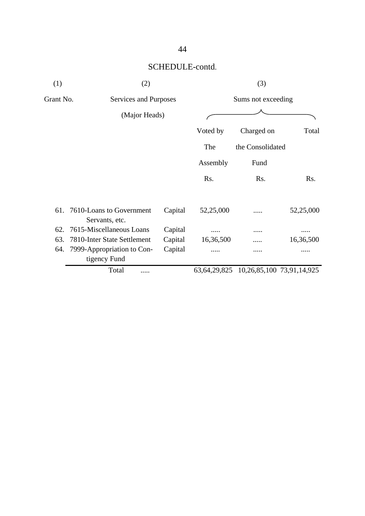| (1)       | (2)                                            |         | (3)                |                                                 |           |  |
|-----------|------------------------------------------------|---------|--------------------|-------------------------------------------------|-----------|--|
| Grant No. | Services and Purposes                          |         | Sums not exceeding |                                                 |           |  |
|           | (Major Heads)                                  |         |                    |                                                 |           |  |
|           |                                                |         | Voted by           | Charged on                                      | Total     |  |
|           |                                                |         | The                | the Consolidated                                |           |  |
|           |                                                |         | Assembly           | Fund                                            |           |  |
|           |                                                |         | Rs.                | Rs.                                             | Rs.       |  |
|           | 61. 7610-Loans to Government<br>Servants, etc. | Capital | 52,25,000          |                                                 | 52,25,000 |  |
| 62.       | 7615-Miscellaneous Loans                       | Capital |                    |                                                 |           |  |
| 63.       | 7810-Inter State Settlement                    | Capital | 16,36,500          |                                                 | 16,36,500 |  |
| 64.       | 7999-Appropriation to Con-<br>tigency Fund     | Capital |                    |                                                 |           |  |
|           | Total                                          |         |                    | 63, 64, 29, 825 10, 26, 85, 100 73, 91, 14, 925 |           |  |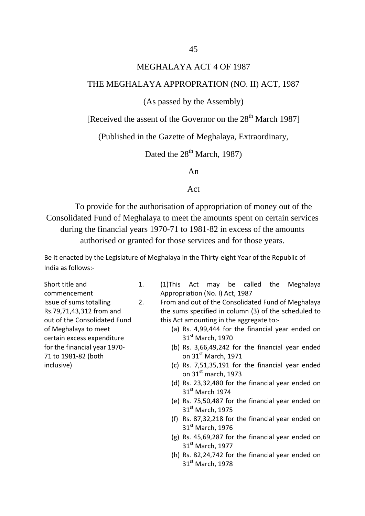#### MEGHALAYA ACT 4 OF 1987

#### THE MEGHALAYA APPROPRATION (NO. II) ACT, 1987

#### (As passed by the Assembly)

[Received the assent of the Governor on the  $28<sup>th</sup>$  March 1987]

(Published in the Gazette of Meghalaya, Extraordinary,

Dated the  $28<sup>th</sup>$  March, 1987)

An

#### Act

To provide for the authorisation of appropriation of money out of the Consolidated Fund of Meghalaya to meet the amounts spent on certain services during the financial years 1970-71 to 1981-82 in excess of the amounts authorised or granted for those services and for those years.

Be it enacted by the Legislature of Meghalaya in the Thirty-eight Year of the Republic of India as follows:-

Short title and commencement Issue of sums totalling Rs.79,71,43,312 from and out of the Consolidated Fund of Meghalaya to meet certain excess expenditure for the financial year 1970- 71 to 1981-82 (both inclusive)

- 1. (1)This Act may be called the Meghalaya Appropriation (No. I) Act, 1987
- 2. From and out of the Consolidated Fund of Meghalaya the sums specified in column (3) of the scheduled to this Act amounting in the aggregate to:-
	- (a) Rs. 4,99,444 for the financial year ended on 31<sup>st</sup> March, 1970
	- (b) Rs. 3,66,49,242 for the financial year ended on 31st March, 1971
	- (c) Rs. 7,51,35,191 for the financial year ended on  $31<sup>st</sup>$  march, 1973
	- (d) Rs. 23,32,480 for the financial year ended on 31st March 1974
	- (e) Rs. 75,50,487 for the financial year ended on  $31<sup>st</sup>$  March, 1975
	- (f) Rs. 87,32,218 for the financial year ended on 31<sup>st</sup> March, 1976
	- (g) Rs. 45,69,287 for the financial year ended on 31st March, 1977
	- (h) Rs. 82,24,742 for the financial year ended on 31st March, 1978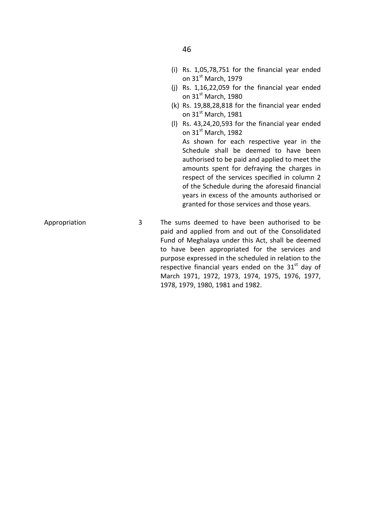- (j) Rs. 1,16,22,059 for the financial year ended on  $31<sup>st</sup>$  March, 1980
- (k) Rs. 19,88,28,818 for the financial year ended on  $31<sup>st</sup>$  March, 1981
- (l) Rs. 43,24,20,593 for the financial year ended on 31st March, 1982

As shown for each respective year in the Schedule shall be deemed to have been authorised to be paid and applied to meet the amounts spent for defraying the charges in respect of the services specified in column 2 of the Schedule during the aforesaid financial years in excess of the amounts authorised or granted for those services and those years.

Appropriation 3 The sums deemed to have been authorised to be paid and applied from and out of the Consolidated Fund of Meghalaya under this Act, shall be deemed to have been appropriated for the services and purpose expressed in the scheduled in relation to the respective financial years ended on the  $31<sup>st</sup>$  day of March 1971, 1972, 1973, 1974, 1975, 1976, 1977, 1978, 1979, 1980, 1981 and 1982.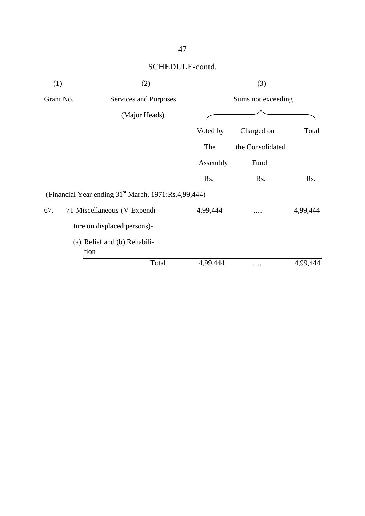| (1)       | (2)                                                              |          | (3)                |          |  |  |
|-----------|------------------------------------------------------------------|----------|--------------------|----------|--|--|
| Grant No. | Services and Purposes                                            |          | Sums not exceeding |          |  |  |
|           | (Major Heads)                                                    |          |                    |          |  |  |
|           |                                                                  | Voted by | Charged on         | Total    |  |  |
|           |                                                                  | The      | the Consolidated   |          |  |  |
|           |                                                                  | Assembly | Fund               |          |  |  |
|           |                                                                  | Rs.      | Rs.                | Rs.      |  |  |
|           | (Financial Year ending 31 <sup>st</sup> March, 1971:Rs.4,99,444) |          |                    |          |  |  |
| 67.       | 71-Miscellaneous-(V-Expendi-                                     | 4,99,444 |                    | 4,99,444 |  |  |
|           | ture on displaced persons)-                                      |          |                    |          |  |  |
|           | (a) Relief and (b) Rehabili-<br>tion                             |          |                    |          |  |  |
|           | Total                                                            | 4,99,444 |                    | 4,99,444 |  |  |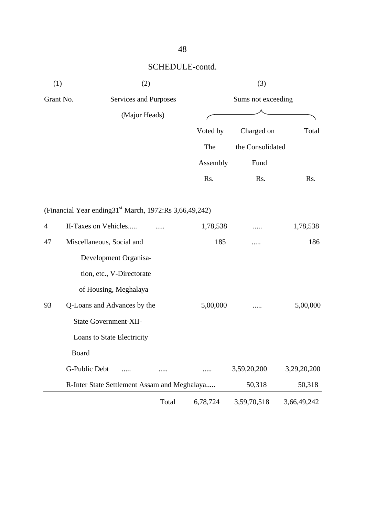| (1)       |                                                                      | (2)                                          |       |                    |                  |             |  |
|-----------|----------------------------------------------------------------------|----------------------------------------------|-------|--------------------|------------------|-------------|--|
| Grant No. | <b>Services and Purposes</b>                                         |                                              |       | Sums not exceeding |                  |             |  |
|           |                                                                      | (Major Heads)                                |       |                    |                  |             |  |
|           |                                                                      |                                              |       | Voted by           | Charged on       | Total       |  |
|           |                                                                      |                                              |       | The                | the Consolidated |             |  |
|           |                                                                      |                                              |       | Assembly           | Fund             |             |  |
|           |                                                                      |                                              |       | Rs.                | Rs.              | Rs.         |  |
|           | (Financial Year ending 31 <sup>st</sup> March, 1972: Rs 3,66,49,242) |                                              |       |                    |                  |             |  |
| 4         | II-Taxes on Vehicles                                                 |                                              | .     | 1,78,538           |                  | 1,78,538    |  |
| 47        | Miscellaneous, Social and                                            |                                              |       | 185                |                  | 186         |  |
|           |                                                                      | Development Organisa-                        |       |                    |                  |             |  |
|           |                                                                      | tion, etc., V-Directorate                    |       |                    |                  |             |  |
|           |                                                                      | of Housing, Meghalaya                        |       |                    |                  |             |  |
| 93        |                                                                      | Q-Loans and Advances by the                  |       | 5,00,000           |                  | 5,00,000    |  |
|           |                                                                      | State Government-XII-                        |       |                    |                  |             |  |
|           |                                                                      | Loans to State Electricity                   |       |                    |                  |             |  |
|           | Board                                                                |                                              |       |                    |                  |             |  |
|           | G-Public Debt                                                        | .                                            |       |                    | 3,59,20,200      | 3,29,20,200 |  |
|           |                                                                      | R-Inter State Settlement Assam and Meghalaya |       |                    | 50,318           | 50,318      |  |
|           |                                                                      |                                              | Total | 6,78,724           | 3,59,70,518      | 3,66,49,242 |  |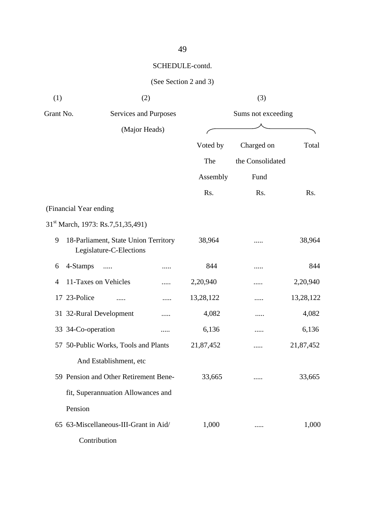| (1)                     | (2)                                                             |   |                    | (3)              |           |
|-------------------------|-----------------------------------------------------------------|---|--------------------|------------------|-----------|
| Grant No.               | Services and Purposes                                           |   | Sums not exceeding |                  |           |
|                         | (Major Heads)                                                   |   |                    |                  |           |
|                         |                                                                 |   | Voted by           | Charged on       | Total     |
|                         |                                                                 |   | The                | the Consolidated |           |
|                         |                                                                 |   | Assembly           | Fund             |           |
|                         |                                                                 |   | Rs.                | Rs.              | Rs.       |
| (Financial Year ending) |                                                                 |   |                    |                  |           |
|                         | 31 <sup>st</sup> March, 1973: Rs.7,51,35,491)                   |   |                    |                  |           |
| 9                       | 18-Parliament, State Union Territory<br>Legislature-C-Elections |   | 38,964             | .                | 38,964    |
| 4-Stamps<br>6           |                                                                 | . | 844                | .                | 844       |
| 4                       | 11-Taxes on Vehicles                                            |   | 2,20,940           |                  | 2,20,940  |
| 17 23-Police            |                                                                 |   | 13,28,122          | .                | 13,28,122 |
|                         | 31 32-Rural Development                                         | . | 4,082              | .                | 4,082     |
| 33 34-Co-operation      |                                                                 | . | 6,136              | .                | 6,136     |
|                         | 57 50-Public Works, Tools and Plants                            |   | 21,87,452          |                  | 21,87,452 |
|                         | And Establishment, etc                                          |   |                    |                  |           |
|                         | 59 Pension and Other Retirement Bene-                           |   | 33,665             |                  | 33,665    |
|                         | fit, Superannuation Allowances and                              |   |                    |                  |           |
| Pension                 |                                                                 |   |                    |                  |           |
|                         | 65 63-Miscellaneous-III-Grant in Aid/                           |   | 1,000              |                  | 1,000     |
|                         | Contribution                                                    |   |                    |                  |           |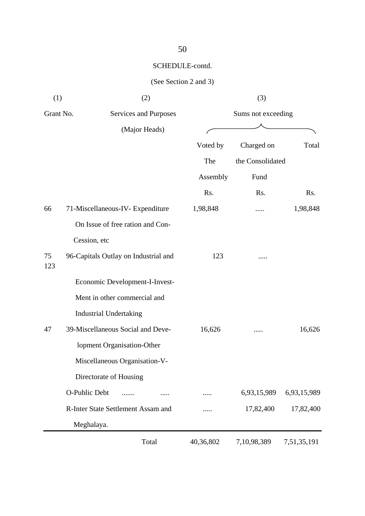| (1)       | (2)                                  | (3)                |                  |             |  |
|-----------|--------------------------------------|--------------------|------------------|-------------|--|
| Grant No. | Services and Purposes                | Sums not exceeding |                  |             |  |
|           | (Major Heads)                        |                    |                  |             |  |
|           |                                      | Voted by           | Charged on       | Total       |  |
|           |                                      | The                | the Consolidated |             |  |
|           |                                      | Assembly           | Fund             |             |  |
|           |                                      | Rs.                | Rs.              | Rs.         |  |
| 66        | 71-Miscellaneous-IV- Expenditure     | 1,98,848           | .                | 1,98,848    |  |
|           | On Issue of free ration and Con-     |                    |                  |             |  |
|           | Cession, etc                         |                    |                  |             |  |
| 75<br>123 | 96-Capitals Outlay on Industrial and | 123                |                  |             |  |
|           | Economic Development-I-Invest-       |                    |                  |             |  |
|           | Ment in other commercial and         |                    |                  |             |  |
|           | <b>Industrial Undertaking</b>        |                    |                  |             |  |
| 47        | 39-Miscellaneous Social and Deve-    | 16,626             |                  | 16,626      |  |
|           | lopment Organisation-Other           |                    |                  |             |  |
|           | Miscellaneous Organisation-V-        |                    |                  |             |  |
|           | Directorate of Housing               |                    |                  |             |  |
|           | O-Public Debt                        |                    | 6,93,15,989      | 6,93,15,989 |  |
|           | R-Inter State Settlement Assam and   |                    | 17,82,400        | 17,82,400   |  |
|           | Meghalaya.                           |                    |                  |             |  |
|           | Total                                | 40,36,802          | 7,10,98,389      | 7,51,35,191 |  |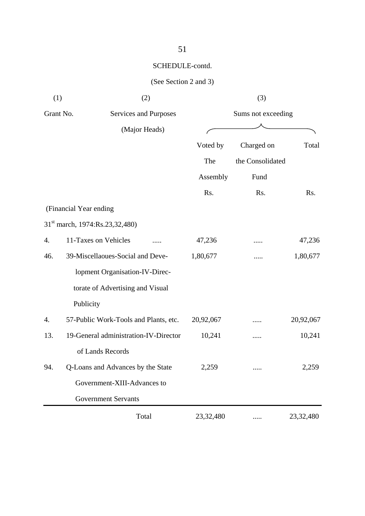| (1)       |                                            | (2)           |                    | (3)              |           |
|-----------|--------------------------------------------|---------------|--------------------|------------------|-----------|
| Grant No. | Services and Purposes                      |               | Sums not exceeding |                  |           |
|           |                                            | (Major Heads) |                    |                  |           |
|           |                                            |               | Voted by           | Charged on       | Total     |
|           |                                            |               | The                | the Consolidated |           |
|           |                                            |               | Assembly           | Fund             |           |
|           |                                            |               | Rs.                | Rs.              | Rs.       |
|           | (Financial Year ending                     |               |                    |                  |           |
|           | 31 <sup>st</sup> march, 1974:Rs.23,32,480) |               |                    |                  |           |
| 4.        | 11-Taxes on Vehicles                       |               | 47,236             |                  | 47,236    |
| 46.       | 39-Miscellaoues-Social and Deve-           |               | 1,80,677           |                  | 1,80,677  |
|           | lopment Organisation-IV-Direc-             |               |                    |                  |           |
|           | torate of Advertising and Visual           |               |                    |                  |           |
|           | Publicity                                  |               |                    |                  |           |
| 4.        | 57-Public Work-Tools and Plants, etc.      |               | 20,92,067          |                  | 20,92,067 |
| 13.       | 19-General administration-IV-Director      |               | 10,241             |                  | 10,241    |
|           | of Lands Records                           |               |                    |                  |           |
| 94.       | Q-Loans and Advances by the State          |               | 2,259              |                  | 2,259     |
|           | Government-XIII-Advances to                |               |                    |                  |           |
|           | <b>Government Servants</b>                 |               |                    |                  |           |
|           |                                            | Total         | 23,32,480          |                  | 23,32,480 |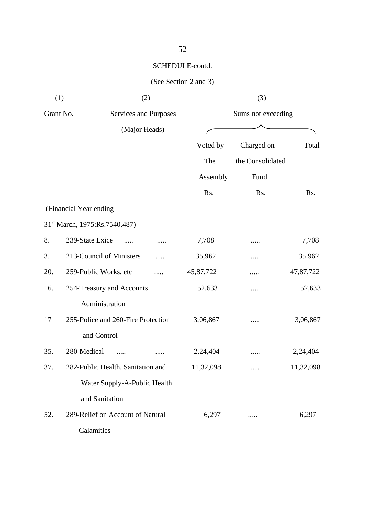| (1)       | (2)                                       |           | (3)                |           |
|-----------|-------------------------------------------|-----------|--------------------|-----------|
| Grant No. | Services and Purposes                     |           | Sums not exceeding |           |
|           | (Major Heads)                             |           |                    |           |
|           |                                           | Voted by  | Charged on         | Total     |
|           |                                           | The       | the Consolidated   |           |
|           |                                           | Assembly  | Fund               |           |
|           |                                           | Rs.       | Rs.                | Rs.       |
|           | (Financial Year ending                    |           |                    |           |
|           | 31 <sup>st</sup> March, 1975:Rs.7540,487) |           |                    |           |
| 8.        | 239-State Exice<br>.                      | 7,708     |                    | 7,708     |
| 3.        | 213-Council of Ministers                  | 35,962    |                    | 35.962    |
| 20.       | 259-Public Works, etc                     | 45,87,722 | .                  | 47,87,722 |
| 16.       | 254-Treasury and Accounts                 | 52,633    | .                  | 52,633    |
|           | Administration                            |           |                    |           |
| 17        | 255-Police and 260-Fire Protection        | 3,06,867  | .                  | 3,06,867  |
|           | and Control                               |           |                    |           |
| 35.       | 280-Medical                               | 2,24,404  |                    | 2,24,404  |
| 37.       | 282-Public Health, Sanitation and         | 11,32,098 |                    | 11,32,098 |
|           | Water Supply-A-Public Health              |           |                    |           |
|           | and Sanitation                            |           |                    |           |
| 52.       | 289-Relief on Account of Natural          | 6,297     |                    | 6,297     |
|           | Calamities                                |           |                    |           |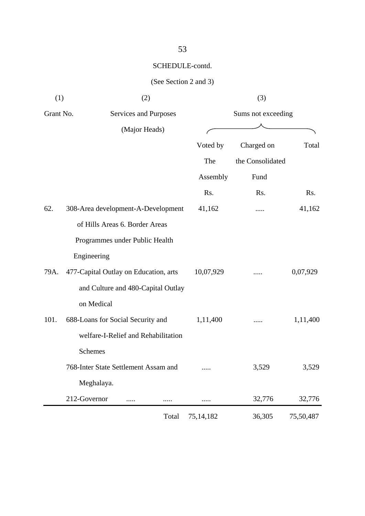| (1)       | (2)                                   | (3)                |                  |           |  |
|-----------|---------------------------------------|--------------------|------------------|-----------|--|
| Grant No. | Services and Purposes                 | Sums not exceeding |                  |           |  |
|           | (Major Heads)                         |                    |                  |           |  |
|           |                                       | Voted by           | Charged on       | Total     |  |
|           |                                       | The                | the Consolidated |           |  |
|           |                                       | Assembly           | Fund             |           |  |
|           |                                       | Rs.                | Rs.              | Rs.       |  |
| 62.       | 308-Area development-A-Development    | 41,162             |                  | 41,162    |  |
|           | of Hills Areas 6. Border Areas        |                    |                  |           |  |
|           | Programmes under Public Health        |                    |                  |           |  |
|           | Engineering                           |                    |                  |           |  |
| 79A.      | 477-Capital Outlay on Education, arts | 10,07,929          |                  | 0,07,929  |  |
|           | and Culture and 480-Capital Outlay    |                    |                  |           |  |
|           | on Medical                            |                    |                  |           |  |
| 101.      | 688-Loans for Social Security and     | 1,11,400           |                  | 1,11,400  |  |
|           | welfare-I-Relief and Rehabilitation   |                    |                  |           |  |
|           | Schemes                               |                    |                  |           |  |
|           | 768-Inter State Settlement Assam and  |                    | 3,529            | 3,529     |  |
|           | Meghalaya.                            |                    |                  |           |  |
|           | 212-Governor                          |                    | 32,776           | 32,776    |  |
|           | Total                                 | 75, 14, 182        | 36,305           | 75,50,487 |  |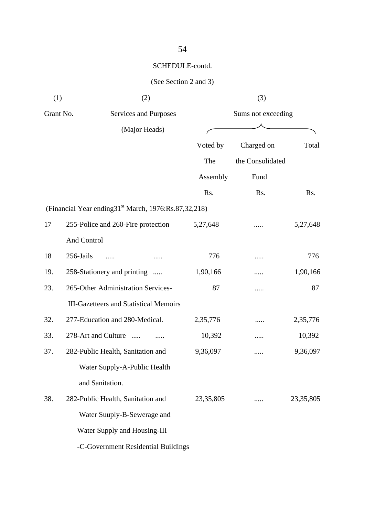| (1)       | (2)                                                                   |              | (3)                |             |
|-----------|-----------------------------------------------------------------------|--------------|--------------------|-------------|
| Grant No. | Services and Purposes                                                 |              | Sums not exceeding |             |
|           | (Major Heads)                                                         | <sup>'</sup> |                    |             |
|           |                                                                       | Voted by     | Charged on         | Total       |
|           |                                                                       | The          | the Consolidated   |             |
|           |                                                                       | Assembly     | Fund               |             |
|           |                                                                       | Rs.          | Rs.                | Rs.         |
|           | (Financial Year ending 31 <sup>st</sup> March, 1976: Rs. 87, 32, 218) |              |                    |             |
| 17        | 255-Police and 260-Fire protection                                    | 5,27,648     |                    | 5,27,648    |
|           | And Control                                                           |              |                    |             |
| 18        | 256-Jails                                                             | 776          |                    | 776         |
| 19.       | 258-Stationery and printing                                           | 1,90,166     |                    | 1,90,166    |
| 23.       | 265-Other Administration Services-                                    | 87           |                    | 87          |
|           | <b>III-Gazetteers and Statistical Memoirs</b>                         |              |                    |             |
| 32.       | 277-Education and 280-Medical.                                        | 2,35,776     | .                  | 2,35,776    |
| 33.       | 278-Art and Culture                                                   | 10,392       |                    | 10,392      |
| 37.       | 282-Public Health, Sanitation and                                     | 9,36,097     |                    | 9,36,097    |
|           | Water Supply-A-Public Health                                          |              |                    |             |
|           | and Sanitation.                                                       |              |                    |             |
| 38.       | 282-Public Health, Sanitation and                                     | 23, 35, 805  |                    | 23, 35, 805 |
|           | Water Suuply-B-Sewerage and                                           |              |                    |             |
|           | Water Supply and Housing-III                                          |              |                    |             |
|           | -C-Government Residential Buildings                                   |              |                    |             |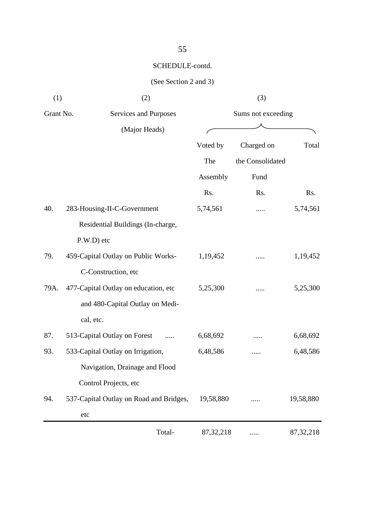| (1)       | (2)                                     |             | (3)                |             |  |  |
|-----------|-----------------------------------------|-------------|--------------------|-------------|--|--|
| Grant No. | Services and Purposes                   |             | Sums not exceeding |             |  |  |
|           | (Major Heads)                           |             |                    |             |  |  |
|           |                                         | Voted by    | Charged on         | Total       |  |  |
|           |                                         | The         | the Consolidated   |             |  |  |
|           |                                         | Assembly    | Fund               |             |  |  |
|           |                                         | Rs.         | Rs.                | Rs.         |  |  |
| 40.       | 283-Housing-II-C-Government             | 5,74,561    | .                  | 5,74,561    |  |  |
|           | Residential Buildings (In-charge,       |             |                    |             |  |  |
|           | P.W.D) etc                              |             |                    |             |  |  |
| 79.       | 459-Capital Outlay on Public Works-     | 1,19,452    |                    | 1,19,452    |  |  |
|           | C-Construction, etc                     |             |                    |             |  |  |
| 79A.      | 477-Capital Outlay on education, etc    | 5,25,300    |                    | 5,25,300    |  |  |
|           | and 480-Capital Outlay on Medi-         |             |                    |             |  |  |
|           | cal, etc.                               |             |                    |             |  |  |
| 87.       | 513-Capital Outlay on Forest<br>.       | 6,68,692    |                    | 6,68,692    |  |  |
| 93.       | 533-Capital Outlay on Irrigation,       | 6,48,586    |                    | 6,48,586    |  |  |
|           | Navigation, Drainage and Flood          |             |                    |             |  |  |
|           | Control Projects, etc                   |             |                    |             |  |  |
| 94.       | 537-Capital Outlay on Road and Bridges, | 19,58,880   |                    | 19,58,880   |  |  |
|           | etc                                     |             |                    |             |  |  |
|           | Total-                                  | 87, 32, 218 |                    | 87, 32, 218 |  |  |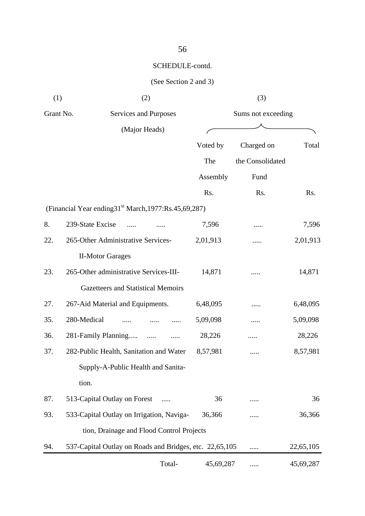| (1)       | (2)                                                                   |           | (3)                |           |
|-----------|-----------------------------------------------------------------------|-----------|--------------------|-----------|
| Grant No. | Services and Purposes                                                 |           | Sums not exceeding |           |
|           | (Major Heads)                                                         |           |                    |           |
|           |                                                                       | Voted by  | Charged on         | Total     |
|           |                                                                       | The       | the Consolidated   |           |
|           |                                                                       | Assembly  | Fund               |           |
|           |                                                                       | Rs.       | Rs.                | Rs.       |
|           | (Financial Year ending 31 <sup>st</sup> March, 1977: Rs. 45, 69, 287) |           |                    |           |
| 8.        | 239-State Excise                                                      | 7,596     | .                  | 7,596     |
| 22.       | 265-Other Administrative Services-                                    | 2,01,913  |                    | 2,01,913  |
|           | <b>II-Motor Garages</b>                                               |           |                    |           |
| 23.       | 265-Other administrative Services-III-                                | 14,871    |                    | 14,871    |
|           | Gazetteers and Statistical Memoirs                                    |           |                    |           |
| 27.       | 267-Aid Material and Equipments.                                      | 6,48,095  |                    | 6,48,095  |
| 35.       | 280-Medical                                                           | 5,09,098  |                    | 5,09,098  |
| 36.       | 281-Family Planning<br>$\cdots$                                       | 28,226    | .                  | 28,226    |
| 37.       | 282-Public Health, Sanitation and Water                               | 8,57,981  |                    | 8,57,981  |
|           | Supply-A-Public Health and Sanita-                                    |           |                    |           |
|           | tion.                                                                 |           |                    |           |
| 87.       | 513-Capital Outlay on Forest                                          | 36        |                    | 36        |
| 93.       | 533-Capital Outlay on Irrigation, Naviga-                             | 36,366    |                    | 36,366    |
|           | tion, Drainage and Flood Control Projects                             |           |                    |           |
| 94.       | 537-Capital Outlay on Roads and Bridges, etc. 22,65,105               |           | .                  | 22,65,105 |
|           | Total-                                                                | 45,69,287 | .                  | 45,69,287 |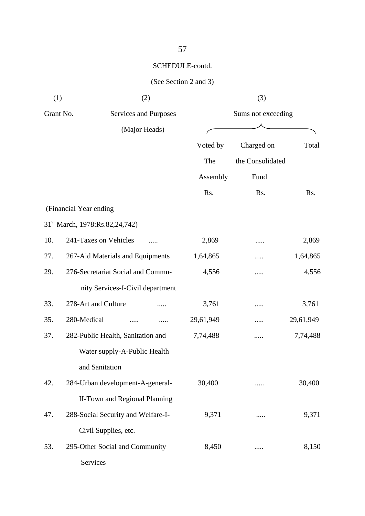| (1)       | (2)                                        |               | (3)                |           |
|-----------|--------------------------------------------|---------------|--------------------|-----------|
| Grant No. | Services and Purposes                      |               | Sums not exceeding |           |
|           | (Major Heads)                              |               |                    |           |
|           |                                            | Voted by      | Charged on         | Total     |
|           |                                            | The           | the Consolidated   |           |
|           |                                            | Assembly      | Fund               |           |
|           |                                            | Rs.           | Rs.                | Rs.       |
|           | (Financial Year ending                     |               |                    |           |
|           | 31 <sup>st</sup> March, 1978:Rs.82,24,742) |               |                    |           |
| 10.       | 241-Taxes on Vehicles                      | 2,869         | .                  | 2,869     |
| 27.       | 267-Aid Materials and Equipments           | 1,64,865      |                    | 1,64,865  |
| 29.       | 276-Secretariat Social and Commu-          | 4,556         |                    | 4,556     |
|           | nity Services-I-Civil department           |               |                    |           |
| 33.       | 278-Art and Culture                        | 3,761         | .                  | 3,761     |
| 35.       | 280-Medical                                | <br>29,61,949 | .                  | 29,61,949 |
| 37.       | 282-Public Health, Sanitation and          | 7,74,488      |                    | 7,74,488  |
|           | Water supply-A-Public Health               |               |                    |           |
|           | and Sanitation                             |               |                    |           |
| 42.       | 284-Urban development-A-general-           | 30,400        |                    | 30,400    |
|           | <b>II-Town and Regional Planning</b>       |               |                    |           |
| 47.       | 288-Social Security and Welfare-I-         | 9,371         | .                  | 9,371     |
|           | Civil Supplies, etc.                       |               |                    |           |
| 53.       | 295-Other Social and Community             | 8,450         |                    | 8,150     |
|           | Services                                   |               |                    |           |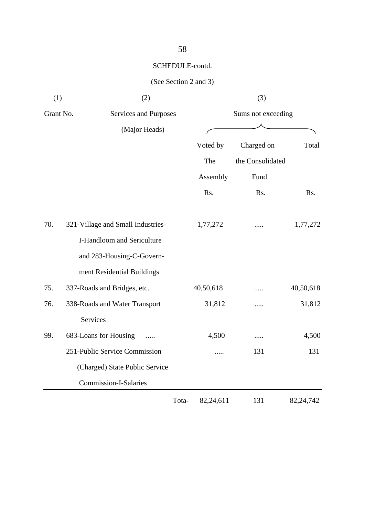58

| (1)       | (2)                               |                    |           | (3)              |           |
|-----------|-----------------------------------|--------------------|-----------|------------------|-----------|
| Grant No. | Services and Purposes             | Sums not exceeding |           |                  |           |
|           | (Major Heads)                     |                    |           |                  |           |
|           |                                   |                    | Voted by  | Charged on       | Total     |
|           |                                   |                    | The       | the Consolidated |           |
|           |                                   |                    | Assembly  | Fund             |           |
|           |                                   |                    | Rs.       | Rs.              | Rs.       |
| 70.       | 321-Village and Small Industries- |                    | 1,77,272  |                  | 1,77,272  |
|           | I-Handloom and Sericulture        |                    |           |                  |           |
|           | and 283-Housing-C-Govern-         |                    |           |                  |           |
|           | ment Residential Buildings        |                    |           |                  |           |
| 75.       | 337-Roads and Bridges, etc.       |                    | 40,50,618 |                  | 40,50,618 |
| 76.       | 338-Roads and Water Transport     |                    | 31,812    |                  | 31,812    |
|           | Services                          |                    |           |                  |           |
| 99.       | 683-Loans for Housing             |                    | 4,500     | .                | 4,500     |
|           | 251-Public Service Commission     |                    |           | 131              | 131       |
|           | (Charged) State Public Service    |                    |           |                  |           |
|           | Commission-I-Salaries             |                    |           |                  |           |
|           |                                   | Tota-              | 82,24,611 | 131              | 82,24,742 |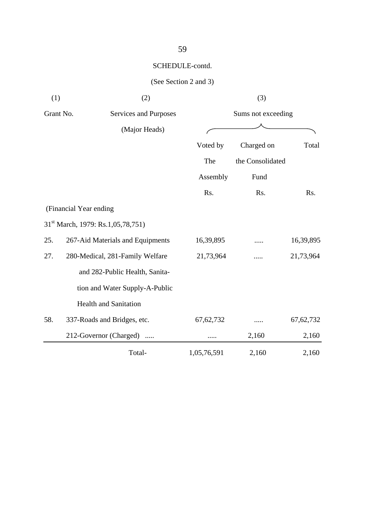| (1)       | (2)                                           |             | (3)                |             |
|-----------|-----------------------------------------------|-------------|--------------------|-------------|
| Grant No. | Services and Purposes                         |             | Sums not exceeding |             |
|           | (Major Heads)                                 |             |                    |             |
|           |                                               | Voted by    | Charged on         | Total       |
|           |                                               | The         | the Consolidated   |             |
|           |                                               | Assembly    | Fund               |             |
|           |                                               | Rs.         | Rs.                | Rs.         |
|           | (Financial Year ending                        |             |                    |             |
|           | 31 <sup>st</sup> March, 1979: Rs.1,05,78,751) |             |                    |             |
| 25.       | 267-Aid Materials and Equipments              | 16,39,895   | .                  | 16,39,895   |
| 27.       | 280-Medical, 281-Family Welfare               | 21,73,964   |                    | 21,73,964   |
|           | and 282-Public Health, Sanita-                |             |                    |             |
|           | tion and Water Supply-A-Public                |             |                    |             |
|           | <b>Health and Sanitation</b>                  |             |                    |             |
| 58.       | 337-Roads and Bridges, etc.                   | 67, 62, 732 | .                  | 67, 62, 732 |
|           | 212-Governor (Charged)                        |             | 2,160              | 2,160       |
|           | Total-                                        | 1,05,76,591 | 2,160              | 2,160       |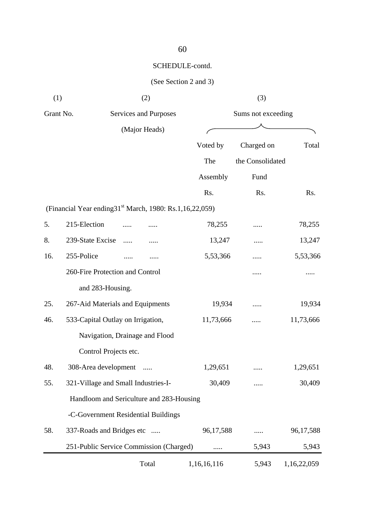| (1)       | (2)                                                                     | (3)                |                  |             |  |
|-----------|-------------------------------------------------------------------------|--------------------|------------------|-------------|--|
| Grant No. | Services and Purposes                                                   | Sums not exceeding |                  |             |  |
|           | (Major Heads)                                                           |                    |                  |             |  |
|           |                                                                         | Voted by           | Charged on       | Total       |  |
|           |                                                                         | The                | the Consolidated |             |  |
|           |                                                                         | Assembly           | Fund             |             |  |
|           |                                                                         | Rs.                | Rs.              | Rs.         |  |
|           | (Financial Year ending 31 <sup>st</sup> March, 1980: Rs.1, 16, 22, 059) |                    |                  |             |  |
| 5.        | 215-Election                                                            | 78,255             |                  | 78,255      |  |
| 8.        | 239-State Excise<br><br>.                                               | 13,247             | .                | 13,247      |  |
| 16.       | 255-Police<br>.                                                         | 5,53,366           |                  | 5,53,366    |  |
|           | 260-Fire Protection and Control                                         |                    |                  |             |  |
|           | and 283-Housing.                                                        |                    |                  |             |  |
| 25.       | 267-Aid Materials and Equipments                                        | 19,934             |                  | 19,934      |  |
| 46.       | 533-Capital Outlay on Irrigation,                                       | 11,73,666          |                  | 11,73,666   |  |
|           | Navigation, Drainage and Flood                                          |                    |                  |             |  |
|           | Control Projects etc.                                                   |                    |                  |             |  |
| 48.       | 308-Area development                                                    | 1,29,651           |                  | 1,29,651    |  |
| 55.       | 321-Village and Small Industries-I-                                     | 30,409             | .                | 30,409      |  |
|           | Handloom and Sericulture and 283-Housing                                |                    |                  |             |  |
|           | -C-Government Residential Buildings                                     |                    |                  |             |  |
| 58.       | 337-Roads and Bridges etc                                               | 96,17,588          | .                | 96,17,588   |  |
|           | 251-Public Service Commission (Charged)                                 | .                  | 5,943            | 5,943       |  |
|           | Total                                                                   | 1,16,16,116        | 5,943            | 1,16,22,059 |  |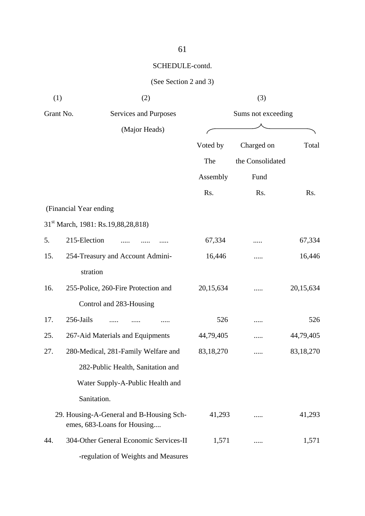| (1)       | (2)                                                                     |           | (3)                |           |
|-----------|-------------------------------------------------------------------------|-----------|--------------------|-----------|
| Grant No. | Services and Purposes                                                   |           | Sums not exceeding |           |
|           | (Major Heads)                                                           |           |                    |           |
|           |                                                                         | Voted by  | Charged on         | Total     |
|           |                                                                         | The       | the Consolidated   |           |
|           |                                                                         | Assembly  | Fund               |           |
|           |                                                                         | Rs.       | Rs.                | Rs.       |
|           | (Financial Year ending                                                  |           |                    |           |
|           | 31 <sup>st</sup> March, 1981: Rs.19,88,28,818)                          |           |                    |           |
| 5.        | 215-Election                                                            | 67,334    | .                  | 67,334    |
| 15.       | 254-Treasury and Account Admini-                                        | 16,446    |                    | 16,446    |
|           | stration                                                                |           |                    |           |
| 16.       | 255-Police, 260-Fire Protection and                                     | 20,15,634 |                    | 20,15,634 |
|           | Control and 283-Housing                                                 |           |                    |           |
| 17.       | 256-Jails                                                               | 526       | .                  | 526       |
| 25.       | 267-Aid Materials and Equipments                                        | 44,79,405 |                    | 44,79,405 |
| 27.       | 280-Medical, 281-Family Welfare and                                     | 83,18,270 |                    | 83,18,270 |
|           | 282-Public Health, Sanitation and                                       |           |                    |           |
|           | Water Supply-A-Public Health and                                        |           |                    |           |
|           | Sanitation.                                                             |           |                    |           |
|           | 29. Housing-A-General and B-Housing Sch-<br>emes, 683-Loans for Housing | 41,293    |                    | 41,293    |
| 44.       | 304-Other General Economic Services-II                                  | 1,571     |                    | 1,571     |
|           | -regulation of Weights and Measures                                     |           |                    |           |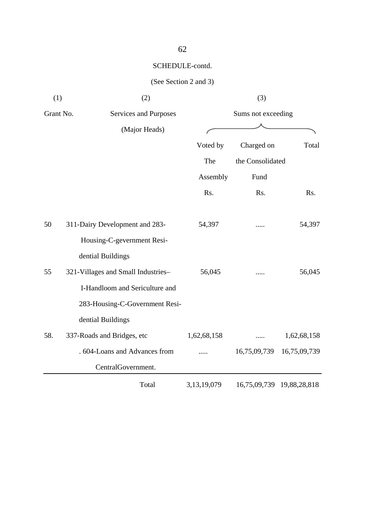| (1)       | (2)                                |                    | (3)              |              |  |
|-----------|------------------------------------|--------------------|------------------|--------------|--|
| Grant No. | Services and Purposes              | Sums not exceeding |                  |              |  |
|           | (Major Heads)                      |                    |                  |              |  |
|           |                                    | Voted by           | Charged on       | Total        |  |
|           |                                    | The                | the Consolidated |              |  |
|           |                                    | Assembly           | Fund             |              |  |
|           |                                    | Rs.                | Rs.              | Rs.          |  |
| 50        | 311-Dairy Development and 283-     | 54,397             |                  | 54,397       |  |
|           | Housing-C-gevernment Resi-         |                    |                  |              |  |
|           | dential Buildings                  |                    |                  |              |  |
| 55        | 321-Villages and Small Industries- | 56,045             |                  | 56,045       |  |
|           | I-Handloom and Sericulture and     |                    |                  |              |  |
|           | 283-Housing-C-Government Resi-     |                    |                  |              |  |
|           | dential Buildings                  |                    |                  |              |  |
| 58.       | 337-Roads and Bridges, etc         | 1,62,68,158        |                  | 1,62,68,158  |  |
|           | . 604-Loans and Advances from      |                    | 16,75,09,739     | 16,75,09,739 |  |
|           | CentralGovernment.                 |                    |                  |              |  |
|           | Total                              | 3,13,19,079        | 16,75,09,739     | 19,88,28,818 |  |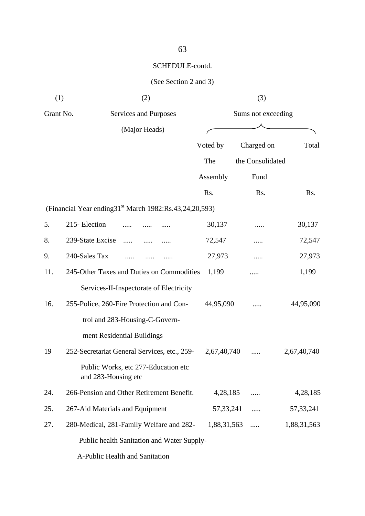| (1)       | (2)                                                                      |             | (3)                |             |
|-----------|--------------------------------------------------------------------------|-------------|--------------------|-------------|
| Grant No. | Services and Purposes                                                    |             | Sums not exceeding |             |
|           | (Major Heads)                                                            |             |                    |             |
|           |                                                                          | Voted by    | Charged on         | Total       |
|           |                                                                          | The         | the Consolidated   |             |
|           |                                                                          | Assembly    | Fund               |             |
|           |                                                                          | Rs.         | Rs.                | Rs.         |
|           | (Financial Year ending 31 <sup>st</sup> March 1982: Rs. 43, 24, 20, 593) |             |                    |             |
| 5.        | 215-Election                                                             | 30,137      |                    | 30,137      |
| 8.        | 239-State Excise<br>.                                                    | 72,547      | .                  | 72,547      |
| 9.        | 240-Sales Tax                                                            | 27,973      |                    | 27,973      |
| 11.       | 245-Other Taxes and Duties on Commodities                                | 1,199       |                    | 1,199       |
|           | Services-II-Inspectorate of Electricity                                  |             |                    |             |
| 16.       | 255-Police, 260-Fire Protection and Con-                                 | 44,95,090   |                    | 44,95,090   |
|           | trol and 283-Housing-C-Govern-                                           |             |                    |             |
|           | ment Residential Buildings                                               |             |                    |             |
| 19        | 252-Secretariat General Services, etc., 259-                             | 2,67,40,740 |                    | 2,67,40,740 |
|           | Public Works, etc 277-Education etc<br>and 283-Housing etc               |             |                    |             |
| 24.       | 266-Pension and Other Retirement Benefit.                                | 4,28,185    |                    | 4,28,185    |
| 25.       | 267-Aid Materials and Equipment                                          | 57, 33, 241 | .                  | 57, 33, 241 |
| 27.       | 280-Medical, 281-Family Welfare and 282-                                 | 1,88,31,563 | .                  | 1,88,31,563 |
|           | Public health Sanitation and Water Supply-                               |             |                    |             |
|           | A-Public Health and Sanitation                                           |             |                    |             |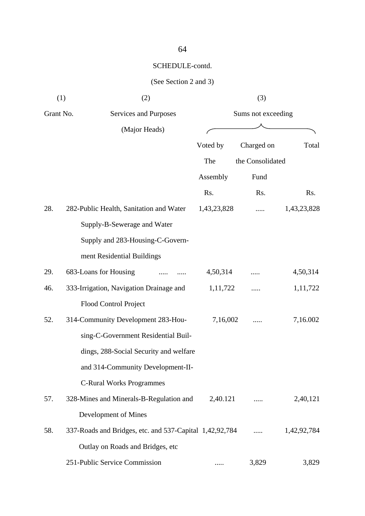| (1)       | (2)                                                     | (3)         |                    |             |  |
|-----------|---------------------------------------------------------|-------------|--------------------|-------------|--|
| Grant No. | Services and Purposes                                   |             | Sums not exceeding |             |  |
|           | (Major Heads)                                           |             |                    |             |  |
|           |                                                         | Voted by    | Charged on         | Total       |  |
|           |                                                         | The         | the Consolidated   |             |  |
|           |                                                         | Assembly    | Fund               |             |  |
|           |                                                         | Rs.         | Rs.                | Rs.         |  |
| 28.       | 282-Public Health, Sanitation and Water                 | 1,43,23,828 |                    | 1,43,23,828 |  |
|           | Supply-B-Sewerage and Water                             |             |                    |             |  |
|           | Supply and 283-Housing-C-Govern-                        |             |                    |             |  |
|           | ment Residential Buildings                              |             |                    |             |  |
| 29.       | 683-Loans for Housing                                   | 4,50,314    |                    | 4,50,314    |  |
| 46.       | 333-Irrigation, Navigation Drainage and                 | 1,11,722    |                    | 1,11,722    |  |
|           | Flood Control Project                                   |             |                    |             |  |
| 52.       | 314-Community Development 283-Hou-                      | 7,16,002    |                    | 7,16.002    |  |
|           | sing-C-Government Residential Buil-                     |             |                    |             |  |
|           | dings, 288-Social Security and welfare                  |             |                    |             |  |
|           | and 314-Community Development-II-                       |             |                    |             |  |
|           | <b>C-Rural Works Programmes</b>                         |             |                    |             |  |
| 57.       | 328-Mines and Minerals-B-Regulation and                 | 2,40.121    |                    | 2,40,121    |  |
|           | Development of Mines                                    |             |                    |             |  |
| 58.       | 337-Roads and Bridges, etc. and 537-Capital 1,42,92,784 |             |                    | 1,42,92,784 |  |
|           | Outlay on Roads and Bridges, etc                        |             |                    |             |  |
|           | 251-Public Service Commission                           |             | 3,829              | 3,829       |  |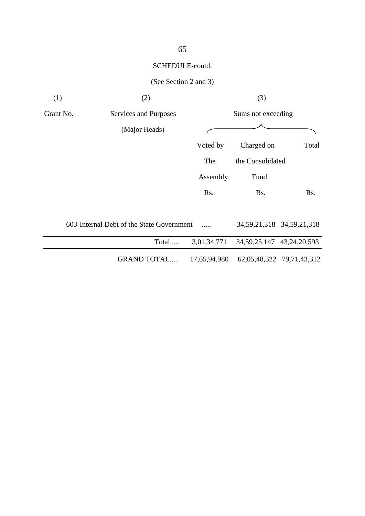| (2)                   |           | (3)                                                                      |                           |
|-----------------------|-----------|--------------------------------------------------------------------------|---------------------------|
| Services and Purposes |           | Sums not exceeding                                                       |                           |
| (Major Heads)         |           |                                                                          |                           |
|                       | Voted by  | Charged on                                                               | Total                     |
|                       | The       | the Consolidated                                                         |                           |
|                       | Assembly  | Fund                                                                     |                           |
|                       | Rs.       | Rs.                                                                      | Rs.                       |
|                       |           |                                                                          |                           |
|                       |           | 34, 59, 21, 318 34, 59, 21, 318                                          |                           |
| Total                 |           | 34, 59, 25, 147 43, 24, 20, 593                                          |                           |
| <b>GRAND TOTAL</b>    |           |                                                                          | 62,05,48,322 79,71,43,312 |
|                       | Grant No. | 603-Internal Debt of the State Government<br>3,01,34,771<br>17,65,94,980 |                           |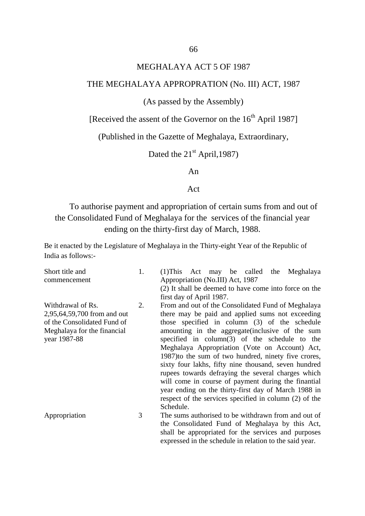#### MEGHALAYA ACT 5 OF 1987

#### THE MEGHALAYA APPROPRATION (No. III) ACT, 1987

#### (As passed by the Assembly)

[Received the assent of the Governor on the  $16<sup>th</sup>$  April 1987]

(Published in the Gazette of Meghalaya, Extraordinary,

Dated the  $21<sup>st</sup>$  April, 1987)

An

#### Act

To authorise payment and appropriation of certain sums from and out of the Consolidated Fund of Meghalaya for the services of the financial year ending on the thirty-first day of March, 1988.

Be it enacted by the Legislature of Meghalaya in the Thirty-eight Year of the Republic of India as follows:-

| Short title and<br>commencement                                                                                                | 1. | $(1)$ This Act may be called the<br>Meghalaya<br>Appropriation (No.III) Act, 1987                                                                                                                                                                                                                                                                                                                                                                                                                                                                                                                                                                                            |
|--------------------------------------------------------------------------------------------------------------------------------|----|------------------------------------------------------------------------------------------------------------------------------------------------------------------------------------------------------------------------------------------------------------------------------------------------------------------------------------------------------------------------------------------------------------------------------------------------------------------------------------------------------------------------------------------------------------------------------------------------------------------------------------------------------------------------------|
|                                                                                                                                |    | (2) It shall be deemed to have come into force on the<br>first day of April 1987.                                                                                                                                                                                                                                                                                                                                                                                                                                                                                                                                                                                            |
| Withdrawal of Rs.<br>2,95,64,59,700 from and out<br>of the Consolidated Fund of<br>Meghalaya for the financial<br>year 1987-88 | 2. | From and out of the Consolidated Fund of Meghalaya<br>there may be paid and applied sums not exceeding<br>those specified in column (3) of the schedule<br>amounting in the aggregate (inclusive of the sum<br>specified in $column(3)$ of the schedule to the<br>Meghalaya Appropriation (Vote on Account) Act,<br>1987) to the sum of two hundred, ninety five crores,<br>sixty four lakhs, fifty nine thousand, seven hundred<br>rupees towards defraying the several charges which<br>will come in course of payment during the finantial<br>year ending on the thirty-first day of March 1988 in<br>respect of the services specified in column (2) of the<br>Schedule. |
| Appropriation                                                                                                                  | 3  | The sums authorised to be withdrawn from and out of<br>the Consolidated Fund of Meghalaya by this Act,<br>shall be appropriated for the services and purposes                                                                                                                                                                                                                                                                                                                                                                                                                                                                                                                |

expressed in the schedule in relation to the said year.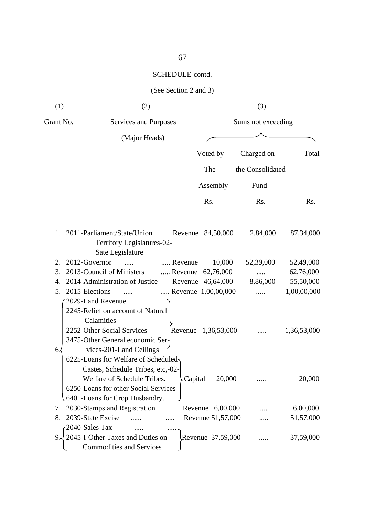| (1)       | (2)                                                                                                                                                                               |                     | (3)                |             |
|-----------|-----------------------------------------------------------------------------------------------------------------------------------------------------------------------------------|---------------------|--------------------|-------------|
| Grant No. | Services and Purposes                                                                                                                                                             |                     | Sums not exceeding |             |
|           | (Major Heads)                                                                                                                                                                     |                     |                    |             |
|           |                                                                                                                                                                                   | Voted by            | Charged on         | Total       |
|           |                                                                                                                                                                                   | The                 | the Consolidated   |             |
|           |                                                                                                                                                                                   | Assembly            | Fund               |             |
|           |                                                                                                                                                                                   | Rs.                 | Rs.                | Rs.         |
| 1.        | 2011-Parliament/State/Union<br>Territory Legislatures-02-<br>Sate Legislature                                                                                                     | Revenue 84,50,000   | 2,84,000           | 87,34,000   |
| 2.        | 2012-Governor<br>Revenue<br>$\ldots$                                                                                                                                              | 10,000              | 52,39,000          | 52,49,000   |
| 3.        | 2013-Council of Ministers                                                                                                                                                         | Revenue 62,76,000   |                    | 62,76,000   |
| 4.        | 2014-Administration of Justice                                                                                                                                                    | Revenue 46,64,000   | 8,86,000           | 55,50,000   |
| 5.        | 2015-Elections<br>$\ldots$                                                                                                                                                        | Revenue 1,00,00,000 |                    | 1,00,00,000 |
| 6.        | 2029-Land Revenue<br>2245-Relief on account of Natural<br>Calamities<br>2252-Other Social Services<br>Revenue<br>3475-Other General economic Ser-<br>vices-201-Land Ceilings      | 1,36,53,000         |                    | 1,36,53,000 |
|           | 6225-Loans for Welfare of Scheduled<br>Castes, Schedule Tribes, etc,-02-<br>Welfare of Schedule Tribes.<br>6250-Loans for other Social Services<br>6401-Loans for Crop Husbandry. | Capital<br>20,000   |                    | 20,000      |
| 7.        | 2030-Stamps and Registration                                                                                                                                                      | Revenue 6,00,000    |                    | 6,00,000    |
| 8.        | 2039-State Excise                                                                                                                                                                 | Revenue 51,57,000   |                    | 51,57,000   |
| 9.        | 2040-Sales Tax<br>2045-I-Other Taxes and Duties on<br><b>Commodities and Services</b>                                                                                             | Revenue 37,59,000   |                    | 37,59,000   |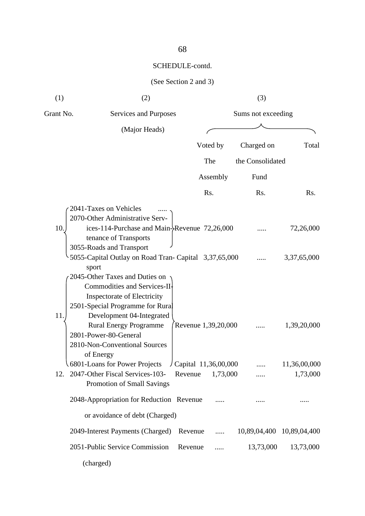| (1)        | (2)                                                                                                                                                                                                                                                                                                                                                                                                                                                          |         |                                  | (3)                |                                         |
|------------|--------------------------------------------------------------------------------------------------------------------------------------------------------------------------------------------------------------------------------------------------------------------------------------------------------------------------------------------------------------------------------------------------------------------------------------------------------------|---------|----------------------------------|--------------------|-----------------------------------------|
| Grant No.  | Services and Purposes                                                                                                                                                                                                                                                                                                                                                                                                                                        |         |                                  | Sums not exceeding |                                         |
|            | (Major Heads)                                                                                                                                                                                                                                                                                                                                                                                                                                                |         |                                  |                    |                                         |
|            |                                                                                                                                                                                                                                                                                                                                                                                                                                                              |         | Voted by                         | Charged on         | Total                                   |
|            |                                                                                                                                                                                                                                                                                                                                                                                                                                                              |         | The                              | the Consolidated   |                                         |
|            |                                                                                                                                                                                                                                                                                                                                                                                                                                                              |         | Assembly                         | Fund               |                                         |
|            |                                                                                                                                                                                                                                                                                                                                                                                                                                                              |         | Rs.                              | Rs.                | Rs.                                     |
| 10.<br>11. | 2041-Taxes on Vehicles<br>2070-Other Administrative Serv-<br>ices-114-Purchase and Main-Revenue 72,26,000<br>tenance of Transports<br>3055-Roads and Transport<br>5055-Capital Outlay on Road Tran- Capital 3,37,65,000<br>sport<br>2045-Other Taxes and Duties on<br>Commodities and Services-II-<br>Inspectorate of Electricity<br>2501-Special Programme for Rural<br>Development 04-Integrated<br><b>Rural Energy Programme</b><br>2801-Power-80-General |         | Revenue 1,39,20,000              |                    | 72,26,000<br>3,37,65,000<br>1,39,20,000 |
|            | 2810-Non-Conventional Sources<br>of Energy<br>6801-Loans for Power Projects<br>12. 2047-Other Fiscal Services-103-<br>Promotion of Small Savings                                                                                                                                                                                                                                                                                                             | Revenue | Capital 11,36,00,000<br>1,73,000 |                    | 11,36,00,000<br>1,73,000                |
|            | 2048-Appropriation for Reduction Revenue                                                                                                                                                                                                                                                                                                                                                                                                                     |         |                                  |                    |                                         |
|            | or avoidance of debt (Charged)                                                                                                                                                                                                                                                                                                                                                                                                                               |         |                                  |                    |                                         |
|            | 2049-Interest Payments (Charged)                                                                                                                                                                                                                                                                                                                                                                                                                             | Revenue | .                                | 10,89,04,400       | 10,89,04,400                            |
|            | 2051-Public Service Commission                                                                                                                                                                                                                                                                                                                                                                                                                               | Revenue |                                  | 13,73,000          | 13,73,000                               |
|            | (charged)                                                                                                                                                                                                                                                                                                                                                                                                                                                    |         |                                  |                    |                                         |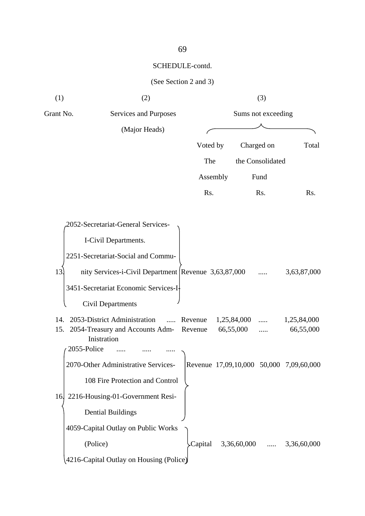#### (See Section 2 and 3)



#### 69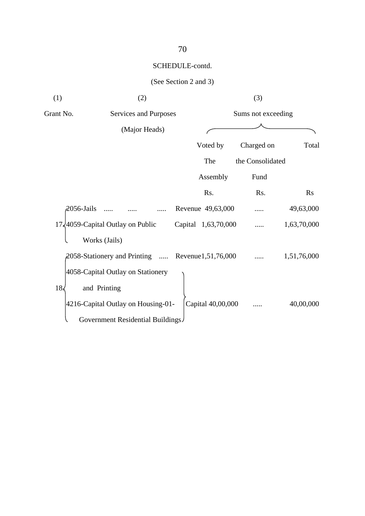| (1)             | (2)                                                     |                     | (3)                |             |
|-----------------|---------------------------------------------------------|---------------------|--------------------|-------------|
| Grant No.       | Services and Purposes                                   |                     | Sums not exceeding |             |
|                 | (Major Heads)                                           |                     |                    |             |
|                 |                                                         | Voted by            | Charged on         | Total       |
|                 |                                                         | The                 | the Consolidated   |             |
|                 |                                                         | Assembly            | Fund               |             |
|                 |                                                         | Rs.                 | Rs.                | <b>Rs</b>   |
| 2056-Jails      |                                                         | Revenue 49,63,000   |                    | 49,63,000   |
|                 | 17,4059-Capital Outlay on Public                        | Capital 1,63,70,000 |                    | 1,63,70,000 |
|                 | Works (Jails)                                           |                     |                    |             |
|                 | $\beta$ 058-Stationery and Printing  Revenue1,51,76,000 |                     |                    | 1,51,76,000 |
|                 | 4058-Capital Outlay on Stationery                       |                     |                    |             |
| 18 <sub>5</sub> | and Printing                                            |                     |                    |             |
|                 | 4216-Capital Outlay on Housing-01-                      | Capital 40,00,000   |                    | 40,00,000   |
|                 | Government Residential Buildings                        |                     |                    |             |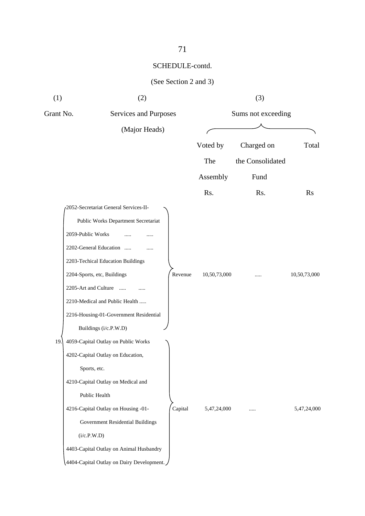| (1)       | (2)                                       |         |              | (3)                |              |
|-----------|-------------------------------------------|---------|--------------|--------------------|--------------|
| Grant No. | Services and Purposes                     |         |              | Sums not exceeding |              |
|           | (Major Heads)                             |         |              |                    |              |
|           |                                           |         | Voted by     | Charged on         | Total        |
|           |                                           |         | The          | the Consolidated   |              |
|           |                                           |         | Assembly     | Fund               |              |
|           |                                           |         | Rs.          | Rs.                | $\rm Rs$     |
|           | 2052-Secretariat General Services-II-     |         |              |                    |              |
|           | Public Works Department Secretariat       |         |              |                    |              |
|           | 2059-Public Works                         |         |              |                    |              |
|           | 2202-General Education<br>.               |         |              |                    |              |
|           | 2203-Techical Education Buildings         |         |              |                    |              |
|           | 2204-Sports, etc, Buildings               | Revenue | 10,50,73,000 |                    | 10,50,73,000 |
|           | 2205-Art and Culture<br>$\ldots$ .        |         |              |                    |              |
|           | 2210-Medical and Public Health            |         |              |                    |              |
|           | 2216-Housing-01-Government Residential    |         |              |                    |              |
|           | Buildings (i/c.P.W.D)                     |         |              |                    |              |
| 19.       | 4059-Capital Outlay on Public Works       |         |              |                    |              |
|           | 4202-Capital Outlay on Education,         |         |              |                    |              |
|           | Sports, etc.                              |         |              |                    |              |
|           | 4210-Capital Outlay on Medical and        |         |              |                    |              |
|           | Public Health                             |         |              |                    |              |
|           | 4216-Capital Outlay on Housing -01-       | Capital | 5,47,24,000  |                    | 5,47,24,000  |
|           | Government Residential Buildings          |         |              |                    |              |
|           | (i/c.P.W.D)                               |         |              |                    |              |
|           | 4403-Capital Outlay on Animal Husbandry   |         |              |                    |              |
|           | 4404-Capital Outlay on Dairy Development. |         |              |                    |              |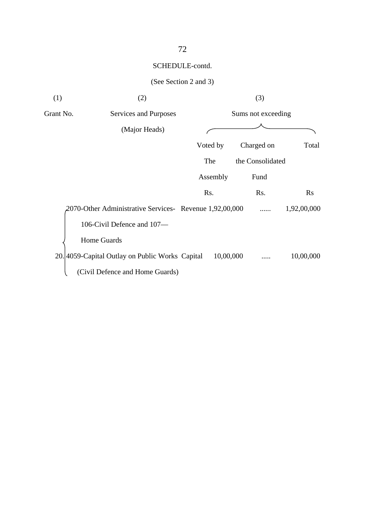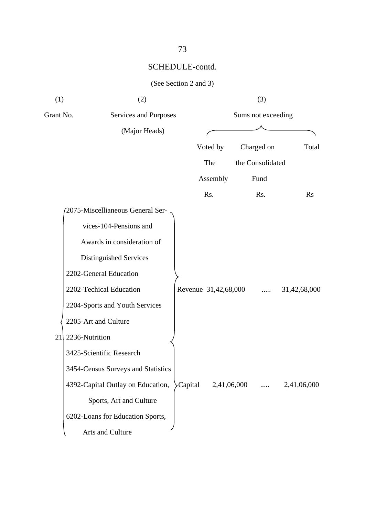|  | (See Section 2 and 3) |  |  |  |
|--|-----------------------|--|--|--|
|--|-----------------------|--|--|--|

| (1)       | (2)                                |         |                      |             | (3)                |              |
|-----------|------------------------------------|---------|----------------------|-------------|--------------------|--------------|
| Grant No. | Services and Purposes              |         |                      |             | Sums not exceeding |              |
|           | (Major Heads)                      |         |                      |             |                    |              |
|           |                                    |         | Voted by             |             | Charged on         | Total        |
|           |                                    |         | The                  |             | the Consolidated   |              |
|           |                                    |         | Assembly             |             | Fund               |              |
|           |                                    |         | Rs.                  |             | Rs.                | <b>Rs</b>    |
|           | 2075-Miscellianeous General Ser-   |         |                      |             |                    |              |
|           | vices-104-Pensions and             |         |                      |             |                    |              |
|           | Awards in consideration of         |         |                      |             |                    |              |
|           | Distinguished Services             |         |                      |             |                    |              |
|           | 2202-General Education             |         |                      |             |                    |              |
|           | 2202-Techical Education            |         | Revenue 31,42,68,000 |             | .                  | 31,42,68,000 |
|           | 2204-Sports and Youth Services     |         |                      |             |                    |              |
|           | 2205-Art and Culture               |         |                      |             |                    |              |
| 21        | 2236-Nutrition                     |         |                      |             |                    |              |
|           | 3425-Scientific Research           |         |                      |             |                    |              |
|           | 3454-Census Surveys and Statistics |         |                      |             |                    |              |
|           | 4392-Capital Outlay on Education,  | Capital |                      | 2,41,06,000 |                    | 2,41,06,000  |
|           | Sports, Art and Culture            |         |                      |             |                    |              |
|           | 6202-Loans for Education Sports,   |         |                      |             |                    |              |
|           | Arts and Culture                   |         |                      |             |                    |              |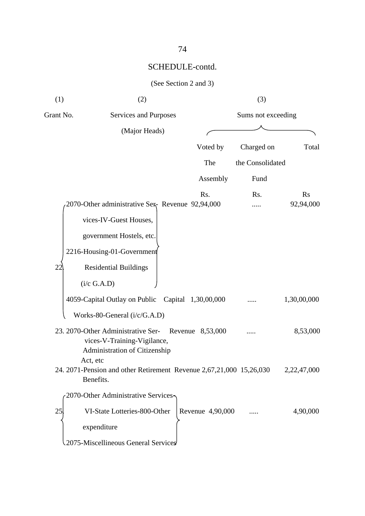| (1)       | (2)                                                                                                            |                  | (3)                |                        |
|-----------|----------------------------------------------------------------------------------------------------------------|------------------|--------------------|------------------------|
| Grant No. | Services and Purposes                                                                                          |                  | Sums not exceeding |                        |
|           | (Major Heads)                                                                                                  |                  |                    |                        |
|           |                                                                                                                | Voted by         | Charged on         | Total                  |
|           |                                                                                                                | The              | the Consolidated   |                        |
|           |                                                                                                                | Assembly         | Fund               |                        |
|           | 2070-Other administrative Ser Revenue 92,94,000                                                                | Rs.              | Rs.                | <b>Rs</b><br>92,94,000 |
|           | vices-IV-Guest Houses,                                                                                         |                  |                    |                        |
|           | government Hostels, etc.                                                                                       |                  |                    |                        |
|           | 2216-Housing-01-Government                                                                                     |                  |                    |                        |
| 22        | <b>Residential Buildings</b>                                                                                   |                  |                    |                        |
|           | (i/c G.A.D)                                                                                                    |                  |                    |                        |
|           | 4059-Capital Outlay on Public Capital 1,30,00,000                                                              |                  |                    | 1,30,00,000            |
|           | Works-80-General (i/c/G.A.D)                                                                                   |                  |                    |                        |
|           | 23. 2070-Other Administrative Ser-<br>vices-V-Training-Vigilance,<br>Administration of Citizenship<br>Act, etc | Revenue 8,53,000 |                    | 8,53,000               |
|           | 24. 2071-Pension and other Retirement Revenue 2,67,21,000 15,26,030<br>Benefits.                               |                  |                    | 2,22,47,000            |
|           | 2070-Other Administrative Services                                                                             |                  |                    |                        |
| 25        | VI-State Lotteries-800-Other<br>expenditure<br>2075-Miscellineous General Services                             | Revenue 4,90,000 |                    | 4,90,000               |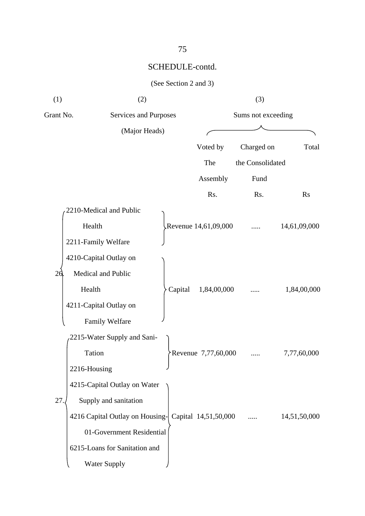| (1)          | (2)                                                  |         |                        | (3)                |              |
|--------------|------------------------------------------------------|---------|------------------------|--------------------|--------------|
| Grant No.    | Services and Purposes                                |         |                        | Sums not exceeding |              |
|              | (Major Heads)                                        |         |                        |                    |              |
|              |                                                      |         | Voted by               | Charged on         | Total        |
|              |                                                      |         | The                    | the Consolidated   |              |
|              |                                                      |         | Assembly               | Fund               |              |
|              |                                                      |         | Rs.                    | Rs.                | <b>Rs</b>    |
|              | 2210-Medical and Public                              |         |                        |                    |              |
|              | Health                                               |         | Revenue $14,61,09,000$ |                    | 14,61,09,000 |
|              | 2211-Family Welfare                                  |         |                        |                    |              |
|              | 4210-Capital Outlay on                               |         |                        |                    |              |
| 26           | Medical and Public                                   |         |                        |                    |              |
| Health       |                                                      | Capital | 1,84,00,000            |                    | 1,84,00,000  |
|              | 4211-Capital Outlay on                               |         |                        |                    |              |
|              | Family Welfare                                       |         |                        |                    |              |
|              | 2215-Water Supply and Sani-                          |         |                        |                    |              |
|              | Tation                                               |         | Revenue 7,77,60,000    |                    | 7,77,60,000  |
| 2216-Housing |                                                      |         |                        |                    |              |
|              | 4215-Capital Outlay on Water                         |         |                        |                    |              |
| 27           | Supply and sanitation                                |         |                        |                    |              |
|              | 4216 Capital Outlay on Housing- Capital 14,51,50,000 |         |                        |                    | 14,51,50,000 |
|              | 01-Government Residential                            |         |                        |                    |              |
|              | 6215-Loans for Sanitation and                        |         |                        |                    |              |
|              | <b>Water Supply</b>                                  |         |                        |                    |              |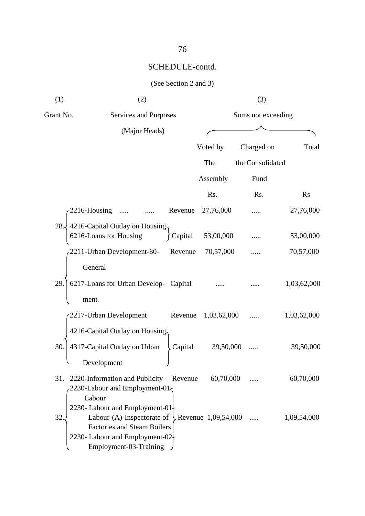| (1)          | (2)                                                                           |         |                       | (3)                |             |
|--------------|-------------------------------------------------------------------------------|---------|-----------------------|--------------------|-------------|
| Grant No.    | Services and Purposes                                                         |         |                       | Sums not exceeding |             |
|              | (Major Heads)                                                                 |         |                       |                    |             |
|              |                                                                               |         | Voted by              | Charged on         | Total       |
|              |                                                                               |         | The                   | the Consolidated   |             |
|              |                                                                               |         | Assembly              | Fund               |             |
|              |                                                                               |         | Rs.                   | Rs.                | <b>Rs</b>   |
| 2216-Housing |                                                                               | Revenue | 27,76,000             |                    | 27,76,000   |
| 28.          | 4216-Capital Outlay on Housing<br>6216-Loans for Housing                      | Capital | 53,00,000             |                    | 53,00,000   |
|              | 2211-Urban Development-80-                                                    | Revenue | 70,57,000             |                    | 70,57,000   |
|              | General                                                                       |         |                       |                    |             |
| 29.          | 6217-Loans for Urban Develop- Capital                                         |         |                       |                    | 1,03,62,000 |
| ment         |                                                                               |         |                       |                    |             |
|              | 2217-Urban Development                                                        | Revenue | 1,03,62,000           |                    | 1,03,62,000 |
|              | 4216-Capital Outlay on Housing                                                |         |                       |                    |             |
| 30.          | 4317-Capital Outlay on Urban                                                  | Capital | 39,50,000             |                    | 39,50,000   |
|              | Development                                                                   |         |                       |                    |             |
| 31.          | 2220-Information and Publicity<br>2230-Labour and Employment-01 $\frac{1}{2}$ | Revenue | 60,70,000             |                    | 60,70,000   |
|              | Labour<br>2230- Labour and Employment-01                                      |         |                       |                    |             |
| 32.          | Labour-(A)-Inspectorate of                                                    |         | Revenue $1,09,54,000$ |                    | 1,09,54,000 |
|              | <b>Factories and Steam Boilers</b><br>2230- Labour and Employment-02          |         |                       |                    |             |
|              | Employment-03-Training                                                        |         |                       |                    |             |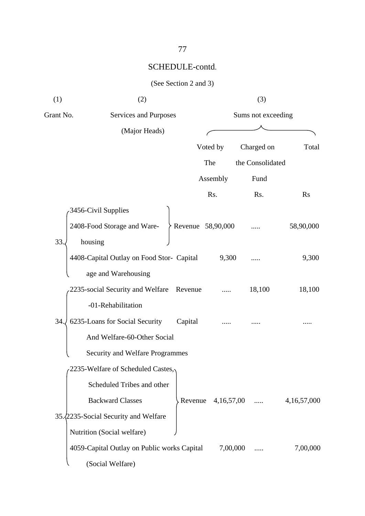|  | (See Section 2 and 3) |  |  |  |
|--|-----------------------|--|--|--|
|--|-----------------------|--|--|--|

| (1)       | (2)                                         |         |                    | (3)                |                |
|-----------|---------------------------------------------|---------|--------------------|--------------------|----------------|
| Grant No. | Services and Purposes                       |         |                    | Sums not exceeding |                |
|           | (Major Heads)                               |         |                    |                    |                |
|           |                                             |         | Voted by           | Charged on         | Total          |
|           |                                             |         | The                | the Consolidated   |                |
|           |                                             |         | Assembly           | Fund               |                |
|           |                                             |         | Rs.                | Rs.                | <b>Rs</b>      |
|           | 3456-Civil Supplies                         |         |                    |                    |                |
|           | 2408-Food Storage and Ware-                 |         | Revenue 58,90,000  |                    | 58,90,000      |
| 33        | housing                                     |         |                    |                    |                |
|           | 4408-Capital Outlay on Food Stor- Capital   |         | 9,300              |                    | 9,300          |
|           | age and Warehousing                         |         |                    |                    |                |
|           | 2235-social Security and Welfare Revenue    |         |                    | 18,100             | 18,100         |
|           | -01-Rehabilitation                          |         |                    |                    |                |
| 34.       | 6235-Loans for Social Security              | Capital |                    |                    |                |
|           | And Welfare-60-Other Social                 |         |                    |                    |                |
|           | Security and Welfare Programmes             |         |                    |                    |                |
|           | 2235-Welfare of Scheduled Castes,           |         |                    |                    |                |
|           | Scheduled Tribes and other                  |         |                    |                    |                |
|           | <b>Backward Classes</b>                     |         | Revenue 4,16,57,00 | .                  | 4, 16, 57, 000 |
|           | 35. 2235 - Social Security and Welfare      |         |                    |                    |                |
|           | Nutrition (Social welfare)                  |         |                    |                    |                |
|           | 4059-Capital Outlay on Public works Capital |         | 7,00,000           |                    | 7,00,000       |
|           | (Social Welfare)                            |         |                    |                    |                |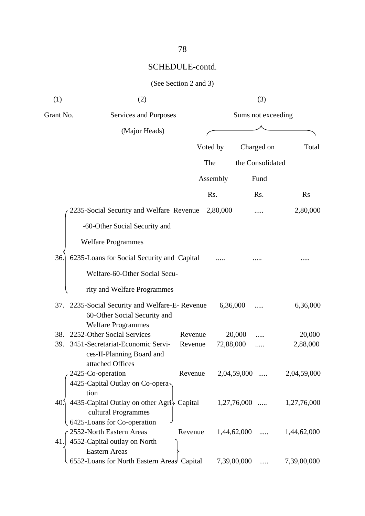| (1)             | (2)                                                                                                             |         |           | (3)                     |             |
|-----------------|-----------------------------------------------------------------------------------------------------------------|---------|-----------|-------------------------|-------------|
| Grant No.       | Services and Purposes                                                                                           |         |           | Sums not exceeding      |             |
|                 | (Major Heads)                                                                                                   |         |           |                         |             |
|                 |                                                                                                                 |         | Voted by  | Charged on              | Total       |
|                 |                                                                                                                 |         | The       | the Consolidated        |             |
|                 |                                                                                                                 |         | Assembly  | Fund                    |             |
|                 |                                                                                                                 |         | Rs.       | Rs.                     | <b>Rs</b>   |
|                 | 2235-Social Security and Welfare Revenue                                                                        |         | 2,80,000  |                         | 2,80,000    |
|                 | -60-Other Social Security and                                                                                   |         |           |                         |             |
|                 | <b>Welfare Programmes</b>                                                                                       |         |           |                         |             |
| 36.             | 6235-Loans for Social Security and Capital                                                                      |         |           |                         |             |
|                 | Welfare-60-Other Social Secu-                                                                                   |         |           |                         |             |
|                 | rity and Welfare Programmes                                                                                     |         |           |                         |             |
|                 | 37. 2235-Social Security and Welfare-E- Revenue<br>60-Other Social Security and<br><b>Welfare Programmes</b>    |         | 6,36,000  |                         | 6,36,000    |
| 38.             | 2252-Other Social Services                                                                                      | Revenue |           | 20,000                  | 20,000      |
| 39.             | 3451-Secretariat-Economic Servi-<br>ces-II-Planning Board and<br>attached Offices                               | Revenue | 72,88,000 |                         | 2,88,000    |
|                 | 2425-Co-operation<br>4425-Capital Outlay on Co-opera-<br>tion                                                   | Revenue |           | 2,04,59,000             | 2,04,59,000 |
| 40 <sub>1</sub> | 4435-Capital Outlay on other Agri Capital<br>cultural Programmes                                                |         |           | 1,27,76,000<br>$\cdots$ | 1,27,76,000 |
| 41.             | 6425-Loans for Co-operation<br>2552-North Eastern Areas<br>4552-Capital outlay on North<br><b>Eastern Areas</b> | Revenue |           | 1,44,62,000             | 1,44,62,000 |
|                 | 6552-Loans for North Eastern Areas Capital                                                                      |         |           | 7,39,00,000             | 7,39,00,000 |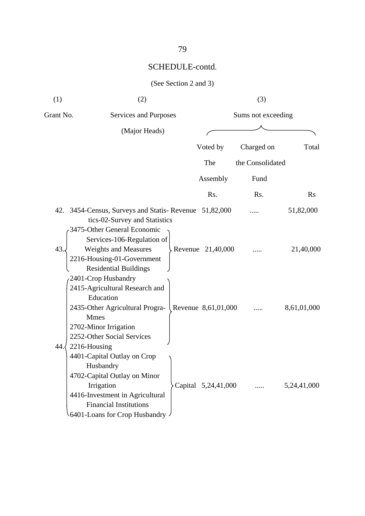| (1)       | (2)                                                                                                                                                                                         |                     | (3)                |             |
|-----------|---------------------------------------------------------------------------------------------------------------------------------------------------------------------------------------------|---------------------|--------------------|-------------|
| Grant No. | Services and Purposes                                                                                                                                                                       |                     | Sums not exceeding |             |
|           | (Major Heads)                                                                                                                                                                               |                     |                    |             |
|           |                                                                                                                                                                                             | Voted by            | Charged on         | Total       |
|           |                                                                                                                                                                                             | The                 | the Consolidated   |             |
|           |                                                                                                                                                                                             | Assembly            | Fund               |             |
|           |                                                                                                                                                                                             | Rs.                 | Rs.                | <b>Rs</b>   |
|           | 42. 3454-Census, Surveys and Statis-Revenue 51,82,000<br>tics-02-Survey and Statistics<br>3475-Other General Economic                                                                       |                     |                    | 51,82,000   |
| 43.       | Services-106-Regulation of<br>Weights and Measures<br>2216-Housing-01-Government<br><b>Residential Buildings</b>                                                                            | Revenue 21,40,000   |                    | 21,40,000   |
| 44.       | 2401-Crop Husbandry<br>2415-Agricultural Research and<br>Education<br>2435-Other Agricultural Progra-<br><b>Mmes</b><br>2702-Minor Irrigation<br>2252-Other Social Services<br>2216-Housing | Revenue 8,61,01,000 |                    | 8,61,01,000 |
|           | 4401-Capital Outlay on Crop<br>Husbandry<br>4702-Capital Outlay on Minor<br>Irrigation<br>4416-Investment in Agricultural<br><b>Financial Institutions</b><br>6401-Loans for Crop Husbandry | Capital 5,24,41,000 |                    | 5,24,41,000 |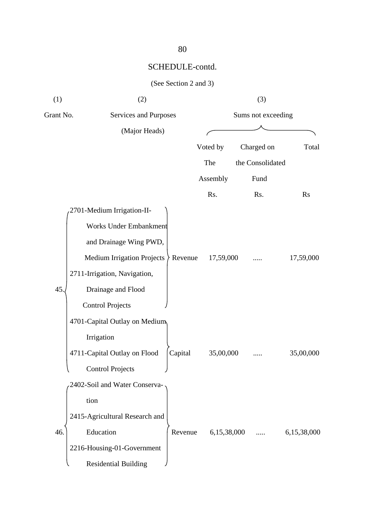|  | (See Section 2 and 3) |  |  |  |
|--|-----------------------|--|--|--|
|--|-----------------------|--|--|--|

| (1)       | (2)                               |         |             | (3)                |             |
|-----------|-----------------------------------|---------|-------------|--------------------|-------------|
| Grant No. | Services and Purposes             |         |             | Sums not exceeding |             |
|           | (Major Heads)                     |         |             |                    |             |
|           |                                   |         | Voted by    | Charged on         | Total       |
|           |                                   |         | The         | the Consolidated   |             |
|           |                                   |         | Assembly    | Fund               |             |
|           |                                   |         | Rs.         | Rs.                | <b>Rs</b>   |
|           | 2701-Medium Irrigation-II-        |         |             |                    |             |
|           | Works Under Embankment            |         |             |                    |             |
|           | and Drainage Wing PWD,            |         |             |                    |             |
|           | <b>Medium Irrigation Projects</b> | Revenue | 17,59,000   |                    | 17,59,000   |
|           | 2711-Irrigation, Navigation,      |         |             |                    |             |
| 45.       | Drainage and Flood                |         |             |                    |             |
|           | <b>Control Projects</b>           |         |             |                    |             |
|           | 4701-Capital Outlay on Medium     |         |             |                    |             |
|           | Irrigation                        |         |             |                    |             |
|           | 4711-Capital Outlay on Flood      | Capital | 35,00,000   |                    | 35,00,000   |
|           | <b>Control Projects</b>           |         |             |                    |             |
|           | 2402-Soil and Water Conserva-     |         |             |                    |             |
|           | tion                              |         |             |                    |             |
|           | 2415-Agricultural Research and    |         |             |                    |             |
| 46.       | Education                         | Revenue | 6,15,38,000 |                    | 6,15,38,000 |
|           | 2216-Housing-01-Government        |         |             |                    |             |
|           | <b>Residential Building</b>       |         |             |                    |             |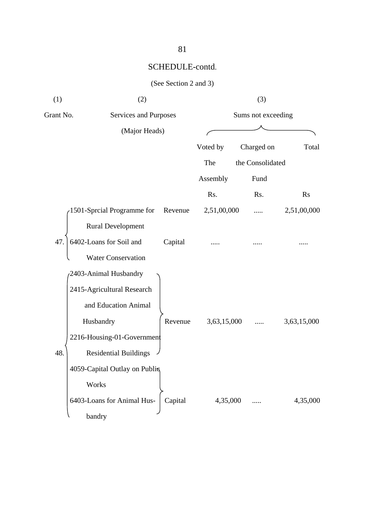| (1)       | (2)                           |         |             | (3)                |                |
|-----------|-------------------------------|---------|-------------|--------------------|----------------|
| Grant No. | Services and Purposes         |         |             | Sums not exceeding |                |
|           | (Major Heads)                 |         |             |                    |                |
|           |                               |         | Voted by    | Charged on         | Total          |
|           |                               |         | The         | the Consolidated   |                |
|           |                               |         | Assembly    | Fund               |                |
|           |                               |         | Rs.         | Rs.                | $\mathbf{R}$ s |
|           | 1501-Sprcial Programme for    | Revenue | 2,51,00,000 |                    | 2,51,00,000    |
|           | <b>Rural Development</b>      |         |             |                    |                |
| 47.       | 6402-Loans for Soil and       | Capital |             |                    |                |
|           | <b>Water Conservation</b>     |         |             |                    |                |
|           | 2403-Animal Husbandry         |         |             |                    |                |
|           | 2415-Agricultural Research    |         |             |                    |                |
|           | and Education Animal          |         |             |                    |                |
|           | Husbandry                     | Revenue | 3,63,15,000 |                    | 3,63,15,000    |
|           | 2216-Housing-01-Government    |         |             |                    |                |
| 48.       | <b>Residential Buildings</b>  |         |             |                    |                |
|           | 4059-Capital Outlay on Publis |         |             |                    |                |
|           | Works                         |         |             |                    |                |
|           | 6403-Loans for Animal Hus-    | Capital | 4,35,000    |                    | 4,35,000       |
|           | bandry                        |         |             |                    |                |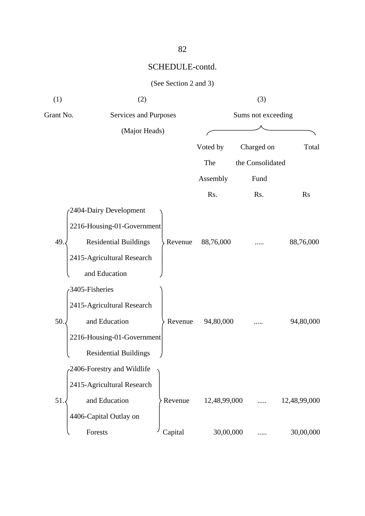|  |  | (See Section 2 and 3) |  |  |  |
|--|--|-----------------------|--|--|--|
|--|--|-----------------------|--|--|--|

| (1)       | (2)                          |         |              | (3)                |              |
|-----------|------------------------------|---------|--------------|--------------------|--------------|
| Grant No. | Services and Purposes        |         |              | Sums not exceeding |              |
|           | (Major Heads)                |         |              |                    |              |
|           |                              |         | Voted by     | Charged on         | Total        |
|           |                              |         | The          | the Consolidated   |              |
|           |                              |         | Assembly     | Fund               |              |
|           |                              |         | Rs.          | Rs.                | <b>Rs</b>    |
|           | 2404-Dairy Development       |         |              |                    |              |
|           | 2216-Housing-01-Government   |         |              |                    |              |
| 49.       | <b>Residential Buildings</b> | Revenue | 88,76,000    |                    | 88,76,000    |
|           | 2415-Agricultural Research   |         |              |                    |              |
|           | and Education                |         |              |                    |              |
|           | 3405-Fisheries               |         |              |                    |              |
|           | 2415-Agricultural Research   |         |              |                    |              |
| 50.       | and Education                | Revenue | 94,80,000    |                    | 94,80,000    |
|           | 2216-Housing-01-Government   |         |              |                    |              |
|           | <b>Residential Buildings</b> |         |              |                    |              |
|           | 2406-Forestry and Wildlife   |         |              |                    |              |
|           | 2415-Agricultural Research   |         |              |                    |              |
| 51        | and Education                | Revenue | 12,48,99,000 |                    | 12,48,99,000 |
|           | 4406-Capital Outlay on       |         |              |                    |              |
|           | Forests                      | Capital | 30,00,000    |                    | 30,00,000    |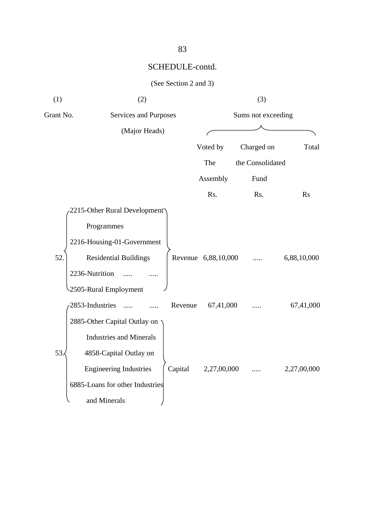|  |  | (See Section 2 and 3) |  |  |  |
|--|--|-----------------------|--|--|--|
|--|--|-----------------------|--|--|--|

| (1)       | (2)                             |         |                     | (3)                |             |
|-----------|---------------------------------|---------|---------------------|--------------------|-------------|
| Grant No. | Services and Purposes           |         |                     | Sums not exceeding |             |
|           | (Major Heads)                   |         |                     |                    |             |
|           |                                 |         | Voted by            | Charged on         | Total       |
|           |                                 |         | The                 | the Consolidated   |             |
|           |                                 |         | Assembly            | Fund               |             |
|           |                                 |         | Rs.                 | Rs.                | <b>Rs</b>   |
|           | 2215-Other Rural Development    |         |                     |                    |             |
|           | Programmes                      |         |                     |                    |             |
|           | 2216-Housing-01-Government      |         |                     |                    |             |
| 52.       | <b>Residential Buildings</b>    |         | Revenue 6,88,10,000 |                    | 6,88,10,000 |
|           | 2236-Nutrition                  |         |                     |                    |             |
|           | 2505-Rural Employment           |         |                     |                    |             |
|           | 2853-Industries                 | Revenue | 67,41,000           |                    | 67,41,000   |
|           | 2885-Other Capital Outlay on    |         |                     |                    |             |
|           | <b>Industries and Minerals</b>  |         |                     |                    |             |
| 53.       | 4858-Capital Outlay on          |         |                     |                    |             |
|           | <b>Engineering Industries</b>   | Capital | 2,27,00,000         |                    | 2,27,00,000 |
|           | 6885-Loans for other Industries |         |                     |                    |             |
|           | and Minerals                    |         |                     |                    |             |
|           |                                 |         |                     |                    |             |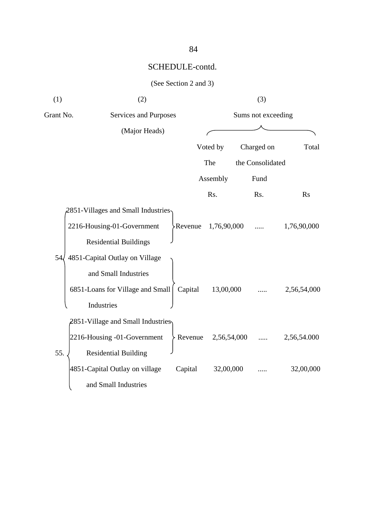|  |  | (See Section 2 and 3) |  |  |  |
|--|--|-----------------------|--|--|--|
|--|--|-----------------------|--|--|--|

| (1)             | (2)                                  |                     |             | (3)                |             |       |
|-----------------|--------------------------------------|---------------------|-------------|--------------------|-------------|-------|
| Grant No.       | Services and Purposes                |                     |             | Sums not exceeding |             |       |
|                 | (Major Heads)                        |                     |             |                    |             |       |
|                 |                                      |                     | Voted by    | Charged on         |             | Total |
|                 |                                      |                     | The         | the Consolidated   |             |       |
|                 |                                      |                     | Assembly    | Fund               |             |       |
|                 |                                      |                     | Rs.         | Rs.                | <b>Rs</b>   |       |
|                 | 2851-Villages and Small Industries   |                     |             |                    |             |       |
|                 | 2216-Housing-01-Government           | Revenue             | 1,76,90,000 |                    | 1,76,90,000 |       |
|                 | <b>Residential Buildings</b>         |                     |             |                    |             |       |
| 54 <sub>6</sub> | 4851-Capital Outlay on Village       |                     |             |                    |             |       |
|                 | and Small Industries                 |                     |             |                    |             |       |
|                 | 6851-Loans for Village and Small     | Capital             | 13,00,000   |                    | 2,56,54,000 |       |
|                 | Industries                           |                     |             |                    |             |       |
|                 | $2851$ -Village and Small Industries |                     |             |                    |             |       |
|                 | 2216-Housing -01-Government          | Revenue 2,56,54,000 |             |                    | 2,56,54.000 |       |
| 55.             | <b>Residential Building</b>          |                     |             |                    |             |       |
|                 | 4851-Capital Outlay on village       | Capital             | 32,00,000   |                    | 32,00,000   |       |
|                 | and Small Industries                 |                     |             |                    |             |       |
|                 |                                      |                     |             |                    |             |       |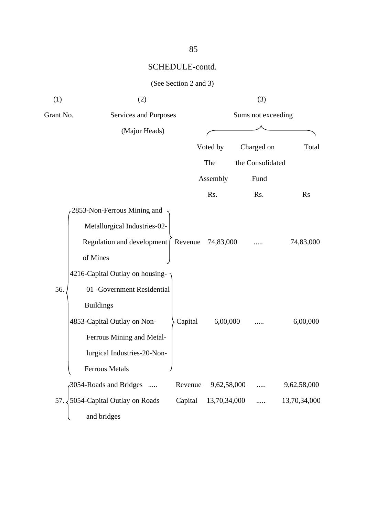|  |  | (See Section 2 and 3) |  |  |  |
|--|--|-----------------------|--|--|--|
|--|--|-----------------------|--|--|--|

| (1)       | (2)                                        |         |              | (3)                |              |
|-----------|--------------------------------------------|---------|--------------|--------------------|--------------|
| Grant No. | Services and Purposes                      |         |              | Sums not exceeding |              |
|           | (Major Heads)                              |         |              |                    |              |
|           |                                            |         | Voted by     | Charged on         | Total        |
|           |                                            |         | The          | the Consolidated   |              |
|           |                                            |         | Assembly     | Fund               |              |
|           |                                            |         | Rs.          | Rs.                | <b>Rs</b>    |
|           | 2853-Non-Ferrous Mining and                |         |              |                    |              |
|           | Metallurgical Industries-02-               |         |              |                    |              |
|           | Regulation and development   Revenue       |         | 74,83,000    |                    | 74,83,000    |
|           | of Mines                                   |         |              |                    |              |
|           | 4216-Capital Outlay on housing-            |         |              |                    |              |
| 56.       | 01 -Government Residential                 |         |              |                    |              |
|           | <b>Buildings</b>                           |         |              |                    |              |
|           | 4853-Capital Outlay on Non-                | Capital | 6,00,000     |                    | 6,00,000     |
|           | Ferrous Mining and Metal-                  |         |              |                    |              |
|           | lurgical Industries-20-Non-                |         |              |                    |              |
|           | Ferrous Metals<br>J                        |         |              |                    |              |
|           | 3054-Roads and Bridges                     | Revenue | 9,62,58,000  |                    | 9,62,58,000  |
|           | 57. $\sqrt{5054}$ -Capital Outlay on Roads | Capital | 13,70,34,000 |                    | 13,70,34,000 |
|           | and bridges                                |         |              |                    |              |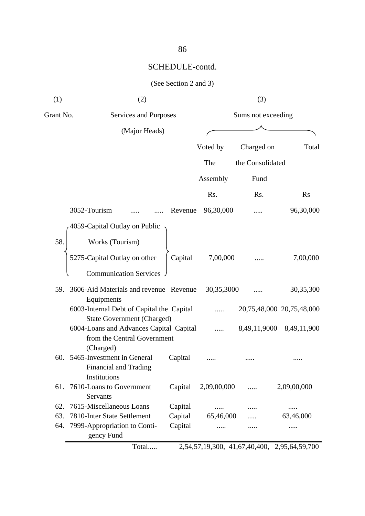| (1)       | (2)                                                                                                         |         |             | (3)                                          |                           |
|-----------|-------------------------------------------------------------------------------------------------------------|---------|-------------|----------------------------------------------|---------------------------|
| Grant No. | Services and Purposes                                                                                       |         |             | Sums not exceeding                           |                           |
|           | (Major Heads)                                                                                               |         |             |                                              |                           |
|           |                                                                                                             |         | Voted by    | Charged on                                   | Total                     |
|           |                                                                                                             |         | The         | the Consolidated                             |                           |
|           |                                                                                                             |         | Assembly    | Fund                                         |                           |
|           |                                                                                                             |         | Rs.         | Rs.                                          | <b>Rs</b>                 |
|           | 3052-Tourism                                                                                                | Revenue | 96,30,000   |                                              | 96,30,000                 |
|           | 4059-Capital Outlay on Public                                                                               |         |             |                                              |                           |
| 58.       | Works (Tourism)                                                                                             |         |             |                                              |                           |
|           | 5275-Capital Outlay on other                                                                                | Capital | 7,00,000    |                                              | 7,00,000                  |
|           | <b>Communication Services</b>                                                                               |         |             |                                              |                           |
| 59.       | 3606-Aid Materials and revenue Revenue<br>Equipments                                                        |         | 30,35,3000  |                                              | 30,35,300                 |
|           | 6003-Internal Debt of Capital the Capital                                                                   |         |             |                                              | 20,75,48,000 20,75,48,000 |
|           | <b>State Government (Charged)</b><br>6004-Loans and Advances Capital Capital<br>from the Central Government |         |             | 8,49,11,9000                                 | 8,49,11,900               |
|           | (Charged)<br>60. 5465-Investment in General<br><b>Financial and Trading</b>                                 | Capital |             |                                              |                           |
| 61.       | Institutions<br>7610-Loans to Government<br>Servants                                                        | Capital | 2,09,00,000 | .                                            | 2,09,00,000               |
| 62.       | 7615-Miscellaneous Loans                                                                                    | Capital |             |                                              |                           |
| 63.       | 7810-Inter State Settlement                                                                                 | Capital | 65,46,000   |                                              | 63,46,000                 |
| 64.       | 7999-Appropriation to Conti-<br>gency Fund                                                                  | Capital | .           |                                              |                           |
|           | Total                                                                                                       |         |             | 2,54,57,19,300, 41,67,40,400, 2,95,64,59,700 |                           |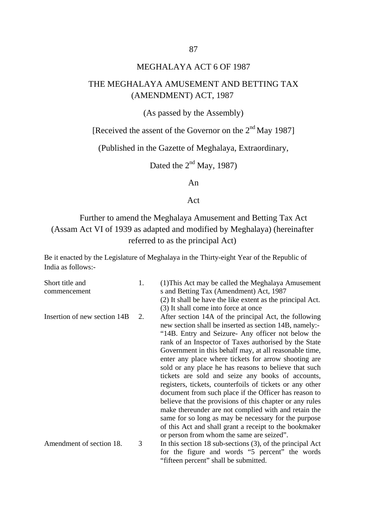#### MEGHALAYA ACT 6 OF 1987

### THE MEGHALAYA AMUSEMENT AND BETTING TAX (AMENDMENT) ACT, 1987

(As passed by the Assembly)

[Received the assent of the Governor on the 2<sup>nd</sup> May 1987]

(Published in the Gazette of Meghalaya, Extraordinary,

Dated the  $2<sup>nd</sup>$  May, 1987)

An

Act

## Further to amend the Meghalaya Amusement and Betting Tax Act (Assam Act VI of 1939 as adapted and modified by Meghalaya) (hereinafter referred to as the principal Act)

Be it enacted by the Legislature of Meghalaya in the Thirty-eight Year of the Republic of India as follows:-

| Short title and<br>commencement | 1. | (1) This Act may be called the Meghalaya Amusement<br>s and Betting Tax (Amendment) Act, 1987                                                                                                                                                                                                                                                                                                                                                                                                                                                                                                                                                                                                                                                                                                                                                                          |
|---------------------------------|----|------------------------------------------------------------------------------------------------------------------------------------------------------------------------------------------------------------------------------------------------------------------------------------------------------------------------------------------------------------------------------------------------------------------------------------------------------------------------------------------------------------------------------------------------------------------------------------------------------------------------------------------------------------------------------------------------------------------------------------------------------------------------------------------------------------------------------------------------------------------------|
|                                 |    | (2) It shall be have the like extent as the principal Act.                                                                                                                                                                                                                                                                                                                                                                                                                                                                                                                                                                                                                                                                                                                                                                                                             |
|                                 |    | (3) It shall come into force at once                                                                                                                                                                                                                                                                                                                                                                                                                                                                                                                                                                                                                                                                                                                                                                                                                                   |
| Insertion of new section 14B    | 2. | After section 14A of the principal Act, the following<br>new section shall be inserted as section 14B, namely:-<br>"14B. Entry and Seizure- Any officer not below the<br>rank of an Inspector of Taxes authorised by the State<br>Government in this behalf may, at all reasonable time,<br>enter any place where tickets for arrow shooting are<br>sold or any place he has reasons to believe that such<br>tickets are sold and seize any books of accounts,<br>registers, tickets, counterfoils of tickets or any other<br>document from such place if the Officer has reason to<br>believe that the provisions of this chapter or any rules<br>make thereunder are not complied with and retain the<br>same for so long as may be necessary for the purpose<br>of this Act and shall grant a receipt to the bookmaker<br>or person from whom the same are seized". |
| Amendment of section 18.        | 3  | In this section 18 sub-sections $(3)$ , of the principal Act<br>for the figure and words "5 percent" the words                                                                                                                                                                                                                                                                                                                                                                                                                                                                                                                                                                                                                                                                                                                                                         |

"fifteen percent" shall be submitted.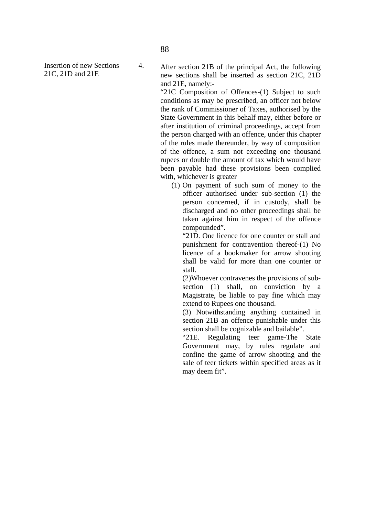Insertion of new Sections 21C, 21D and 21E

After section 21B of the principal Act, the following new sections shall be inserted as section 21C, 21D and 21E, namely:-

"21C Composition of Offences-(1) Subject to such conditions as may be prescribed, an officer not below the rank of Commissioner of Taxes, authorised by the State Government in this behalf may, either before or after institution of criminal proceedings, accept from the person charged with an offence, under this chapter of the rules made thereunder, by way of composition of the offence, a sum not exceeding one thousand rupees or double the amount of tax which would have been payable had these provisions been complied with, whichever is greater

(1) On payment of such sum of money to the officer authorised under sub-section (1) the person concerned, if in custody, shall be discharged and no other proceedings shall be taken against him in respect of the offence compounded".

"21D. One licence for one counter or stall and punishment for contravention thereof-(1) No licence of a bookmaker for arrow shooting shall be valid for more than one counter or stall.

(2)Whoever contravenes the provisions of subsection (1) shall, on conviction by a Magistrate, be liable to pay fine which may extend to Rupees one thousand.

(3) Notwithstanding anything contained in section 21B an offence punishable under this section shall be cognizable and bailable".

"21E. Regulating teer game-The State Government may, by rules regulate and confine the game of arrow shooting and the sale of teer tickets within specified areas as it may deem fit".

4.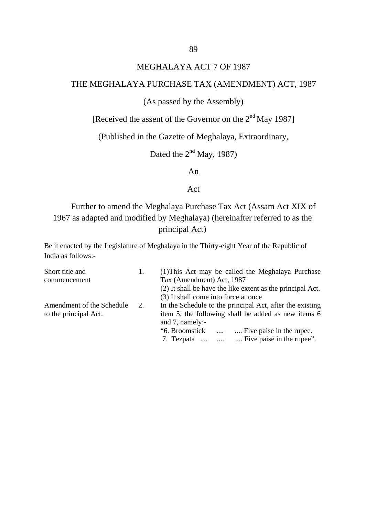### MEGHALAYA ACT 7 OF 1987

#### THE MEGHALAYA PURCHASE TAX (AMENDMENT) ACT, 1987

#### (As passed by the Assembly)

[Received the assent of the Governor on the  $2<sup>nd</sup>$  May 1987]

(Published in the Gazette of Meghalaya, Extraordinary,

Dated the  $2<sup>nd</sup>$  May, 1987)

An

#### Act

## Further to amend the Meghalaya Purchase Tax Act (Assam Act XIX of 1967 as adapted and modified by Meghalaya) (hereinafter referred to as the principal Act)

Be it enacted by the Legislature of Meghalaya in the Thirty-eight Year of the Republic of India as follows:-

| Short title and           | 1. | (1) This Act may be called the Meghalaya Purchase          |  |  |  |  |
|---------------------------|----|------------------------------------------------------------|--|--|--|--|
| commencement              |    | Tax (Amendment) Act, 1987                                  |  |  |  |  |
|                           |    | (2) It shall be have the like extent as the principal Act. |  |  |  |  |
|                           |    | (3) It shall come into force at once                       |  |  |  |  |
| Amendment of the Schedule | 2. | In the Schedule to the principal Act, after the existing   |  |  |  |  |
| to the principal Act.     |    | item 5, the following shall be added as new items 6        |  |  |  |  |
|                           |    | and 7, namely:-                                            |  |  |  |  |
|                           |    | "6. Broomstick"<br>Five paise in the rupee.<br>$\cdots$    |  |  |  |  |
|                           |    | Five paise in the rupee".<br>7. Tezpata<br>$\cdots$        |  |  |  |  |
|                           |    |                                                            |  |  |  |  |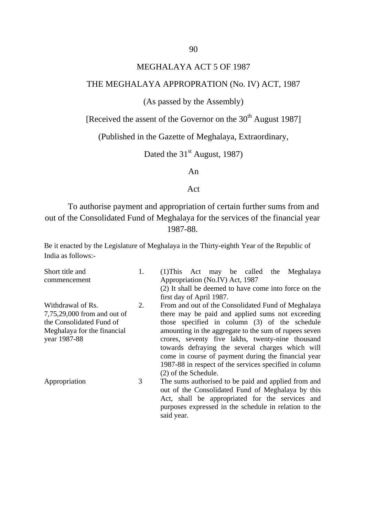#### MEGHALAYA ACT 5 OF 1987

#### THE MEGHALAYA APPROPRATION (No. IV) ACT, 1987

#### (As passed by the Assembly)

[Received the assent of the Governor on the  $30<sup>th</sup>$  August 1987]

(Published in the Gazette of Meghalaya, Extraordinary,

Dated the  $31<sup>st</sup>$  August, 1987)

An

#### Act

To authorise payment and appropriation of certain further sums from and out of the Consolidated Fund of Meghalaya for the services of the financial year 1987-88.

Be it enacted by the Legislature of Meghalaya in the Thirty-eighth Year of the Republic of India as follows:-

| Short title and             | 1. | $(1)$ This Act may be called the<br>Meghalaya          |  |  |  |  |  |
|-----------------------------|----|--------------------------------------------------------|--|--|--|--|--|
| commencement                |    | Appropriation (No.IV) Act, 1987                        |  |  |  |  |  |
|                             |    | (2) It shall be deemed to have come into force on the  |  |  |  |  |  |
|                             |    | first day of April 1987.                               |  |  |  |  |  |
| Withdrawal of Rs.           | 2. | From and out of the Consolidated Fund of Meghalaya     |  |  |  |  |  |
| 7,75,29,000 from and out of |    | there may be paid and applied sums not exceeding       |  |  |  |  |  |
| the Consolidated Fund of    |    | those specified in column (3) of the schedule          |  |  |  |  |  |
| Meghalaya for the financial |    | amounting in the aggregate to the sum of rupees seven  |  |  |  |  |  |
| year 1987-88                |    | crores, seventy five lakhs, twenty-nine thousand       |  |  |  |  |  |
|                             |    | towards defraying the several charges which will       |  |  |  |  |  |
|                             |    | come in course of payment during the financial year    |  |  |  |  |  |
|                             |    | 1987-88 in respect of the services specified in column |  |  |  |  |  |
|                             |    | (2) of the Schedule.                                   |  |  |  |  |  |
| Appropriation               | 3  | The sums authorised to be paid and applied from and    |  |  |  |  |  |
|                             |    | out of the Consolidated Fund of Meghalaya by this      |  |  |  |  |  |
|                             |    | Act, shall be appropriated for the services and        |  |  |  |  |  |
|                             |    | purposes expressed in the schedule in relation to the  |  |  |  |  |  |

said year.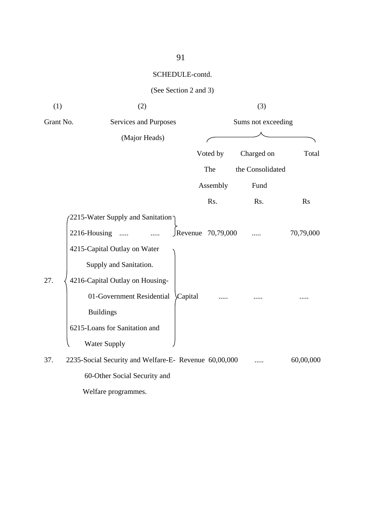|           | (See Section 2 and 3)                                 |                    |                  |           |
|-----------|-------------------------------------------------------|--------------------|------------------|-----------|
| (1)       | (2)                                                   | (3)                |                  |           |
| Grant No. | Services and Purposes                                 | Sums not exceeding |                  |           |
|           | (Major Heads)                                         |                    |                  |           |
|           |                                                       | Voted by           | Charged on       | Total     |
|           |                                                       | The                | the Consolidated |           |
|           |                                                       | Assembly           | Fund             |           |
|           |                                                       | Rs.                | Rs.              | <b>Rs</b> |
|           | 2215-Water Supply and Sanitation                      |                    |                  |           |
|           | 2216-Housing                                          | Revenue 70,79,000  |                  | 70,79,000 |
|           | 4215-Capital Outlay on Water                          |                    |                  |           |
|           | Supply and Sanitation.                                |                    |                  |           |
| 27.       | 4216-Capital Outlay on Housing-                       |                    |                  |           |
|           | 01-Government Residential<br>Capital                  |                    |                  |           |
|           | <b>Buildings</b>                                      |                    |                  |           |
|           | 6215-Loans for Sanitation and                         |                    |                  |           |
|           | <b>Water Supply</b>                                   |                    |                  |           |
| 37.       | 2235-Social Security and Welfare-E- Revenue 60,00,000 |                    |                  | 60,00,000 |
|           | 60-Other Social Security and                          |                    |                  |           |
|           | Welfare programmes.                                   |                    |                  |           |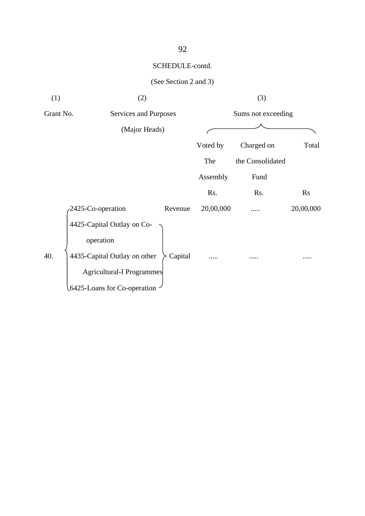| (1)                                | (2)                                                                     |         |                    | (3)              |           |  |
|------------------------------------|-------------------------------------------------------------------------|---------|--------------------|------------------|-----------|--|
| Grant No.<br>Services and Purposes |                                                                         |         | Sums not exceeding |                  |           |  |
|                                    | (Major Heads)                                                           |         |                    |                  |           |  |
|                                    |                                                                         |         | Voted by           | Charged on       | Total     |  |
|                                    |                                                                         |         | The                | the Consolidated |           |  |
|                                    |                                                                         |         | Assembly           | Fund             |           |  |
|                                    |                                                                         |         | Rs.                | Rs.              | Rs        |  |
|                                    | 2425-Co-operation                                                       | Revenue | 20,00,000          |                  | 20,00,000 |  |
| 40.                                | 4425-Capital Outlay on Co-<br>operation<br>4435-Capital Outlay on other | Capital |                    |                  |           |  |
|                                    | <b>Agricultural-I Programmes</b>                                        |         |                    |                  |           |  |
|                                    | 6425-Loans for Co-operation                                             |         |                    |                  |           |  |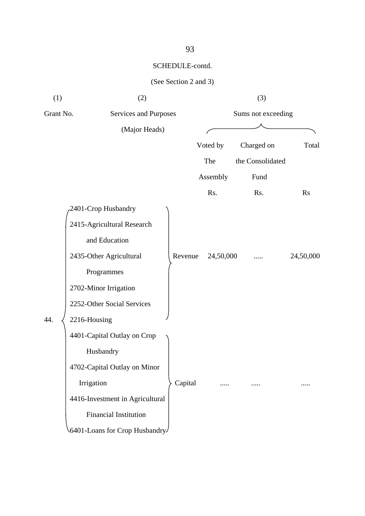| (1)       | (2)                             |         |                    | (3)              |           |
|-----------|---------------------------------|---------|--------------------|------------------|-----------|
| Grant No. | Services and Purposes           |         | Sums not exceeding |                  |           |
|           | (Major Heads)                   |         |                    |                  |           |
|           |                                 |         | Voted by           | Charged on       | Total     |
|           |                                 |         | The                | the Consolidated |           |
|           |                                 |         | Assembly           | Fund             |           |
|           |                                 |         | Rs.                | Rs.              | <b>Rs</b> |
|           | 2401-Crop Husbandry             |         |                    |                  |           |
|           | 2415-Agricultural Research      |         |                    |                  |           |
|           | and Education                   |         |                    |                  |           |
|           | 2435-Other Agricultural         | Revenue | 24,50,000          |                  | 24,50,000 |
|           | Programmes                      |         |                    |                  |           |
|           | 2702-Minor Irrigation           |         |                    |                  |           |
|           | 2252-Other Social Services      |         |                    |                  |           |
| 44.       | 2216-Housing                    |         |                    |                  |           |
|           | 4401-Capital Outlay on Crop     |         |                    |                  |           |
|           | Husbandry                       | Capital |                    |                  |           |
|           | 4702-Capital Outlay on Minor    |         |                    |                  |           |
|           | Irrigation                      |         |                    |                  |           |
|           | 4416-Investment in Agricultural |         |                    |                  |           |
|           | <b>Financial Institution</b>    |         |                    |                  |           |
|           | 6401-Loans for Crop Husbandry   |         |                    |                  |           |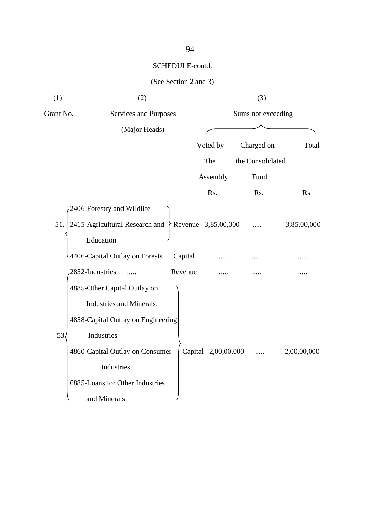| (1)       | (2)                                |         |                       | (3)                |             |
|-----------|------------------------------------|---------|-----------------------|--------------------|-------------|
| Grant No. | Services and Purposes              |         |                       | Sums not exceeding |             |
|           | (Major Heads)                      |         |                       |                    |             |
|           |                                    |         | Voted by              | Charged on         | Total       |
|           |                                    |         | The                   | the Consolidated   |             |
|           |                                    |         | Assembly              | Fund               |             |
|           |                                    |         | Rs.                   | Rs.                | Rs          |
|           | 2406-Forestry and Wildlife         |         |                       |                    |             |
| 51.       | 2415-Agricultural Research and     |         | Revenue $3,85,00,000$ |                    | 3,85,00,000 |
|           | Education                          |         |                       |                    |             |
|           | 4406-Capital Outlay on Forests     | Capital |                       |                    |             |
|           | 2852-Industries                    | Revenue |                       |                    |             |
|           | 4885-Other Capital Outlay on       |         |                       |                    |             |
|           | Industries and Minerals.           |         |                       |                    |             |
|           | 4858-Capital Outlay on Engineering |         |                       |                    |             |
| 53.       | Industries                         |         |                       |                    |             |
|           | 4860-Capital Outlay on Consumer    |         | Capital 2,00,00,000   |                    | 2,00,00,000 |
|           | Industries                         |         |                       |                    |             |
|           | 6885-Loans for Other Industries    |         |                       |                    |             |
|           | and Minerals                       |         |                       |                    |             |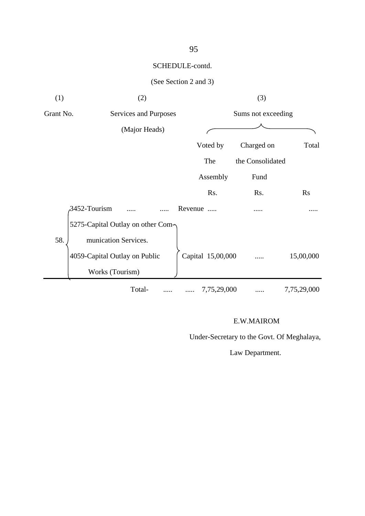### (See Section 2 and 3)

| (1)       | (2)                                                   |                   | (3)                |             |
|-----------|-------------------------------------------------------|-------------------|--------------------|-------------|
| Grant No. | Services and Purposes                                 |                   | Sums not exceeding |             |
|           | (Major Heads)                                         |                   |                    |             |
|           |                                                       | Voted by          | Charged on         | Total       |
|           |                                                       | The               | the Consolidated   |             |
|           |                                                       | Assembly          | Fund               |             |
|           |                                                       | Rs.               | Rs.                | <b>Rs</b>   |
|           | 3452-Tourism                                          | Revenue           |                    |             |
|           | 5275-Capital Outlay on other Com-                     |                   |                    |             |
| 58.       | munication Services.<br>4059-Capital Outlay on Public | Capital 15,00,000 |                    | 15,00,000   |
|           | Works (Tourism)                                       |                   |                    |             |
|           | Total-                                                | 7,75,29,000       |                    | 7,75,29,000 |

#### E.W.MAIROM

Under-Secretary to the Govt. Of Meghalaya,

Law Department.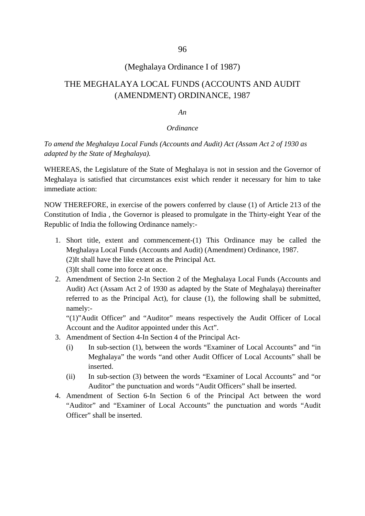#### (Meghalaya Ordinance I of 1987)

### THE MEGHALAYA LOCAL FUNDS (ACCOUNTS AND AUDIT (AMENDMENT) ORDINANCE, 1987

#### *An*

#### *Ordinance*

*To amend the Meghalaya Local Funds (Accounts and Audit) Act (Assam Act 2 of 1930 as adapted by the State of Meghalaya).*

WHEREAS, the Legislature of the State of Meghalaya is not in session and the Governor of Meghalaya is satisfied that circumstances exist which render it necessary for him to take immediate action:

NOW THEREFORE, in exercise of the powers conferred by clause (1) of Article 213 of the Constitution of India , the Governor is pleased to promulgate in the Thirty-eight Year of the Republic of India the following Ordinance namely:-

- 1. Short title, extent and commencement-(1) This Ordinance may be called the Meghalaya Local Funds (Accounts and Audit) (Amendment) Ordinance, 1987. (2)It shall have the like extent as the Principal Act. (3)It shall come into force at once.
- 2. Amendment of Section 2-In Section 2 of the Meghalaya Local Funds (Accounts and Audit) Act (Assam Act 2 of 1930 as adapted by the State of Meghalaya) thereinafter referred to as the Principal Act), for clause (1), the following shall be submitted, namely:-

"(1)"Audit Officer" and "Auditor" means respectively the Audit Officer of Local Account and the Auditor appointed under this Act".

- 3. Amendment of Section 4-In Section 4 of the Principal Act-
	- (i) In sub-section (1), between the words "Examiner of Local Accounts" and "in Meghalaya" the words "and other Audit Officer of Local Accounts" shall be inserted.
	- (ii) In sub-section (3) between the words "Examiner of Local Accounts" and "or Auditor" the punctuation and words "Audit Officers" shall be inserted.
- 4. Amendment of Section 6-In Section 6 of the Principal Act between the word "Auditor" and "Examiner of Local Accounts" the punctuation and words "Audit Officer" shall be inserted.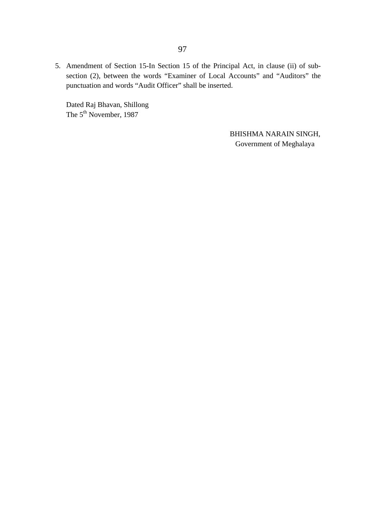5. Amendment of Section 15-In Section 15 of the Principal Act, in clause (ii) of subsection (2), between the words "Examiner of Local Accounts" and "Auditors" the punctuation and words "Audit Officer" shall be inserted.

Dated Raj Bhavan, Shillong The 5<sup>th</sup> November, 1987

> BHISHMA NARAIN SINGH, Government of Meghalaya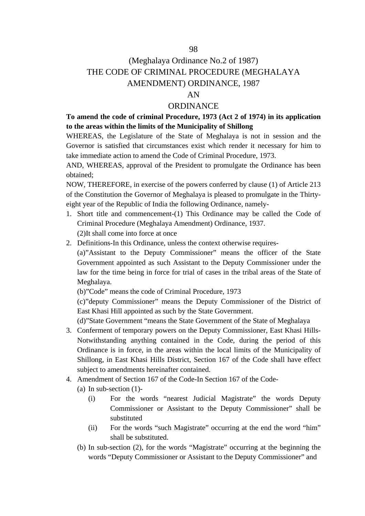#### 98

## (Meghalaya Ordinance No.2 of 1987) THE CODE OF CRIMINAL PROCEDURE (MEGHALAYA AMENDMENT) ORDINANCE, 1987

#### AN

#### **ORDINANCE**

**To amend the code of criminal Procedure, 1973 (Act 2 of 1974) in its application to the areas within the limits of the Municipality of Shillong**

WHEREAS, the Legislature of the State of Meghalaya is not in session and the Governor is satisfied that circumstances exist which render it necessary for him to take immediate action to amend the Code of Criminal Procedure, 1973.

AND, WHEREAS, approval of the President to promulgate the Ordinance has been obtained;

NOW, THEREFORE, in exercise of the powers conferred by clause (1) of Article 213 of the Constitution the Governor of Meghalaya is pleased to promulgate in the Thirtyeight year of the Republic of India the following Ordinance, namely-

- 1. Short title and commencement-(1) This Ordinance may be called the Code of Criminal Procedure (Meghalaya Amendment) Ordinance, 1937. (2)It shall come into force at once
- 2. Definitions-In this Ordinance, unless the context otherwise requires-

(a)"Assistant to the Deputy Commissioner" means the officer of the State Government appointed as such Assistant to the Deputy Commissioner under the law for the time being in force for trial of cases in the tribal areas of the State of Meghalaya.

(b)"Code" means the code of Criminal Procedure, 1973

(c)"deputy Commissioner" means the Deputy Commissioner of the District of East Khasi Hill appointed as such by the State Government.

(d)"State Government "means the State Government of the State of Meghalaya

- 3. Conferment of temporary powers on the Deputy Commissioner, East Khasi Hills-Notwithstanding anything contained in the Code, during the period of this Ordinance is in force, in the areas within the local limits of the Municipality of Shillong, in East Khasi Hills District, Section 167 of the Code shall have effect subject to amendments hereinafter contained.
- 4. Amendment of Section 167 of the Code-In Section 167 of the Code-
	- (a) In sub-section (1)-
		- (i) For the words "nearest Judicial Magistrate" the words Deputy Commissioner or Assistant to the Deputy Commissioner" shall be substituted
		- (ii) For the words "such Magistrate" occurring at the end the word "him" shall be substituted.
	- (b) In sub-section (2), for the words "Magistrate" occurring at the beginning the words "Deputy Commissioner or Assistant to the Deputy Commissioner" and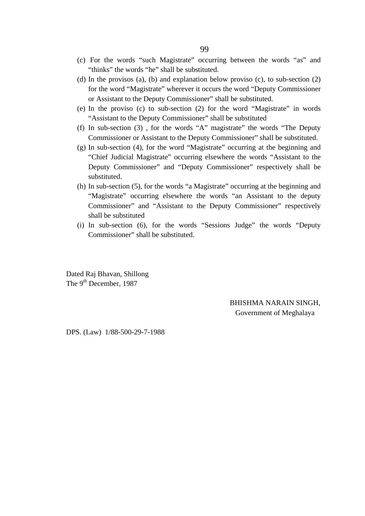- (c) For the words "such Magistrate" occurring between the words "as" and "thinks" the words "he" shall be substituted.
- (d) In the provisos (a), (b) and explanation below proviso (c), to sub-section (2) for the word "Magistrate" wherever it occurs the word "Deputy Commissioner or Assistant to the Deputy Commissioner" shall be substituted.
- (e) In the proviso (c) to sub-section (2) for the word "Magistrate" in words "Assistant to the Deputy Commissioner" shall be substituted
- (f) In sub-section (3) , for the words "A" magistrate" the words "The Deputy Commissioner or Assistant to the Deputy Commissioner" shall be substituted.
- (g) In sub-section (4), for the word "Magistrate" occurring at the beginning and "Chief Judicial Magistrate" occurring elsewhere the words "Assistant to the Deputy Commissioner" and "Deputy Commissioner" respectively shall be substituted.
- (h) In sub-section (5), for the words "a Magistrate" occurring at the beginning and "Magistrate" occurring elsewhere the words "an Assistant to the deputy Commissioner" and "Assistant to the Deputy Commissioner" respectively shall be substituted
- (i) In sub-section (6), for the words "Sessions Judge" the words "Deputy Commissioner" shall be substituted.

Dated Raj Bhavan, Shillong The 9<sup>th</sup> December, 1987

> BHISHMA NARAIN SINGH, Government of Meghalaya

DPS. (Law) 1/88-500-29-7-1988